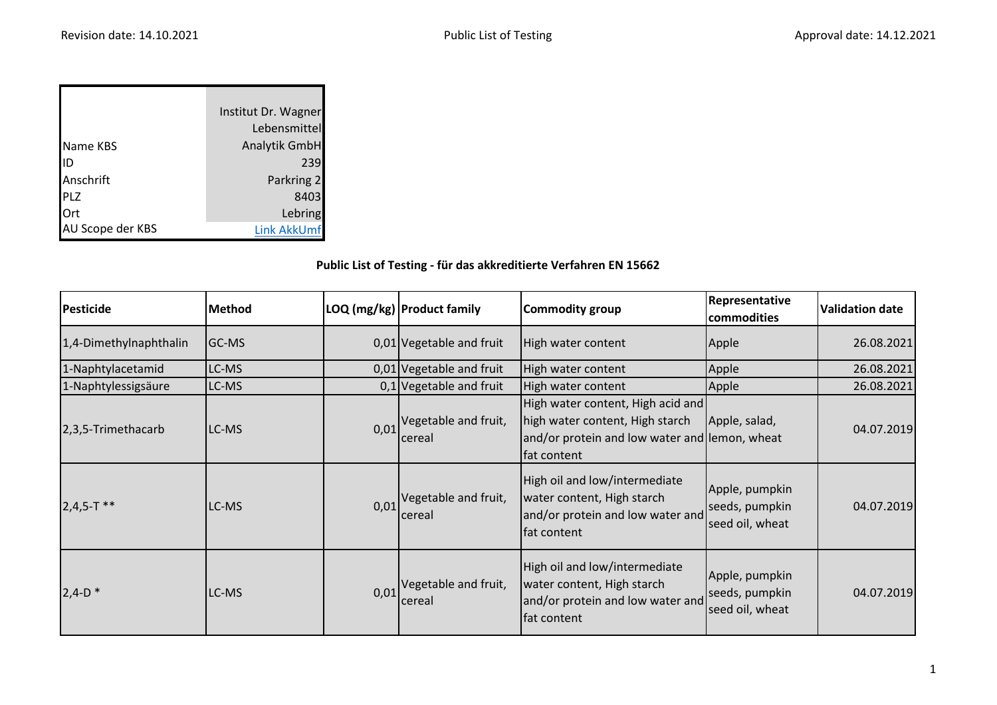|                  | Institut Dr. Wagner |
|------------------|---------------------|
|                  | Lebensmittel        |
| Name KBS         | Analytik GmbH       |
| lID              | 239                 |
| Anschrift        | Parkring 2          |
| <b>PLZ</b>       | 8403                |
| Ort              | Lebring             |
| AU Scope der KBS | <b>Link AkkUmf</b>  |

## **Public List of Testing - für das akkreditierte Verfahren EN 15662**

| <b>Pesticide</b>       | <b>Method</b> |      | LOQ (mg/kg)   Product family                     | Commodity group                                                                                                                      | Representative<br>commodities                       | <b>Validation date</b> |
|------------------------|---------------|------|--------------------------------------------------|--------------------------------------------------------------------------------------------------------------------------------------|-----------------------------------------------------|------------------------|
| 1,4-Dimethylnaphthalin | GC-MS         |      | 0,01 Vegetable and fruit                         | High water content                                                                                                                   | Apple                                               | 26.08.2021             |
| 1-Naphtylacetamid      | LC-MS         |      | 0,01 Vegetable and fruit                         | High water content                                                                                                                   | Apple                                               | 26.08.2021             |
| 1-Naphtylessigsäure    | LC-MS         |      | 0,1 Vegetable and fruit                          | High water content                                                                                                                   | Apple                                               | 26.08.2021             |
| 2,3,5-Trimethacarb     | LC-MS         |      | $0.01$ <sup>Vegetable and fruit,</sup><br>cereal | High water content, High acid and<br>high water content, High starch<br>and/or protein and low water and lemon, wheat<br>fat content | Apple, salad,                                       | 04.07.2019             |
| $2,4,5-T$ **           | LC-MS         | 0,01 | Vegetable and fruit,<br>cereal                   | High oil and low/intermediate<br>water content, High starch<br>and/or protein and low water and<br>fat content                       | Apple, pumpkin<br>seeds, pumpkin<br>seed oil, wheat | 04.07.2019             |
| $2,4-D$ *              | LC-MS         | 0,01 | Vegetable and fruit,<br>cereal                   | High oil and low/intermediate<br>water content, High starch<br>and/or protein and low water and<br>fat content                       | Apple, pumpkin<br>seeds, pumpkin<br>seed oil, wheat | 04.07.2019             |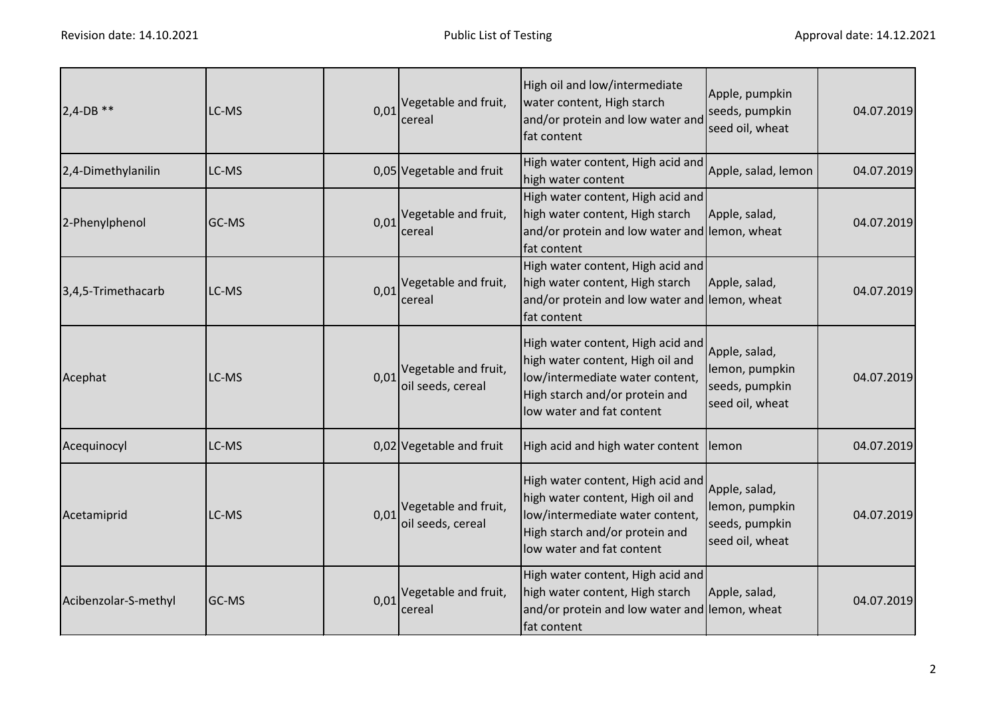| $2,4$ -DB **         | LC-MS |      | $0.01$ <sup>Vegetable and fruit,</sup><br>cereal | High oil and low/intermediate<br>water content, High starch<br>and/or protein and low water and<br>fat content                                                          | Apple, pumpkin<br>seeds, pumpkin<br>seed oil, wheat                  | 04.07.2019 |
|----------------------|-------|------|--------------------------------------------------|-------------------------------------------------------------------------------------------------------------------------------------------------------------------------|----------------------------------------------------------------------|------------|
| 2,4-Dimethylanilin   | LC-MS |      | 0,05 Vegetable and fruit                         | High water content, High acid and<br>high water content                                                                                                                 | Apple, salad, lemon                                                  | 04.07.2019 |
| 2-Phenylphenol       | GC-MS | 0,01 | Vegetable and fruit,<br>cereal                   | High water content, High acid and<br>high water content, High starch<br>and/or protein and low water and lemon, wheat<br>fat content                                    | Apple, salad,                                                        | 04.07.2019 |
| 3,4,5-Trimethacarb   | LC-MS | 0,01 | Vegetable and fruit,<br>cereal                   | High water content, High acid and<br>high water content, High starch<br>and/or protein and low water and lemon, wheat<br>fat content                                    | Apple, salad,                                                        | 04.07.2019 |
| Acephat              | LC-MS | 0,01 | Vegetable and fruit,<br>oil seeds, cereal        | High water content, High acid and<br>high water content, High oil and<br>low/intermediate water content,<br>High starch and/or protein and<br>low water and fat content | Apple, salad,<br>lemon, pumpkin<br>seeds, pumpkin<br>seed oil, wheat | 04.07.2019 |
| Acequinocyl          | LC-MS |      | 0,02 Vegetable and fruit                         | High acid and high water content                                                                                                                                        | lemon                                                                | 04.07.2019 |
| Acetamiprid          | LC-MS | 0,01 | Vegetable and fruit,<br>oil seeds, cereal        | High water content, High acid and<br>high water content, High oil and<br>low/intermediate water content,<br>High starch and/or protein and<br>low water and fat content | Apple, salad,<br>lemon, pumpkin<br>seeds, pumpkin<br>seed oil, wheat | 04.07.2019 |
| Acibenzolar-S-methyl | GC-MS | 0,01 | Vegetable and fruit,<br>cereal                   | High water content, High acid and<br>high water content, High starch<br>and/or protein and low water and lemon, wheat<br>fat content                                    | Apple, salad,                                                        | 04.07.2019 |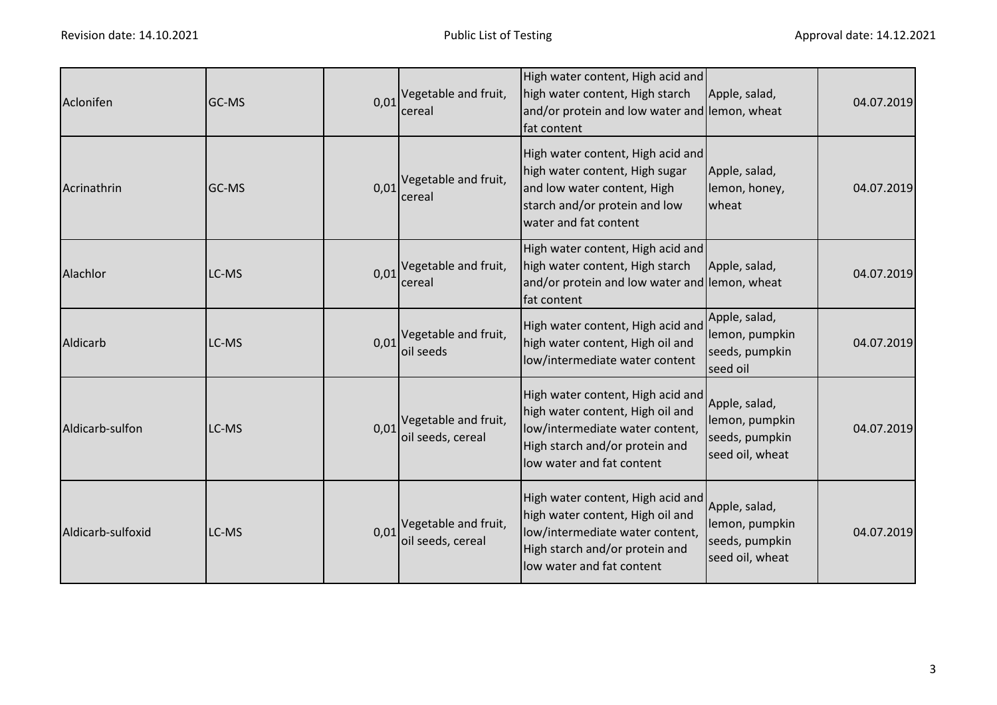| Aclonifen         | GC-MS | 0,01 | Vegetable and fruit,<br>cereal                      | High water content, High acid and<br>high water content, High starch<br>and/or protein and low water and lemon, wheat<br>fat content                                    | Apple, salad,                                                        | 04.07.2019 |
|-------------------|-------|------|-----------------------------------------------------|-------------------------------------------------------------------------------------------------------------------------------------------------------------------------|----------------------------------------------------------------------|------------|
| Acrinathrin       | GC-MS | 0,01 | Vegetable and fruit,<br>cereal                      | High water content, High acid and<br>high water content, High sugar<br>and low water content, High<br>starch and/or protein and low<br>water and fat content            | Apple, salad,<br>lemon, honey,<br>wheat                              | 04.07.2019 |
| Alachlor          | LC-MS |      | $0.01$ <sup>Vegetable and fruit,</sup><br>cereal    | High water content, High acid and<br>high water content, High starch<br>and/or protein and low water and lemon, wheat<br>fat content                                    | Apple, salad,                                                        | 04.07.2019 |
| Aldicarb          | LC-MS |      | $0.01$ <sup>Vegetable and fruit,</sup><br>oil seeds | High water content, High acid and<br>high water content, High oil and<br>low/intermediate water content                                                                 | Apple, salad,<br>lemon, pumpkin<br>seeds, pumpkin<br>seed oil        | 04.07.2019 |
| Aldicarb-sulfon   | LC-MS | 0,01 | Vegetable and fruit,<br>oil seeds, cereal           | High water content, High acid and<br>high water content, High oil and<br>low/intermediate water content,<br>High starch and/or protein and<br>low water and fat content | Apple, salad,<br>lemon, pumpkin<br>seeds, pumpkin<br>seed oil, wheat | 04.07.2019 |
| Aldicarb-sulfoxid | LC-MS | 0,01 | Vegetable and fruit,<br>oil seeds, cereal           | High water content, High acid and<br>high water content, High oil and<br>low/intermediate water content,<br>High starch and/or protein and<br>low water and fat content | Apple, salad,<br>lemon, pumpkin<br>seeds, pumpkin<br>seed oil, wheat | 04.07.2019 |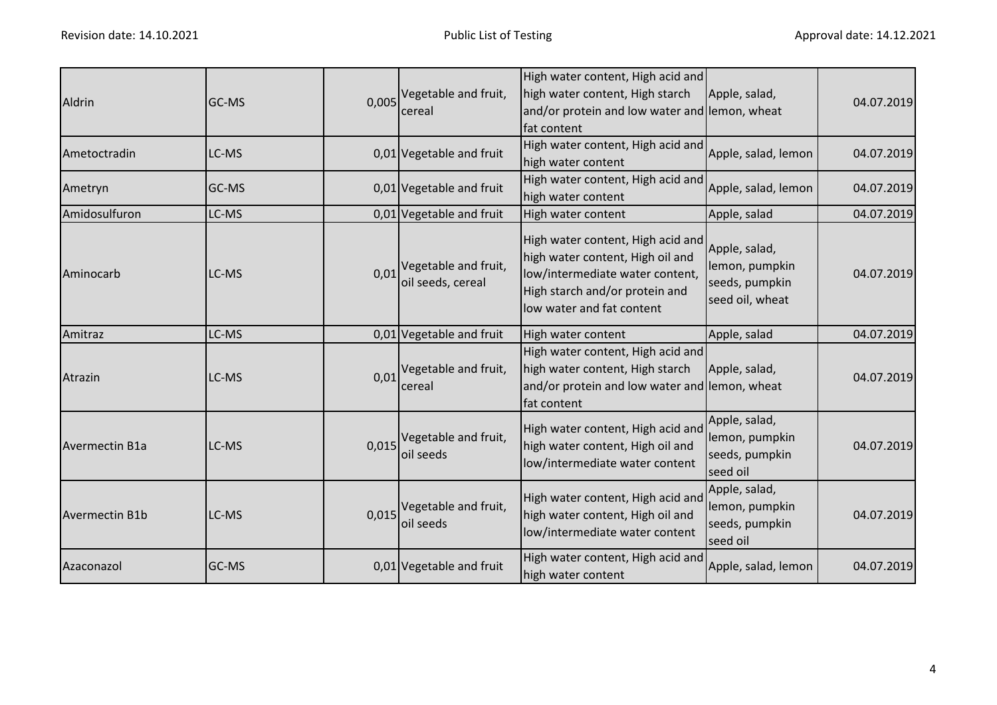| Aldrin                | GC-MS |       | 0,005 Vegetable and fruit,<br>cereal                        | High water content, High acid and<br>high water content, High starch<br>and/or protein and low water and lemon, wheat<br>fat content                                    | Apple, salad,                                                        | 04.07.2019 |
|-----------------------|-------|-------|-------------------------------------------------------------|-------------------------------------------------------------------------------------------------------------------------------------------------------------------------|----------------------------------------------------------------------|------------|
| Ametoctradin          | LC-MS |       | 0,01 Vegetable and fruit                                    | High water content, High acid and<br>high water content                                                                                                                 | Apple, salad, lemon                                                  | 04.07.2019 |
| Ametryn               | GC-MS |       | 0,01 Vegetable and fruit                                    | High water content, High acid and<br>high water content                                                                                                                 | Apple, salad, lemon                                                  | 04.07.2019 |
| Amidosulfuron         | LC-MS |       | 0,01 Vegetable and fruit                                    | High water content                                                                                                                                                      | Apple, salad                                                         | 04.07.2019 |
| Aminocarb             | LC-MS |       | $0.01$ <sup>Vegetable and fruit,</sup><br>oil seeds, cereal | High water content, High acid and<br>high water content, High oil and<br>low/intermediate water content,<br>High starch and/or protein and<br>low water and fat content | Apple, salad,<br>lemon, pumpkin<br>seeds, pumpkin<br>seed oil, wheat | 04.07.2019 |
| Amitraz               | LC-MS |       | 0,01 Vegetable and fruit                                    | High water content                                                                                                                                                      | Apple, salad                                                         | 04.07.2019 |
| Atrazin               | LC-MS | 0,01  | Vegetable and fruit,<br>cereal                              | High water content, High acid and<br>high water content, High starch<br>and/or protein and low water and lemon, wheat<br>fat content                                    | Apple, salad,                                                        | 04.07.2019 |
| Avermectin B1a        | LC-MS | 0,015 | Vegetable and fruit,<br>oil seeds                           | High water content, High acid and<br>high water content, High oil and<br>low/intermediate water content                                                                 | Apple, salad,<br>lemon, pumpkin<br>seeds, pumpkin<br>seed oil        | 04.07.2019 |
| <b>Avermectin B1b</b> | LC-MS |       | 0,015 Vegetable and fruit,<br>oil seeds                     | High water content, High acid and<br>high water content, High oil and<br>low/intermediate water content                                                                 | Apple, salad,<br>lemon, pumpkin<br>seeds, pumpkin<br>seed oil        | 04.07.2019 |
| Azaconazol            | GC-MS |       | 0,01 Vegetable and fruit                                    | High water content, High acid and<br>high water content                                                                                                                 | Apple, salad, lemon                                                  | 04.07.2019 |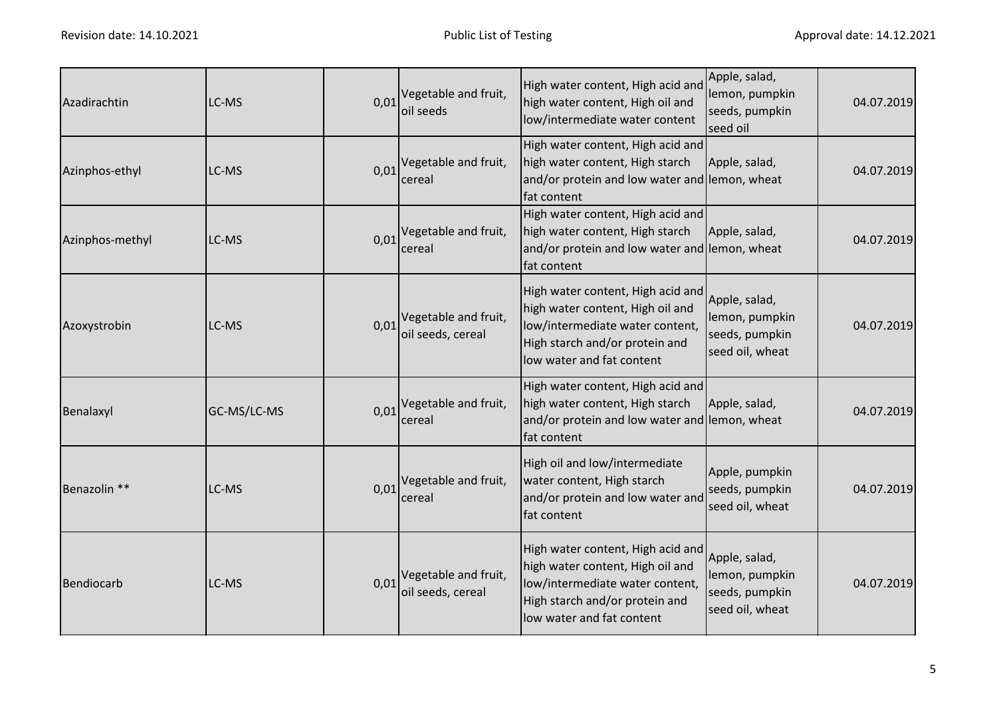| Azadirachtin    | LC-MS       | 0,01 | Vegetable and fruit,<br>oil seeds         | High water content, High acid and<br>high water content, High oil and<br>low/intermediate water content                                                                 | Apple, salad,<br>lemon, pumpkin<br>seeds, pumpkin<br>seed oil        | 04.07.2019 |
|-----------------|-------------|------|-------------------------------------------|-------------------------------------------------------------------------------------------------------------------------------------------------------------------------|----------------------------------------------------------------------|------------|
| Azinphos-ethyl  | LC-MS       | 0,01 | Vegetable and fruit,<br>cereal            | High water content, High acid and<br>high water content, High starch<br>and/or protein and low water and lemon, wheat<br>fat content                                    | Apple, salad,                                                        | 04.07.2019 |
| Azinphos-methyl | LC-MS       | 0,01 | Vegetable and fruit,<br>cereal            | High water content, High acid and<br>high water content, High starch<br>and/or protein and low water and lemon, wheat<br>fat content                                    | Apple, salad,                                                        | 04.07.2019 |
| Azoxystrobin    | LC-MS       | 0,01 | Vegetable and fruit,<br>oil seeds, cereal | High water content, High acid and<br>high water content, High oil and<br>low/intermediate water content,<br>High starch and/or protein and<br>low water and fat content | Apple, salad,<br>lemon, pumpkin<br>seeds, pumpkin<br>seed oil, wheat | 04.07.2019 |
| Benalaxyl       | GC-MS/LC-MS | 0,01 | Vegetable and fruit,<br>cereal            | High water content, High acid and<br>high water content, High starch<br>and/or protein and low water and lemon, wheat<br>fat content                                    | Apple, salad,                                                        | 04.07.2019 |
| Benazolin **    | LC-MS       | 0,01 | Vegetable and fruit,<br>cereal            | High oil and low/intermediate<br>water content, High starch<br>and/or protein and low water and<br>fat content                                                          | Apple, pumpkin<br>seeds, pumpkin<br>seed oil, wheat                  | 04.07.2019 |
| Bendiocarb      | LC-MS       | 0,01 | Vegetable and fruit,<br>oil seeds, cereal | High water content, High acid and<br>high water content, High oil and<br>low/intermediate water content,<br>High starch and/or protein and<br>low water and fat content | Apple, salad,<br>lemon, pumpkin<br>seeds, pumpkin<br>seed oil, wheat | 04.07.2019 |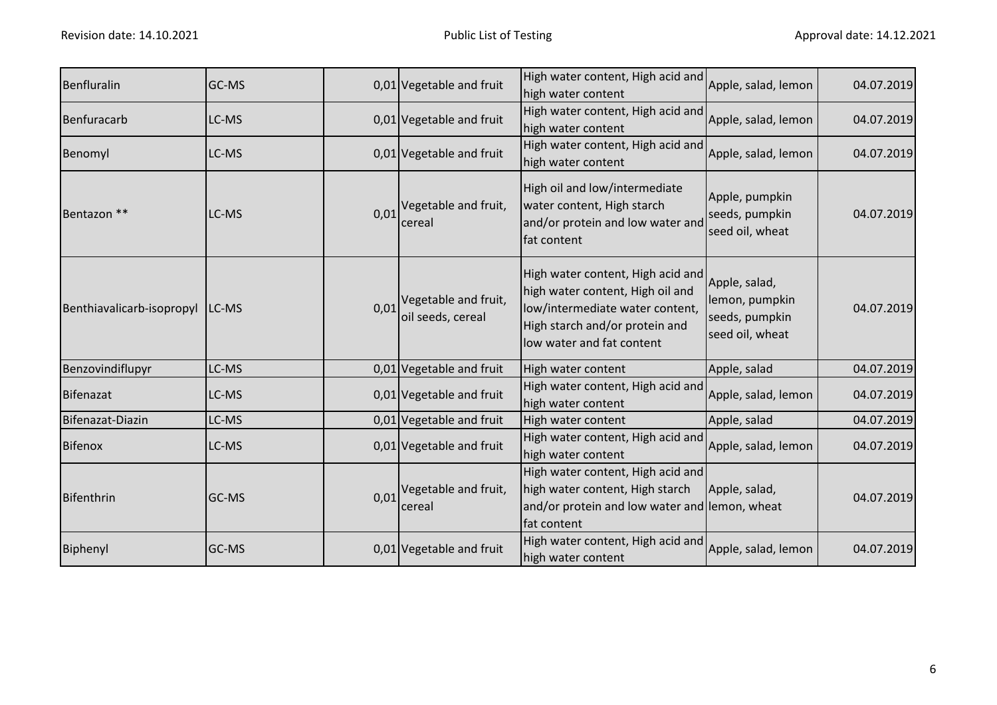| Benfluralin               | GC-MS |      | 0,01 Vegetable and fruit                  | High water content, High acid and<br>high water content                                                                                                                 | Apple, salad, lemon                                                  | 04.07.2019 |
|---------------------------|-------|------|-------------------------------------------|-------------------------------------------------------------------------------------------------------------------------------------------------------------------------|----------------------------------------------------------------------|------------|
| Benfuracarb               | LC-MS |      | 0,01 Vegetable and fruit                  | High water content, High acid and<br>high water content                                                                                                                 | Apple, salad, lemon                                                  | 04.07.2019 |
| Benomyl                   | LC-MS |      | 0,01 Vegetable and fruit                  | High water content, High acid and<br>high water content                                                                                                                 | Apple, salad, lemon                                                  | 04.07.2019 |
| Bentazon **               | LC-MS | 0,01 | Vegetable and fruit,<br>cereal            | High oil and low/intermediate<br>water content, High starch<br>and/or protein and low water and<br>fat content                                                          | Apple, pumpkin<br>seeds, pumpkin<br>seed oil, wheat                  | 04.07.2019 |
| Benthiavalicarb-isopropyl | LC-MS | 0,01 | Vegetable and fruit,<br>oil seeds, cereal | High water content, High acid and<br>high water content, High oil and<br>low/intermediate water content,<br>High starch and/or protein and<br>low water and fat content | Apple, salad,<br>lemon, pumpkin<br>seeds, pumpkin<br>seed oil, wheat | 04.07.2019 |
| Benzovindiflupyr          | LC-MS |      | 0,01 Vegetable and fruit                  | High water content                                                                                                                                                      | Apple, salad                                                         | 04.07.2019 |
| Bifenazat                 | LC-MS |      | 0,01 Vegetable and fruit                  | High water content, High acid and<br>high water content                                                                                                                 | Apple, salad, lemon                                                  | 04.07.2019 |
| Bifenazat-Diazin          | LC-MS |      | 0,01 Vegetable and fruit                  | High water content                                                                                                                                                      | Apple, salad                                                         | 04.07.2019 |
| <b>Bifenox</b>            | LC-MS |      | 0,01 Vegetable and fruit                  | High water content, High acid and<br>high water content                                                                                                                 | Apple, salad, lemon                                                  | 04.07.2019 |
| Bifenthrin                | GC-MS | 0,01 | Vegetable and fruit,<br>cereal            | High water content, High acid and<br>high water content, High starch<br>and/or protein and low water and lemon, wheat<br>fat content                                    | Apple, salad,                                                        | 04.07.2019 |
| Biphenyl                  | GC-MS |      | 0,01 Vegetable and fruit                  | High water content, High acid and<br>high water content                                                                                                                 | Apple, salad, lemon                                                  | 04.07.2019 |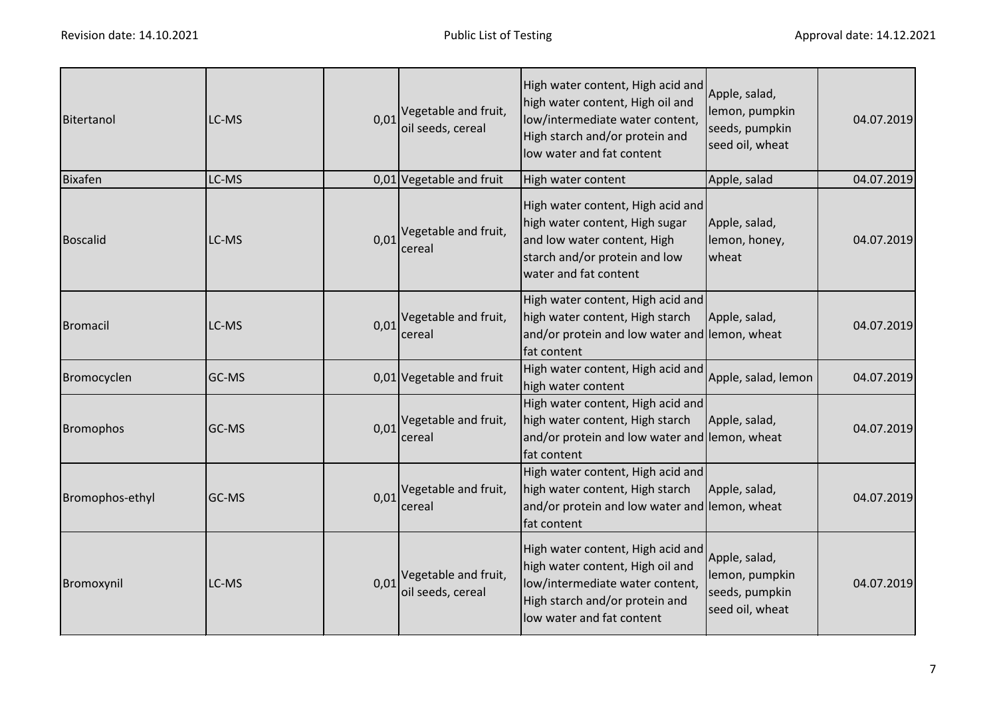| Bitertanol       | LC-MS | 0,01 | Vegetable and fruit,<br>oil seeds, cereal        | High water content, High acid and<br>high water content, High oil and<br>low/intermediate water content,<br>High starch and/or protein and<br>low water and fat content | Apple, salad,<br>lemon, pumpkin<br>seeds, pumpkin<br>seed oil, wheat | 04.07.2019 |
|------------------|-------|------|--------------------------------------------------|-------------------------------------------------------------------------------------------------------------------------------------------------------------------------|----------------------------------------------------------------------|------------|
| <b>Bixafen</b>   | LC-MS |      | 0,01 Vegetable and fruit                         | High water content                                                                                                                                                      | Apple, salad                                                         | 04.07.2019 |
| <b>Boscalid</b>  | LC-MS |      | $0.01$ <sup>Vegetable and fruit,</sup><br>cereal | High water content, High acid and<br>high water content, High sugar<br>and low water content, High<br>starch and/or protein and low<br>water and fat content            | Apple, salad,<br>lemon, honey,<br>wheat                              | 04.07.2019 |
| <b>Bromacil</b>  | LC-MS |      | 0,01 Vegetable and fruit,<br>cereal              | High water content, High acid and<br>high water content, High starch<br>and/or protein and low water and lemon, wheat<br>fat content                                    | Apple, salad,                                                        | 04.07.2019 |
| Bromocyclen      | GC-MS |      | 0,01 Vegetable and fruit                         | High water content, High acid and<br>high water content                                                                                                                 | Apple, salad, lemon                                                  | 04.07.2019 |
| <b>Bromophos</b> | GC-MS |      | 0,01 Vegetable and fruit,<br>cereal              | High water content, High acid and<br>high water content, High starch<br>and/or protein and low water and lemon, wheat<br>fat content                                    | Apple, salad,                                                        | 04.07.2019 |
| Bromophos-ethyl  | GC-MS |      | 0,01 Vegetable and fruit,<br>cereal              | High water content, High acid and<br>high water content, High starch<br>and/or protein and low water and lemon, wheat<br>fat content                                    | Apple, salad,                                                        | 04.07.2019 |
| Bromoxynil       | LC-MS | 0,01 | Vegetable and fruit,<br>oil seeds, cereal        | High water content, High acid and<br>high water content, High oil and<br>low/intermediate water content,<br>High starch and/or protein and<br>low water and fat content | Apple, salad,<br>lemon, pumpkin<br>seeds, pumpkin<br>seed oil, wheat | 04.07.2019 |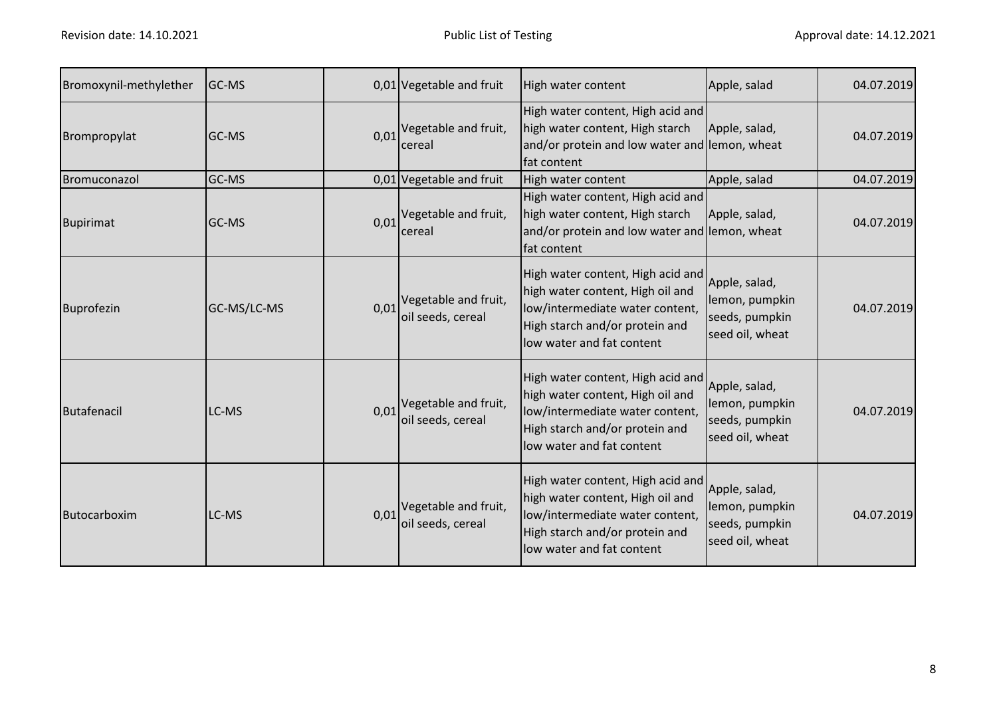| Bromoxynil-methylether | <b>GC-MS</b> |      | 0,01 Vegetable and fruit                  | High water content                                                                                                                                                      | Apple, salad                                                         | 04.07.2019 |
|------------------------|--------------|------|-------------------------------------------|-------------------------------------------------------------------------------------------------------------------------------------------------------------------------|----------------------------------------------------------------------|------------|
| Brompropylat           | <b>GC-MS</b> | 0,01 | Vegetable and fruit,<br>cereal            | High water content, High acid and<br>high water content, High starch<br>and/or protein and low water and lemon, wheat<br>fat content                                    | Apple, salad,                                                        | 04.07.2019 |
| Bromuconazol           | GC-MS        |      | 0,01 Vegetable and fruit                  | High water content                                                                                                                                                      | Apple, salad                                                         | 04.07.2019 |
| <b>Bupirimat</b>       | GC-MS        | 0,01 | Vegetable and fruit,<br>cereal            | High water content, High acid and<br>high water content, High starch<br>and/or protein and low water and lemon, wheat<br>fat content                                    | Apple, salad,                                                        | 04.07.2019 |
| <b>Buprofezin</b>      | GC-MS/LC-MS  | 0,01 | Vegetable and fruit,<br>oil seeds, cereal | High water content, High acid and<br>high water content, High oil and<br>low/intermediate water content,<br>High starch and/or protein and<br>low water and fat content | Apple, salad,<br>lemon, pumpkin<br>seeds, pumpkin<br>seed oil, wheat | 04.07.2019 |
| Butafenacil            | LC-MS        | 0,01 | Vegetable and fruit,<br>oil seeds, cereal | High water content, High acid and<br>high water content, High oil and<br>low/intermediate water content,<br>High starch and/or protein and<br>low water and fat content | Apple, salad,<br>lemon, pumpkin<br>seeds, pumpkin<br>seed oil, wheat | 04.07.2019 |
| Butocarboxim           | LC-MS        | 0,01 | Vegetable and fruit,<br>oil seeds, cereal | High water content, High acid and<br>high water content, High oil and<br>low/intermediate water content,<br>High starch and/or protein and<br>low water and fat content | Apple, salad,<br>lemon, pumpkin<br>seeds, pumpkin<br>seed oil, wheat | 04.07.2019 |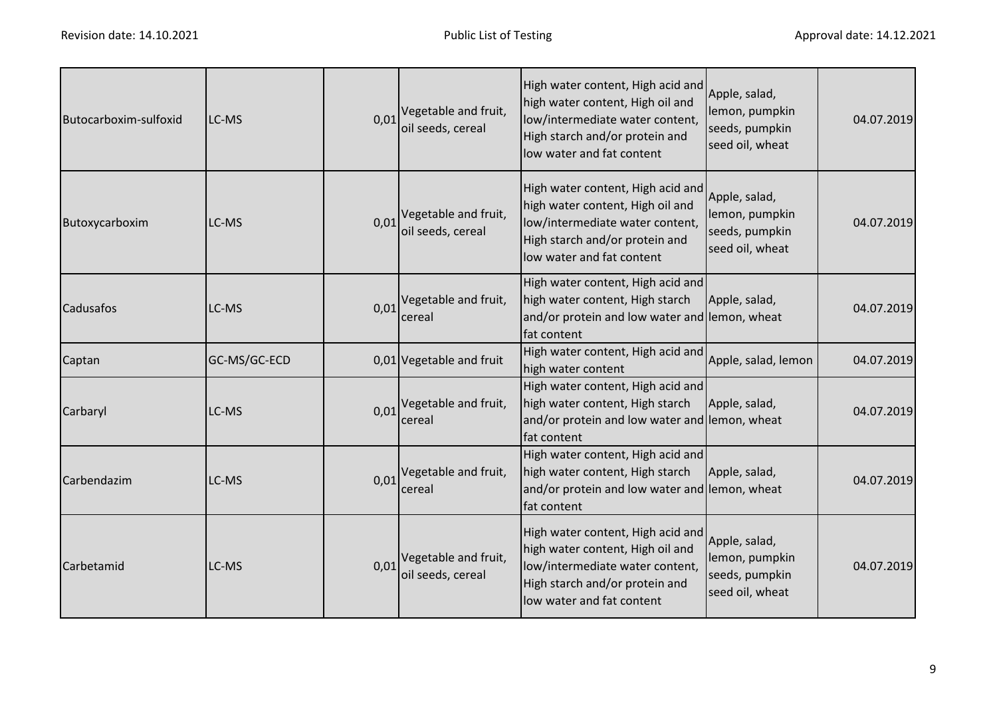| Butocarboxim-sulfoxid | LC-MS        | 0,01 | Vegetable and fruit,<br>oil seeds, cereal | High water content, High acid and<br>high water content, High oil and<br>low/intermediate water content,<br>High starch and/or protein and<br>low water and fat content | Apple, salad,<br>lemon, pumpkin<br>seeds, pumpkin<br>seed oil, wheat | 04.07.2019 |
|-----------------------|--------------|------|-------------------------------------------|-------------------------------------------------------------------------------------------------------------------------------------------------------------------------|----------------------------------------------------------------------|------------|
| Butoxycarboxim        | LC-MS        | 0,01 | Vegetable and fruit,<br>oil seeds, cereal | High water content, High acid and<br>high water content, High oil and<br>low/intermediate water content,<br>High starch and/or protein and<br>low water and fat content | Apple, salad,<br>lemon, pumpkin<br>seeds, pumpkin<br>seed oil, wheat | 04.07.2019 |
| <b>Cadusafos</b>      | LC-MS        | 0,01 | Vegetable and fruit,<br>cereal            | High water content, High acid and<br>high water content, High starch<br>and/or protein and low water and lemon, wheat<br>fat content                                    | Apple, salad,                                                        | 04.07.2019 |
| Captan                | GC-MS/GC-ECD |      | 0,01 Vegetable and fruit                  | High water content, High acid and<br>high water content                                                                                                                 | Apple, salad, lemon                                                  | 04.07.2019 |
| Carbaryl              | LC-MS        | 0.01 | Vegetable and fruit,<br>cereal            | High water content, High acid and<br>high water content, High starch<br>and/or protein and low water and lemon, wheat<br>fat content                                    | Apple, salad,                                                        | 04.07.2019 |
| Carbendazim           | LC-MS        | 0,01 | Vegetable and fruit,<br>cereal            | High water content, High acid and<br>high water content, High starch<br>and/or protein and low water and lemon, wheat<br>fat content                                    | Apple, salad,                                                        | 04.07.2019 |
| Carbetamid            | LC-MS        | 0,01 | Vegetable and fruit,<br>oil seeds, cereal | High water content, High acid and<br>high water content, High oil and<br>low/intermediate water content,<br>High starch and/or protein and<br>low water and fat content | Apple, salad,<br>lemon, pumpkin<br>seeds, pumpkin<br>seed oil, wheat | 04.07.2019 |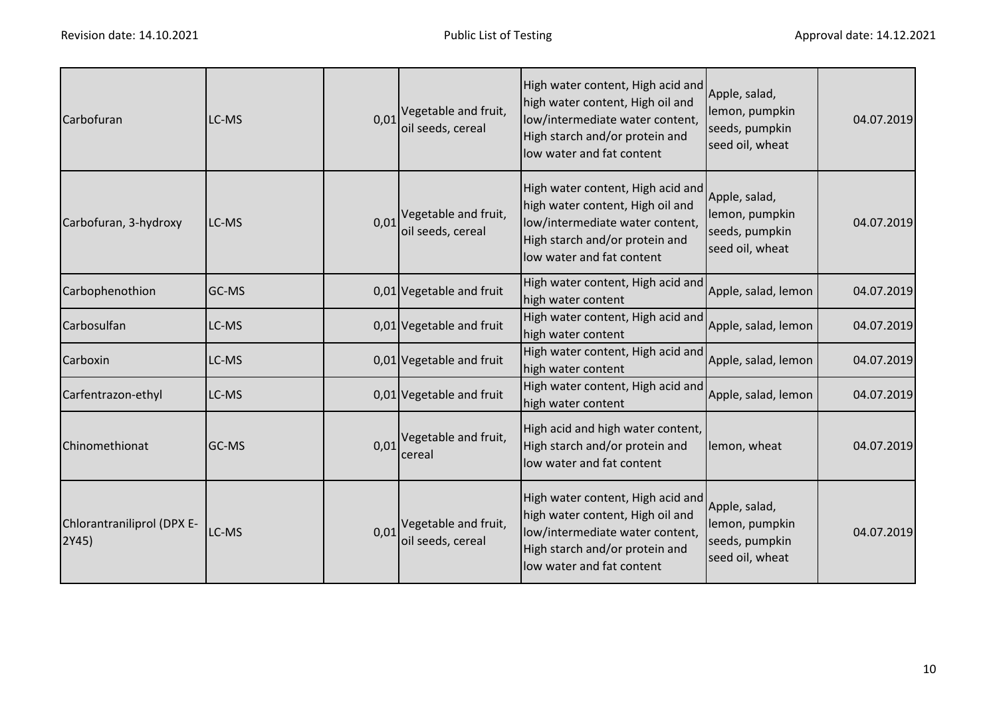| Carbofuran                          | LC-MS | 0.01 | Vegetable and fruit,<br>oil seeds, cereal | High water content, High acid and<br>high water content, High oil and<br>low/intermediate water content,<br>High starch and/or protein and<br>low water and fat content | Apple, salad,<br>lemon, pumpkin<br>seeds, pumpkin<br>seed oil, wheat | 04.07.2019 |
|-------------------------------------|-------|------|-------------------------------------------|-------------------------------------------------------------------------------------------------------------------------------------------------------------------------|----------------------------------------------------------------------|------------|
| Carbofuran, 3-hydroxy               | LC-MS | 0,01 | Vegetable and fruit,<br>oil seeds, cereal | High water content, High acid and<br>high water content, High oil and<br>low/intermediate water content,<br>High starch and/or protein and<br>low water and fat content | Apple, salad,<br>lemon, pumpkin<br>seeds, pumpkin<br>seed oil, wheat | 04.07.2019 |
| Carbophenothion                     | GC-MS |      | 0,01 Vegetable and fruit                  | High water content, High acid and<br>high water content                                                                                                                 | Apple, salad, lemon                                                  | 04.07.2019 |
| Carbosulfan                         | LC-MS |      | 0,01 Vegetable and fruit                  | High water content, High acid and<br>high water content                                                                                                                 | Apple, salad, lemon                                                  | 04.07.2019 |
| Carboxin                            | LC-MS |      | 0,01 Vegetable and fruit                  | High water content, High acid and<br>high water content                                                                                                                 | Apple, salad, lemon                                                  | 04.07.2019 |
| Carfentrazon-ethyl                  | LC-MS |      | 0,01 Vegetable and fruit                  | High water content, High acid and<br>high water content                                                                                                                 | Apple, salad, lemon                                                  | 04.07.2019 |
| Chinomethionat                      | GC-MS | 0,01 | Vegetable and fruit,<br>cereal            | High acid and high water content,<br>High starch and/or protein and<br>low water and fat content                                                                        | lemon, wheat                                                         | 04.07.2019 |
| Chlorantraniliprol (DPX E-<br>2Y45) | LC-MS | 0,01 | Vegetable and fruit,<br>oil seeds, cereal | High water content, High acid and<br>high water content, High oil and<br>low/intermediate water content,<br>High starch and/or protein and<br>low water and fat content | Apple, salad,<br>lemon, pumpkin<br>seeds, pumpkin<br>seed oil, wheat | 04.07.2019 |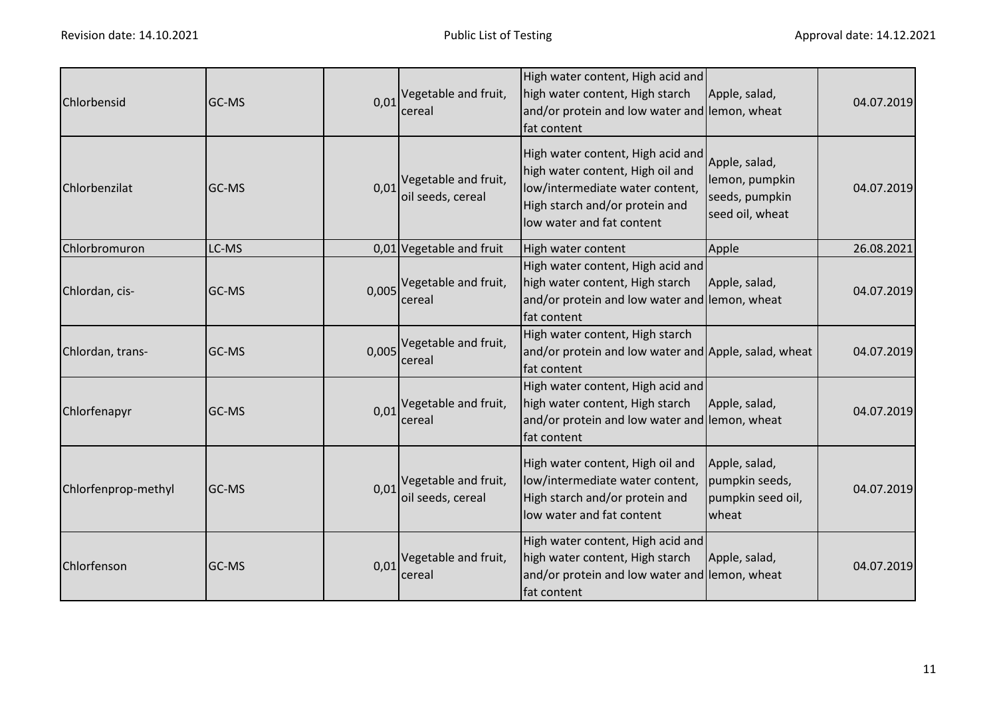| Chlorbensid         | <b>GC-MS</b> | 0,01  | Vegetable and fruit,<br>cereal            | High water content, High acid and<br>high water content, High starch<br>and/or protein and low water and lemon, wheat<br>fat content                                    | Apple, salad,                                                        | 04.07.2019 |
|---------------------|--------------|-------|-------------------------------------------|-------------------------------------------------------------------------------------------------------------------------------------------------------------------------|----------------------------------------------------------------------|------------|
| Chlorbenzilat       | <b>GC-MS</b> | 0,01  | Vegetable and fruit,<br>oil seeds, cereal | High water content, High acid and<br>high water content, High oil and<br>low/intermediate water content,<br>High starch and/or protein and<br>low water and fat content | Apple, salad,<br>lemon, pumpkin<br>seeds, pumpkin<br>seed oil, wheat | 04.07.2019 |
| Chlorbromuron       | LC-MS        |       | 0,01 Vegetable and fruit                  | High water content                                                                                                                                                      | Apple                                                                | 26.08.2021 |
| Chlordan, cis-      | <b>GC-MS</b> | 0,005 | Vegetable and fruit,<br>cereal            | High water content, High acid and<br>high water content, High starch<br>and/or protein and low water and lemon, wheat<br>fat content                                    | Apple, salad,                                                        | 04.07.2019 |
| Chlordan, trans-    | <b>GC-MS</b> | 0,005 | Vegetable and fruit,<br>cereal            | High water content, High starch<br>and/or protein and low water and Apple, salad, wheat<br>fat content                                                                  |                                                                      | 04.07.2019 |
| Chlorfenapyr        | GC-MS        | 0,01  | Vegetable and fruit,<br>cereal            | High water content, High acid and<br>high water content, High starch<br>and/or protein and low water and lemon, wheat<br>fat content                                    | Apple, salad,                                                        | 04.07.2019 |
| Chlorfenprop-methyl | GC-MS        | 0,01  | Vegetable and fruit,<br>oil seeds, cereal | High water content, High oil and<br>low/intermediate water content,<br>High starch and/or protein and<br>low water and fat content                                      | Apple, salad,<br>pumpkin seeds,<br>pumpkin seed oil,<br>wheat        | 04.07.2019 |
| Chlorfenson         | GC-MS        | 0,01  | Vegetable and fruit,<br>cereal            | High water content, High acid and<br>high water content, High starch<br>and/or protein and low water and lemon, wheat<br>fat content                                    | Apple, salad,                                                        | 04.07.2019 |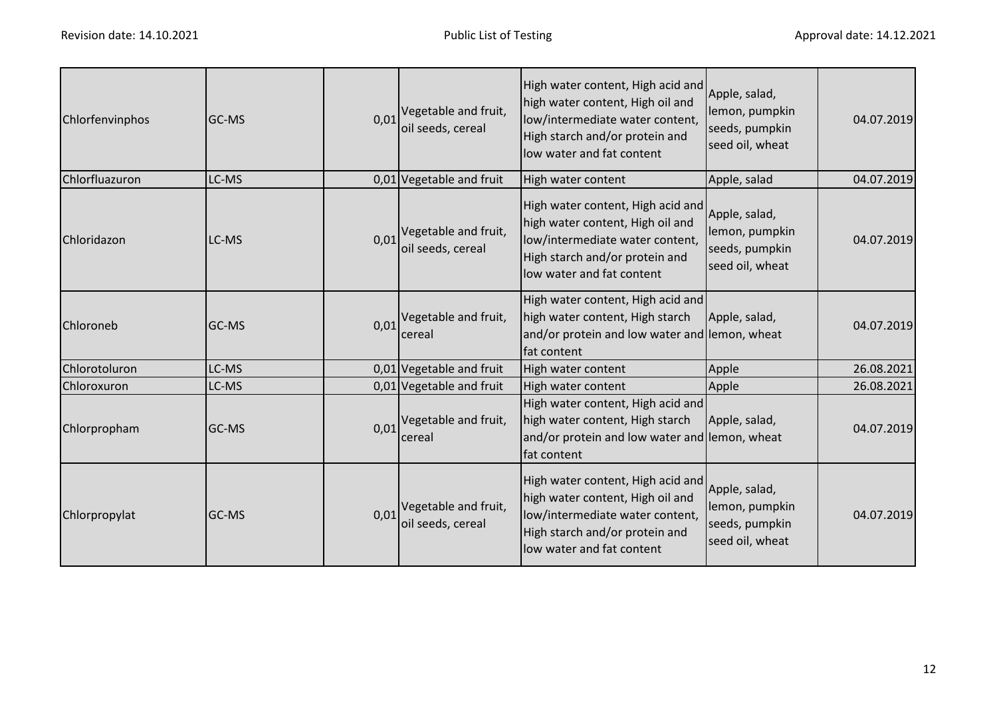| Chlorfenvinphos | GC-MS |      | $0.01$ <sup>Vegetable and fruit,</sup><br>oil seeds, cereal | High water content, High acid and<br>high water content, High oil and<br>low/intermediate water content,<br>High starch and/or protein and<br>low water and fat content  | Apple, salad,<br>lemon, pumpkin<br>seeds, pumpkin<br>seed oil, wheat | 04.07.2019 |
|-----------------|-------|------|-------------------------------------------------------------|--------------------------------------------------------------------------------------------------------------------------------------------------------------------------|----------------------------------------------------------------------|------------|
| Chlorfluazuron  | LC-MS |      | 0,01 Vegetable and fruit                                    | High water content                                                                                                                                                       | Apple, salad                                                         | 04.07.2019 |
| Chloridazon     | LC-MS |      | $0.01$ <sup>Vegetable and fruit,</sup><br>oil seeds, cereal | High water content, High acid and<br>high water content, High oil and<br>low/intermediate water content,<br>High starch and/or protein and<br>low water and fat content  | Apple, salad,<br>lemon, pumpkin<br>seeds, pumpkin<br>seed oil, wheat | 04.07.2019 |
| Chloroneb       | GC-MS | 0,01 | Vegetable and fruit,<br>cereal                              | High water content, High acid and<br>high water content, High starch<br>and/or protein and low water and lemon, wheat<br>fat content                                     | Apple, salad,                                                        | 04.07.2019 |
| Chlorotoluron   | LC-MS |      | 0,01 Vegetable and fruit                                    | High water content                                                                                                                                                       | Apple                                                                | 26.08.2021 |
| Chloroxuron     | LC-MS |      | 0,01 Vegetable and fruit                                    | High water content                                                                                                                                                       | Apple                                                                | 26.08.2021 |
| Chlorpropham    | GC-MS | 0,01 | Vegetable and fruit,<br>cereal                              | High water content, High acid and<br>high water content, High starch<br>and/or protein and low water and lemon, wheat<br>fat content                                     | Apple, salad,                                                        | 04.07.2019 |
| Chlorpropylat   | GC-MS | 0,01 | Vegetable and fruit,<br>oil seeds, cereal                   | High water content, High acid and<br>high water content, High oil and<br>low/intermediate water content,<br>High starch and/or protein and<br>llow water and fat content | Apple, salad,<br>lemon, pumpkin<br>seeds, pumpkin<br>seed oil, wheat | 04.07.2019 |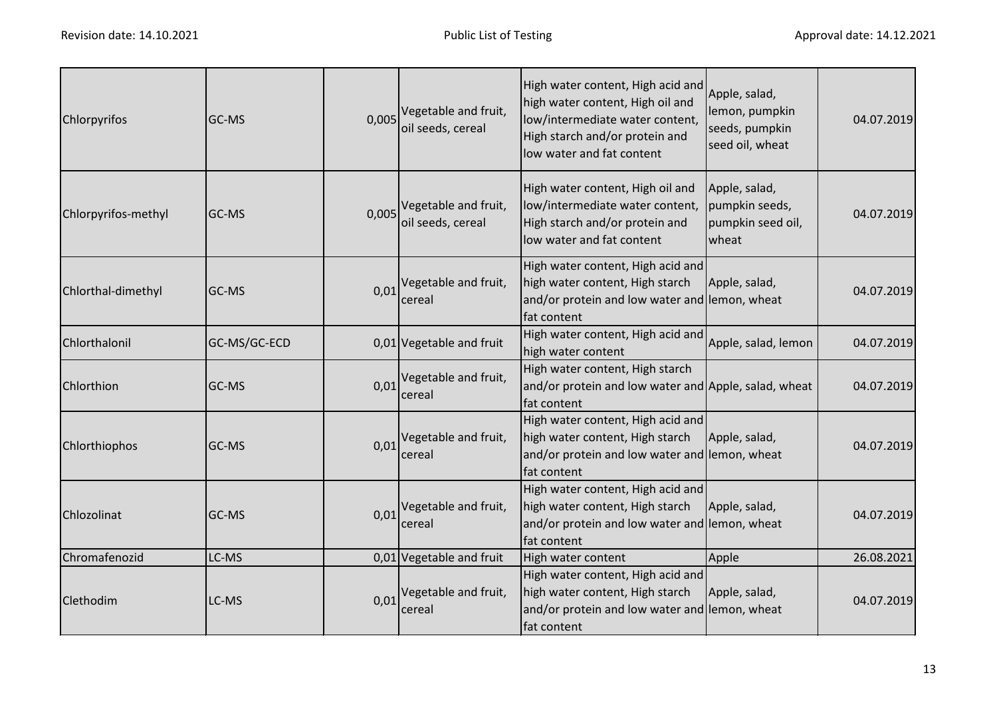| Chlorpyrifos        | <b>GC-MS</b> | 0,005 | Vegetable and fruit,<br>oil seeds, cereal | High water content, High acid and<br>high water content, High oil and<br>low/intermediate water content,<br>High starch and/or protein and<br>low water and fat content | Apple, salad,<br>lemon, pumpkin<br>seeds, pumpkin<br>seed oil, wheat | 04.07.2019 |
|---------------------|--------------|-------|-------------------------------------------|-------------------------------------------------------------------------------------------------------------------------------------------------------------------------|----------------------------------------------------------------------|------------|
| Chlorpyrifos-methyl | <b>GC-MS</b> | 0,005 | Vegetable and fruit,<br>oil seeds, cereal | High water content, High oil and<br>low/intermediate water content,<br>High starch and/or protein and<br>low water and fat content                                      | Apple, salad,<br>pumpkin seeds,<br>pumpkin seed oil,<br>wheat        | 04.07.2019 |
| Chlorthal-dimethyl  | GC-MS        | 0,01  | Vegetable and fruit,<br>cereal            | High water content, High acid and<br>high water content, High starch<br>and/or protein and low water and lemon, wheat<br>fat content                                    | Apple, salad,                                                        | 04.07.2019 |
| Chlorthalonil       | GC-MS/GC-ECD |       | 0,01 Vegetable and fruit                  | High water content, High acid and<br>high water content                                                                                                                 | Apple, salad, lemon                                                  | 04.07.2019 |
| Chlorthion          | GC-MS        | 0,01  | Vegetable and fruit,<br>cereal            | High water content, High starch<br>and/or protein and low water and Apple, salad, wheat<br>fat content                                                                  |                                                                      | 04.07.2019 |
| Chlorthiophos       | GC-MS        | 0,01  | Vegetable and fruit,<br>cereal            | High water content, High acid and<br>high water content, High starch<br>and/or protein and low water and lemon, wheat<br>fat content                                    | Apple, salad,                                                        | 04.07.2019 |
| Chlozolinat         | GC-MS        | 0,01  | Vegetable and fruit,<br>cereal            | High water content, High acid and<br>high water content, High starch<br>and/or protein and low water and lemon, wheat<br>fat content                                    | Apple, salad,                                                        | 04.07.2019 |
| Chromafenozid       | LC-MS        |       | 0,01 Vegetable and fruit                  | High water content                                                                                                                                                      | Apple                                                                | 26.08.2021 |
| Clethodim           | LC-MS        | 0,01  | Vegetable and fruit,<br>cereal            | High water content, High acid and<br>high water content, High starch<br>and/or protein and low water and lemon, wheat<br>fat content                                    | Apple, salad,                                                        | 04.07.2019 |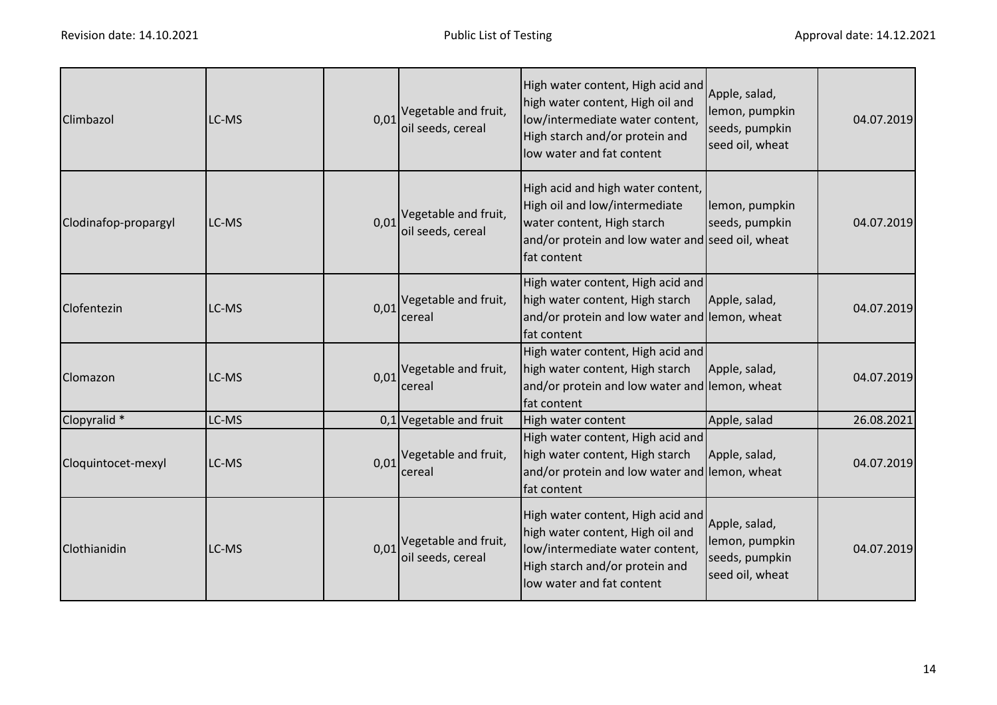| Climbazol            | LC-MS | 0,01 | Vegetable and fruit,<br>oil seeds, cereal | High water content, High acid and<br>high water content, High oil and<br>low/intermediate water content,<br>High starch and/or protein and<br>low water and fat content | Apple, salad,<br>lemon, pumpkin<br>seeds, pumpkin<br>seed oil, wheat | 04.07.2019 |
|----------------------|-------|------|-------------------------------------------|-------------------------------------------------------------------------------------------------------------------------------------------------------------------------|----------------------------------------------------------------------|------------|
| Clodinafop-propargyl | LC-MS | 0,01 | Vegetable and fruit,<br>oil seeds, cereal | High acid and high water content,<br>High oil and low/intermediate<br>water content, High starch<br>and/or protein and low water and seed oil, wheat<br>fat content     | lemon, pumpkin<br>seeds, pumpkin                                     | 04.07.2019 |
| Clofentezin          | LC-MS | 0,01 | Vegetable and fruit,<br>cereal            | High water content, High acid and<br>high water content, High starch<br>and/or protein and low water and lemon, wheat<br>fat content                                    | Apple, salad,                                                        | 04.07.2019 |
| Clomazon             | LC-MS | 0,01 | Vegetable and fruit,<br>cereal            | High water content, High acid and<br>high water content, High starch<br>and/or protein and low water and lemon, wheat<br>fat content                                    | Apple, salad,                                                        | 04.07.2019 |
| Clopyralid *         | LC-MS |      | $0,1$ Vegetable and fruit                 | High water content                                                                                                                                                      | Apple, salad                                                         | 26.08.2021 |
| Cloquintocet-mexyl   | LC-MS | 0,01 | Vegetable and fruit,<br>cereal            | High water content, High acid and<br>high water content, High starch<br>and/or protein and low water and lemon, wheat<br>fat content                                    | Apple, salad,                                                        | 04.07.2019 |
| Clothianidin         | LC-MS | 0,01 | Vegetable and fruit,<br>oil seeds, cereal | High water content, High acid and<br>high water content, High oil and<br>low/intermediate water content,<br>High starch and/or protein and<br>low water and fat content | Apple, salad,<br>lemon, pumpkin<br>seeds, pumpkin<br>seed oil, wheat | 04.07.2019 |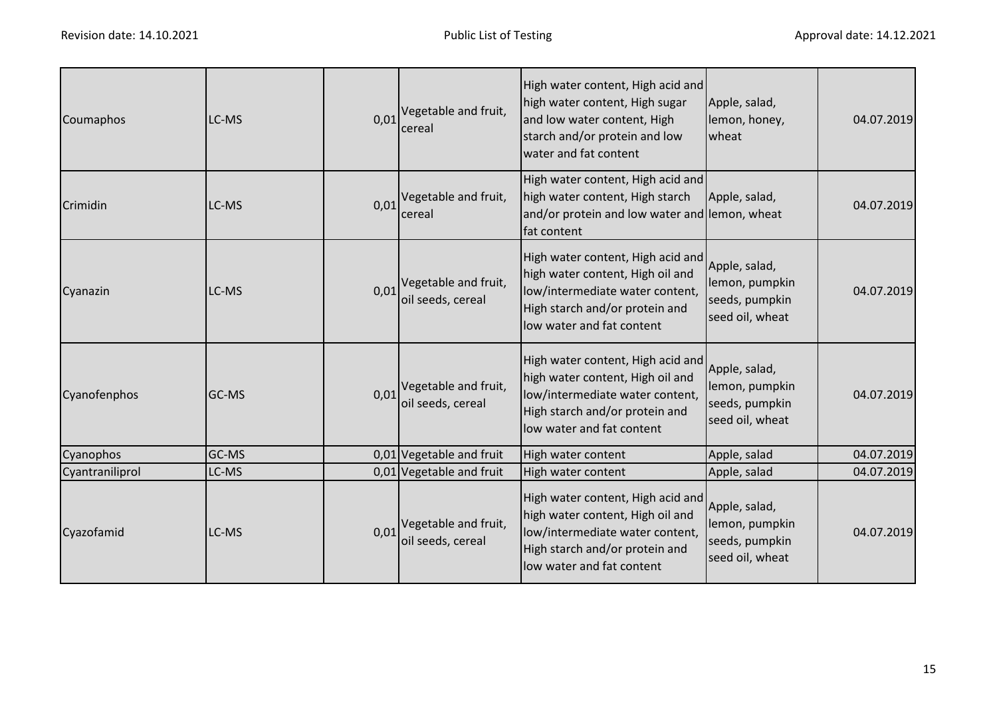| Coumaphos       | LC-MS | 0.01 | Vegetable and fruit,<br>cereal                              | High water content, High acid and<br>high water content, High sugar<br>and low water content, High<br>starch and/or protein and low<br>water and fat content            | Apple, salad,<br>lemon, honey,<br>wheat                              | 04.07.2019 |
|-----------------|-------|------|-------------------------------------------------------------|-------------------------------------------------------------------------------------------------------------------------------------------------------------------------|----------------------------------------------------------------------|------------|
| Crimidin        | LC-MS |      | $0.01$ <sup>Vegetable and fruit,</sup><br>cereal            | High water content, High acid and<br>high water content, High starch<br>and/or protein and low water and lemon, wheat<br>fat content                                    | Apple, salad,                                                        | 04.07.2019 |
| Cyanazin        | LC-MS |      | $0.01$ <sup>Vegetable and fruit,</sup><br>oil seeds, cereal | High water content, High acid and<br>high water content, High oil and<br>low/intermediate water content,<br>High starch and/or protein and<br>low water and fat content | Apple, salad,<br>lemon, pumpkin<br>seeds, pumpkin<br>seed oil, wheat | 04.07.2019 |
| Cyanofenphos    | GC-MS |      | $0.01$ <sup>Vegetable and fruit,</sup><br>oil seeds, cereal | High water content, High acid and<br>high water content, High oil and<br>low/intermediate water content,<br>High starch and/or protein and<br>low water and fat content | Apple, salad,<br>lemon, pumpkin<br>seeds, pumpkin<br>seed oil, wheat | 04.07.2019 |
| Cyanophos       | GC-MS |      | 0,01 Vegetable and fruit                                    | High water content                                                                                                                                                      | Apple, salad                                                         | 04.07.2019 |
| Cyantraniliprol | LC-MS |      | 0,01 Vegetable and fruit                                    | High water content                                                                                                                                                      | Apple, salad                                                         | 04.07.2019 |
| Cyazofamid      | LC-MS | 0.01 | Vegetable and fruit,<br>oil seeds, cereal                   | High water content, High acid and<br>high water content, High oil and<br>low/intermediate water content,<br>High starch and/or protein and<br>low water and fat content | Apple, salad,<br>lemon, pumpkin<br>seeds, pumpkin<br>seed oil, wheat | 04.07.2019 |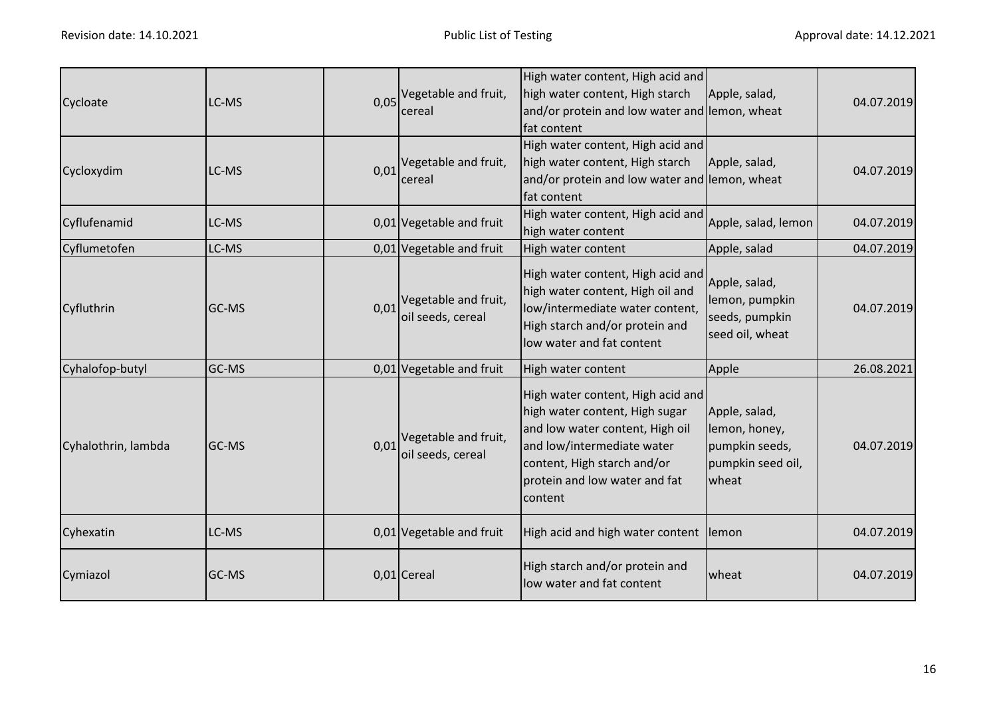| Cycloate            | LC-MS |      | 0,05 Vegetable and fruit,<br>cereal       | High water content, High acid and<br>high water content, High starch<br>and/or protein and low water and lemon, wheat<br>fat content                                                                            | Apple, salad,                                                                  | 04.07.2019 |
|---------------------|-------|------|-------------------------------------------|-----------------------------------------------------------------------------------------------------------------------------------------------------------------------------------------------------------------|--------------------------------------------------------------------------------|------------|
| Cycloxydim          | LC-MS | 0,01 | Vegetable and fruit,<br>cereal            | High water content, High acid and<br>high water content, High starch<br>and/or protein and low water and lemon, wheat<br>fat content                                                                            | Apple, salad,                                                                  | 04.07.2019 |
| Cyflufenamid        | LC-MS |      | 0,01 Vegetable and fruit                  | High water content, High acid and<br>high water content                                                                                                                                                         | Apple, salad, lemon                                                            | 04.07.2019 |
| Cyflumetofen        | LC-MS |      | $0.01$ Vegetable and fruit                | High water content                                                                                                                                                                                              | Apple, salad                                                                   | 04.07.2019 |
| Cyfluthrin          | GC-MS | 0,01 | Vegetable and fruit,<br>oil seeds, cereal | High water content, High acid and<br>high water content, High oil and<br>low/intermediate water content,<br>High starch and/or protein and<br>low water and fat content                                         | Apple, salad,<br>lemon, pumpkin<br>seeds, pumpkin<br>seed oil, wheat           | 04.07.2019 |
| Cyhalofop-butyl     | GC-MS |      | 0,01 Vegetable and fruit                  | High water content                                                                                                                                                                                              | Apple                                                                          | 26.08.2021 |
| Cyhalothrin, lambda | GC-MS | 0,01 | Vegetable and fruit,<br>oil seeds, cereal | High water content, High acid and<br>high water content, High sugar<br>and low water content, High oil<br>and low/intermediate water<br>content, High starch and/or<br>protein and low water and fat<br>content | Apple, salad,<br>lemon, honey,<br>pumpkin seeds,<br>pumpkin seed oil,<br>wheat | 04.07.2019 |
| Cyhexatin           | LC-MS |      | 0,01 Vegetable and fruit                  | High acid and high water content                                                                                                                                                                                | lemon                                                                          | 04.07.2019 |
| Cymiazol            | GC-MS |      | 0,01 Cereal                               | High starch and/or protein and<br>low water and fat content                                                                                                                                                     | wheat                                                                          | 04.07.2019 |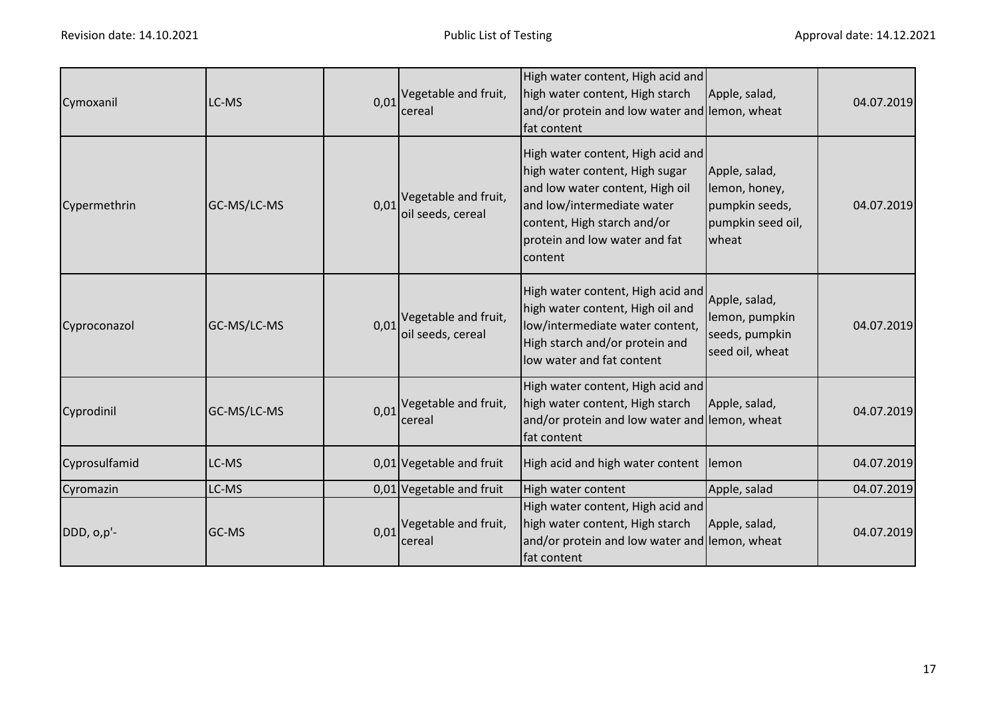| Cymoxanil     | LC-MS       | 0,01 | Vegetable and fruit,<br>cereal                   | High water content, High acid and<br>high water content, High starch<br>and/or protein and low water and lemon, wheat<br>fat content                                                                            | Apple, salad,                                                                  | 04.07.2019 |
|---------------|-------------|------|--------------------------------------------------|-----------------------------------------------------------------------------------------------------------------------------------------------------------------------------------------------------------------|--------------------------------------------------------------------------------|------------|
| Cypermethrin  | GC-MS/LC-MS | 0,01 | Vegetable and fruit,<br>oil seeds, cereal        | High water content, High acid and<br>high water content, High sugar<br>and low water content, High oil<br>and low/intermediate water<br>content, High starch and/or<br>protein and low water and fat<br>content | Apple, salad,<br>lemon, honey,<br>pumpkin seeds,<br>pumpkin seed oil,<br>wheat | 04.07.2019 |
| Cyproconazol  | GC-MS/LC-MS | 0,01 | Vegetable and fruit,<br>oil seeds, cereal        | High water content, High acid and<br>high water content, High oil and<br>low/intermediate water content,<br>High starch and/or protein and<br>low water and fat content                                         | Apple, salad,<br>lemon, pumpkin<br>seeds, pumpkin<br>seed oil, wheat           | 04.07.2019 |
| Cyprodinil    | GC-MS/LC-MS |      | $0.01$ <sup>Vegetable and fruit,</sup><br>cereal | High water content, High acid and<br>high water content, High starch<br>and/or protein and low water and lemon, wheat<br>fat content                                                                            | Apple, salad,                                                                  | 04.07.2019 |
| Cyprosulfamid | LC-MS       |      | 0,01 Vegetable and fruit                         | High acid and high water content lemon                                                                                                                                                                          |                                                                                | 04.07.2019 |
| Cyromazin     | LC-MS       |      | 0,01 Vegetable and fruit                         | High water content                                                                                                                                                                                              | Apple, salad                                                                   | 04.07.2019 |
| DDD, o,p'-    | GC-MS       | 0,01 | Vegetable and fruit,<br>cereal                   | High water content, High acid and<br>high water content, High starch<br>and/or protein and low water and lemon, wheat<br>fat content                                                                            | Apple, salad,                                                                  | 04.07.2019 |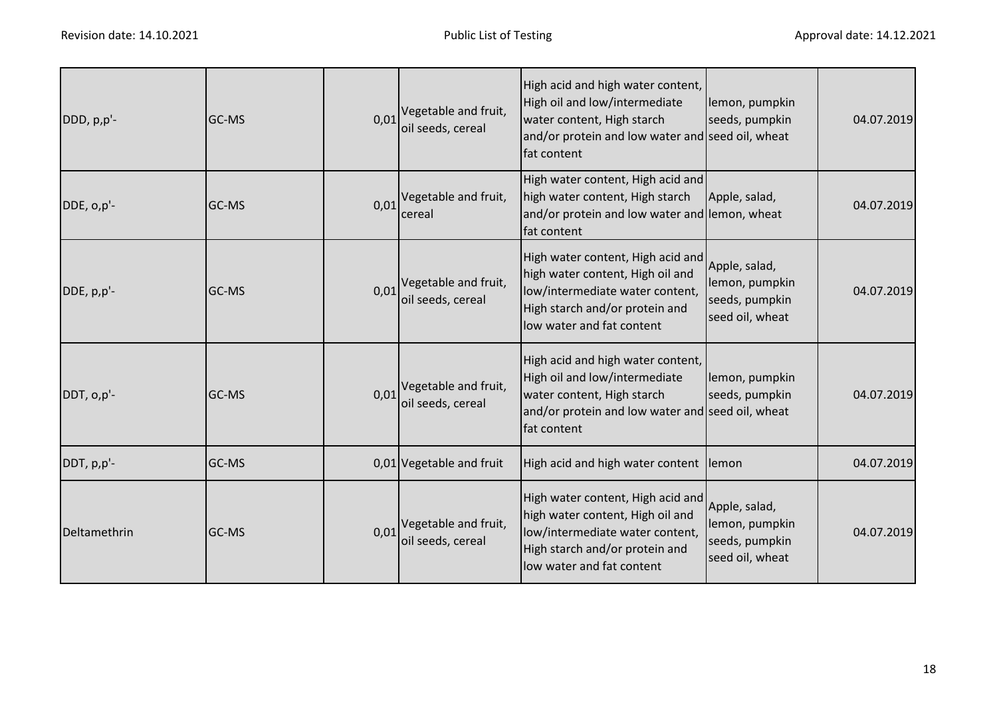| DDD, p,p'-   | <b>GC-MS</b> | 0.01 | Vegetable and fruit,<br>oil seeds, cereal        | High acid and high water content,<br>High oil and low/intermediate<br>water content, High starch<br>and/or protein and low water and seed oil, wheat<br>fat content     | lemon, pumpkin<br>seeds, pumpkin                                     | 04.07.2019 |
|--------------|--------------|------|--------------------------------------------------|-------------------------------------------------------------------------------------------------------------------------------------------------------------------------|----------------------------------------------------------------------|------------|
| DDE, o,p'-   | GC-MS        |      | $0.01$ <sup>Vegetable and fruit,</sup><br>cereal | High water content, High acid and<br>high water content, High starch<br>and/or protein and low water and lemon, wheat<br>fat content                                    | Apple, salad,                                                        | 04.07.2019 |
| DDE, p,p'-   | GC-MS        | 0,01 | Vegetable and fruit,<br>oil seeds, cereal        | High water content, High acid and<br>high water content, High oil and<br>low/intermediate water content,<br>High starch and/or protein and<br>low water and fat content | Apple, salad,<br>lemon, pumpkin<br>seeds, pumpkin<br>seed oil, wheat | 04.07.2019 |
| DDT, o,p'-   | <b>GC-MS</b> | 0.01 | Vegetable and fruit,<br>oil seeds, cereal        | High acid and high water content,<br>High oil and low/intermediate<br>water content, High starch<br>and/or protein and low water and seed oil, wheat<br>fat content     | lemon, pumpkin<br>seeds, pumpkin                                     | 04.07.2019 |
| DDT, p,p'-   | GC-MS        |      | 0,01 Vegetable and fruit                         | High acid and high water content lemon                                                                                                                                  |                                                                      | 04.07.2019 |
| Deltamethrin | GC-MS        | 0,01 | Vegetable and fruit,<br>oil seeds, cereal        | High water content, High acid and<br>high water content, High oil and<br>low/intermediate water content,<br>High starch and/or protein and<br>low water and fat content | Apple, salad,<br>lemon, pumpkin<br>seeds, pumpkin<br>seed oil, wheat | 04.07.2019 |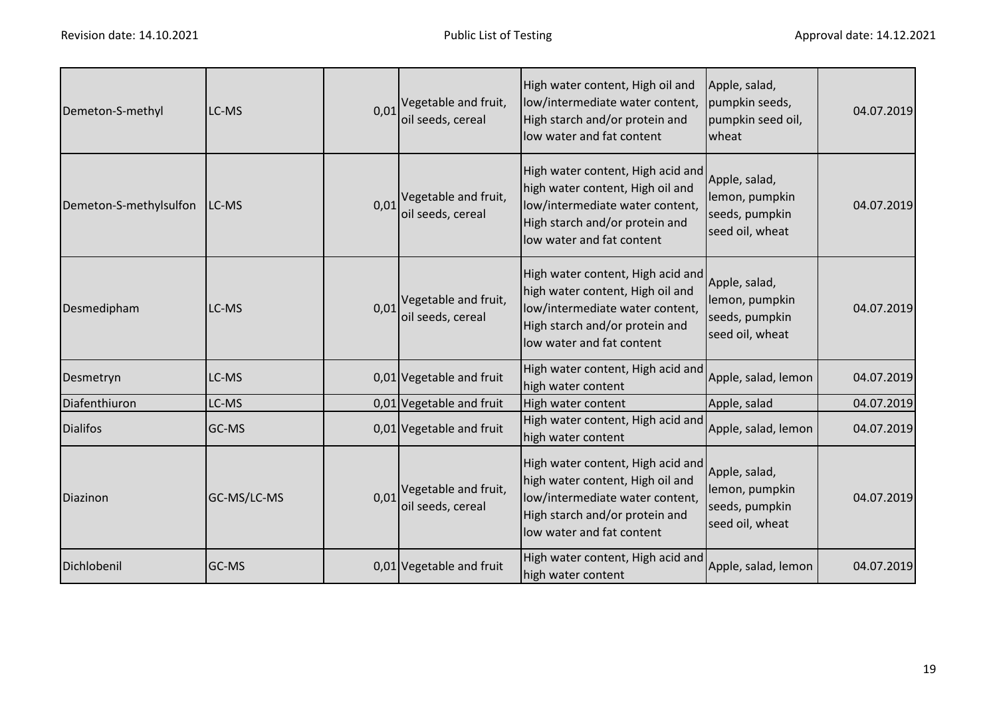| Demeton-S-methyl       | LC-MS       | 0,01 | Vegetable and fruit,<br>oil seeds, cereal | High water content, High oil and<br>low/intermediate water content,<br>High starch and/or protein and<br>low water and fat content                                      | Apple, salad,<br>pumpkin seeds,<br>pumpkin seed oil,<br>wheat        | 04.07.2019 |
|------------------------|-------------|------|-------------------------------------------|-------------------------------------------------------------------------------------------------------------------------------------------------------------------------|----------------------------------------------------------------------|------------|
| Demeton-S-methylsulfon | LC-MS       | 0,01 | Vegetable and fruit,<br>oil seeds, cereal | High water content, High acid and<br>high water content, High oil and<br>low/intermediate water content,<br>High starch and/or protein and<br>low water and fat content | Apple, salad,<br>lemon, pumpkin<br>seeds, pumpkin<br>seed oil, wheat | 04.07.2019 |
| Desmedipham            | LC-MS       | 0,01 | Vegetable and fruit,<br>oil seeds, cereal | High water content, High acid and<br>high water content, High oil and<br>low/intermediate water content,<br>High starch and/or protein and<br>low water and fat content | Apple, salad,<br>lemon, pumpkin<br>seeds, pumpkin<br>seed oil, wheat | 04.07.2019 |
| Desmetryn              | LC-MS       |      | 0,01 Vegetable and fruit                  | High water content, High acid and<br>high water content                                                                                                                 | Apple, salad, lemon                                                  | 04.07.2019 |
| Diafenthiuron          | LC-MS       |      | 0,01 Vegetable and fruit                  | High water content                                                                                                                                                      | Apple, salad                                                         | 04.07.2019 |
| <b>Dialifos</b>        | GC-MS       |      | 0,01 Vegetable and fruit                  | High water content, High acid and<br>high water content                                                                                                                 | Apple, salad, lemon                                                  | 04.07.2019 |
| Diazinon               | GC-MS/LC-MS | 0,01 | Vegetable and fruit,<br>oil seeds, cereal | High water content, High acid and<br>high water content, High oil and<br>low/intermediate water content,<br>High starch and/or protein and<br>low water and fat content | Apple, salad,<br>lemon, pumpkin<br>seeds, pumpkin<br>seed oil, wheat | 04.07.2019 |
| Dichlobenil            | GC-MS       |      | 0,01 Vegetable and fruit                  | High water content, High acid and<br>high water content                                                                                                                 | Apple, salad, lemon                                                  | 04.07.2019 |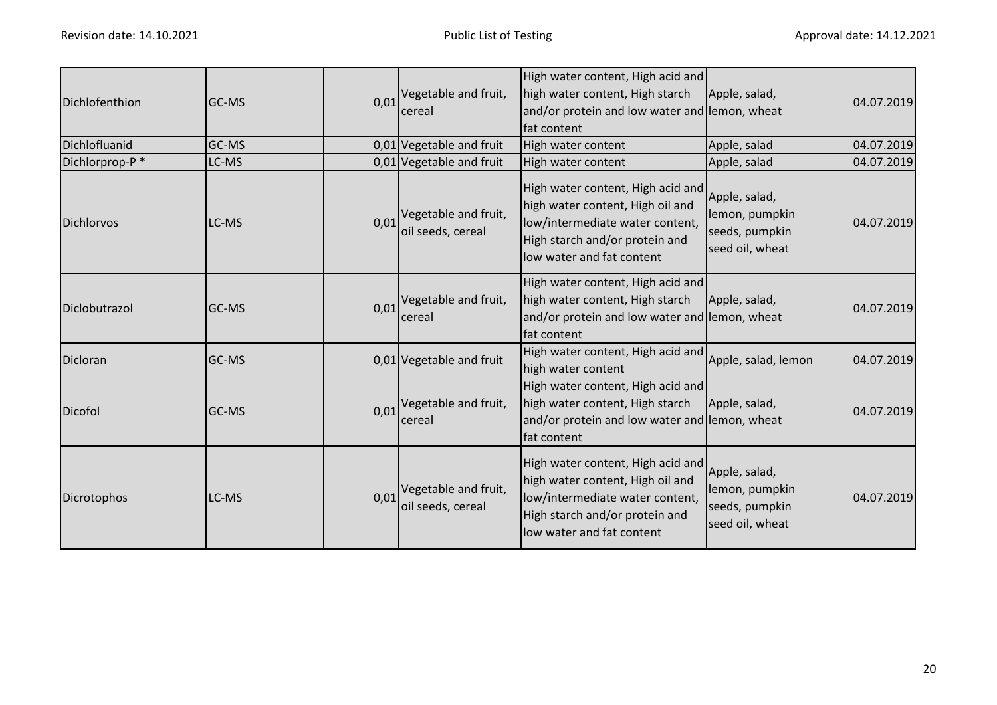| Dichlofenthion    | <b>GC-MS</b> |      | $0.01$ <sup>Vegetable and fruit,</sup><br>cereal | High water content, High acid and<br>high water content, High starch<br>and/or protein and low water and lemon, wheat<br>fat content                                    | Apple, salad,                                                        | 04.07.2019 |
|-------------------|--------------|------|--------------------------------------------------|-------------------------------------------------------------------------------------------------------------------------------------------------------------------------|----------------------------------------------------------------------|------------|
| Dichlofluanid     | GC-MS        |      | 0,01 Vegetable and fruit                         | High water content                                                                                                                                                      | Apple, salad                                                         | 04.07.2019 |
| Dichlorprop-P*    | LC-MS        |      | 0,01 Vegetable and fruit                         | High water content                                                                                                                                                      | Apple, salad                                                         | 04.07.2019 |
| <b>Dichlorvos</b> | LC-MS        | 0,01 | Vegetable and fruit,<br>oil seeds, cereal        | High water content, High acid and<br>high water content, High oil and<br>low/intermediate water content,<br>High starch and/or protein and<br>low water and fat content | Apple, salad,<br>lemon, pumpkin<br>seeds, pumpkin<br>seed oil, wheat | 04.07.2019 |
| Diclobutrazol     | GC-MS        | 0,01 | Vegetable and fruit,<br>cereal                   | High water content, High acid and<br>high water content, High starch<br>and/or protein and low water and lemon, wheat<br>fat content                                    | Apple, salad,                                                        | 04.07.2019 |
| Dicloran          | GC-MS        |      | 0,01 Vegetable and fruit                         | High water content, High acid and<br>high water content                                                                                                                 | Apple, salad, lemon                                                  | 04.07.2019 |
| Dicofol           | GC-MS        | 0,01 | Vegetable and fruit,<br>cereal                   | High water content, High acid and<br>high water content, High starch<br>and/or protein and low water and lemon, wheat<br>fat content                                    | Apple, salad,                                                        | 04.07.2019 |
| Dicrotophos       | LC-MS        | 0,01 | Vegetable and fruit,<br>oil seeds, cereal        | High water content, High acid and<br>high water content, High oil and<br>low/intermediate water content,<br>High starch and/or protein and<br>low water and fat content | Apple, salad,<br>lemon, pumpkin<br>seeds, pumpkin<br>seed oil, wheat | 04.07.2019 |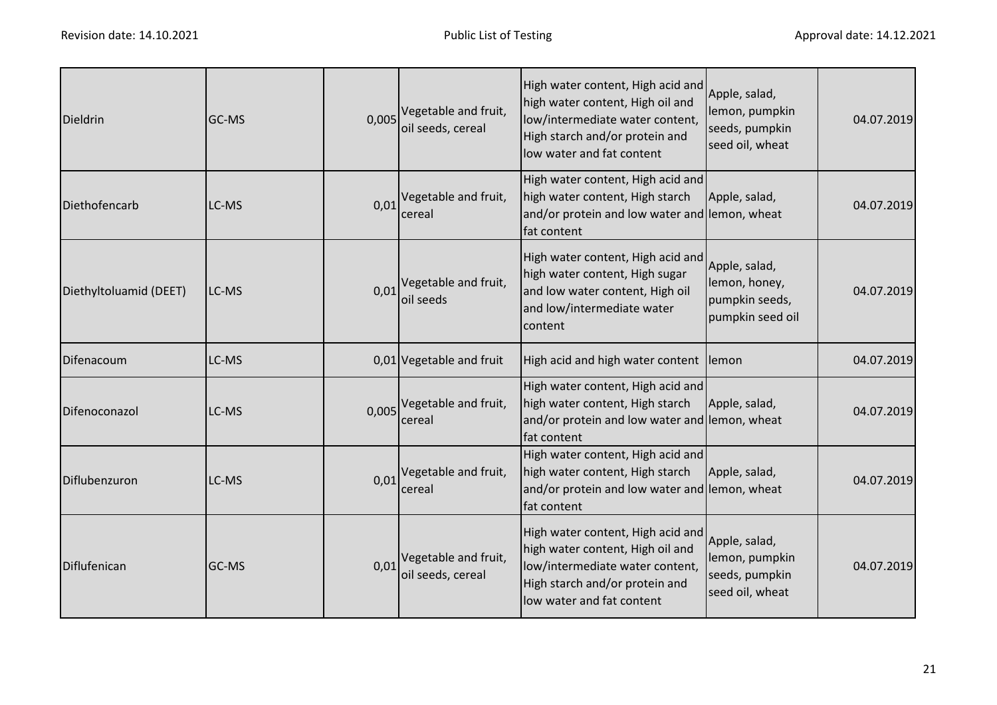| <b>Dieldrin</b>        | GC-MS | 0,005 | Vegetable and fruit,<br>oil seeds, cereal | High water content, High acid and<br>high water content, High oil and<br>low/intermediate water content,<br>High starch and/or protein and<br>low water and fat content | Apple, salad,<br>lemon, pumpkin<br>seeds, pumpkin<br>seed oil, wheat | 04.07.2019 |
|------------------------|-------|-------|-------------------------------------------|-------------------------------------------------------------------------------------------------------------------------------------------------------------------------|----------------------------------------------------------------------|------------|
| Diethofencarb          | LC-MS | 0,01  | Vegetable and fruit,<br>cereal            | High water content, High acid and<br>high water content, High starch<br>and/or protein and low water and lemon, wheat<br>fat content                                    | Apple, salad,                                                        | 04.07.2019 |
| Diethyltoluamid (DEET) | LC-MS | 0,01  | Vegetable and fruit,<br>oil seeds         | High water content, High acid and<br>high water content, High sugar<br>and low water content, High oil<br>and low/intermediate water<br>content                         | Apple, salad,<br>lemon, honey,<br>pumpkin seeds,<br>pumpkin seed oil | 04.07.2019 |
| Difenacoum             | LC-MS |       | 0,01 Vegetable and fruit                  | High acid and high water content lemon                                                                                                                                  |                                                                      | 04.07.2019 |
| Difenoconazol          | LC-MS |       | 0,005 Vegetable and fruit,<br>cereal      | High water content, High acid and<br>high water content, High starch<br>and/or protein and low water and lemon, wheat<br>fat content                                    | Apple, salad,                                                        | 04.07.2019 |
| Diflubenzuron          | LC-MS | 0,01  | Vegetable and fruit,<br>cereal            | High water content, High acid and<br>high water content, High starch<br>and/or protein and low water and lemon, wheat<br>fat content                                    | Apple, salad,                                                        | 04.07.2019 |
| Diflufenican           | GC-MS | 0,01  | Vegetable and fruit,<br>oil seeds, cereal | High water content, High acid and<br>high water content, High oil and<br>low/intermediate water content,<br>High starch and/or protein and<br>low water and fat content | Apple, salad,<br>lemon, pumpkin<br>seeds, pumpkin<br>seed oil, wheat | 04.07.2019 |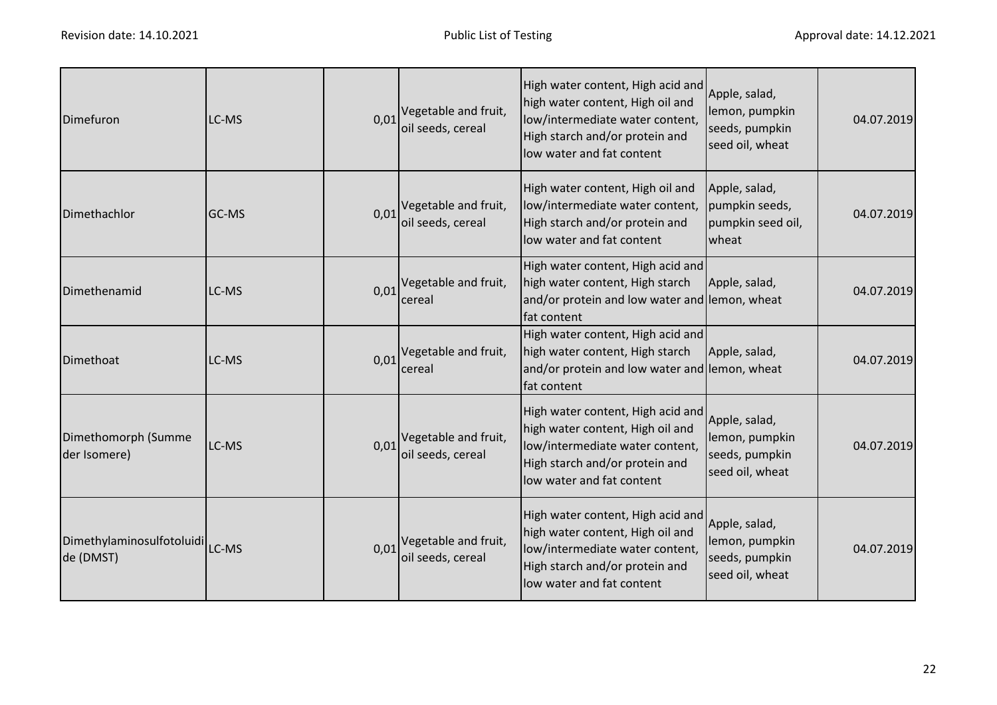| Dimefuron                                       | LC-MS | 0,01 | Vegetable and fruit,<br>oil seeds, cereal                   | High water content, High acid and<br>high water content, High oil and<br>low/intermediate water content,<br>High starch and/or protein and<br>low water and fat content | Apple, salad,<br>lemon, pumpkin<br>seeds, pumpkin<br>seed oil, wheat | 04.07.2019 |
|-------------------------------------------------|-------|------|-------------------------------------------------------------|-------------------------------------------------------------------------------------------------------------------------------------------------------------------------|----------------------------------------------------------------------|------------|
| Dimethachlor                                    | GC-MS | 0,01 | Vegetable and fruit,<br>oil seeds, cereal                   | High water content, High oil and<br>low/intermediate water content,<br>High starch and/or protein and<br>low water and fat content                                      | Apple, salad,<br>pumpkin seeds,<br>pumpkin seed oil,<br>wheat        | 04.07.2019 |
| Dimethenamid                                    | LC-MS | 0,01 | Vegetable and fruit,<br>cereal                              | High water content, High acid and<br>high water content, High starch<br>and/or protein and low water and lemon, wheat<br>fat content                                    | Apple, salad,                                                        | 04.07.2019 |
| Dimethoat                                       | LC-MS | 0,01 | Vegetable and fruit,<br>cereal                              | High water content, High acid and<br>high water content, High starch<br>and/or protein and low water and lemon, wheat<br>fat content                                    | Apple, salad,                                                        | 04.07.2019 |
| Dimethomorph (Summe<br>der Isomere)             | LC-MS | 0,01 | Vegetable and fruit,<br>oil seeds, cereal                   | High water content, High acid and<br>high water content, High oil and<br>low/intermediate water content,<br>High starch and/or protein and<br>low water and fat content | Apple, salad,<br>lemon, pumpkin<br>seeds, pumpkin<br>seed oil, wheat | 04.07.2019 |
| Dimethylaminosulfotoluidi<br>LC-MS<br>de (DMST) |       |      | $0.01$ <sup>Vegetable and fruit,</sup><br>oil seeds, cereal | High water content, High acid and<br>high water content, High oil and<br>low/intermediate water content,<br>High starch and/or protein and<br>low water and fat content | Apple, salad,<br>lemon, pumpkin<br>seeds, pumpkin<br>seed oil, wheat | 04.07.2019 |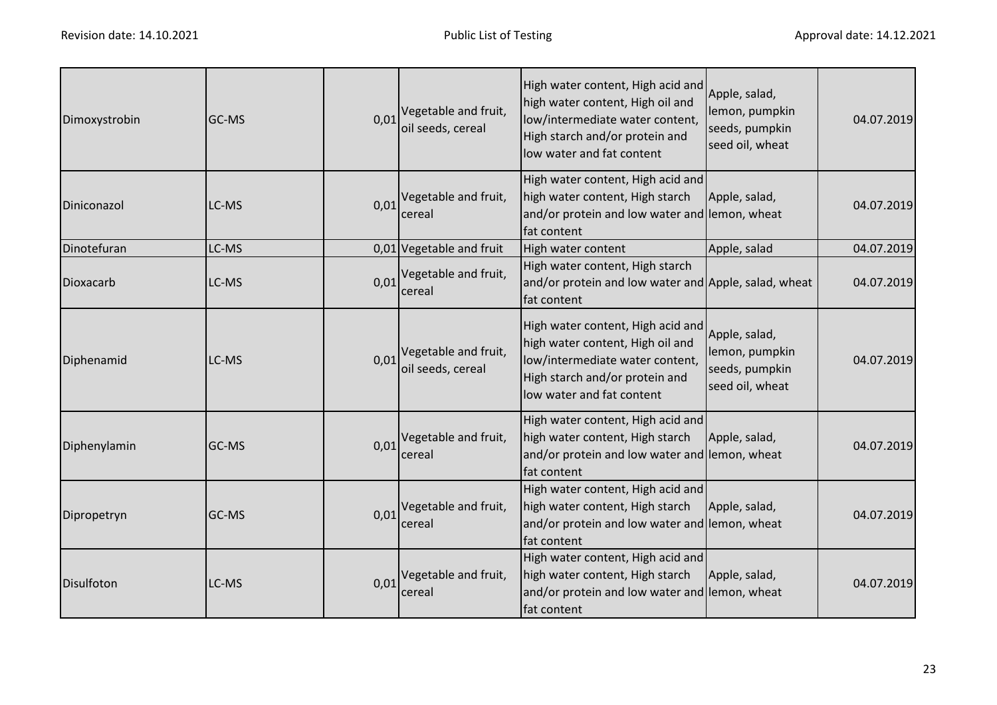| Dimoxystrobin | GC-MS        | 0,01 | Vegetable and fruit,<br>oil seeds, cereal                   | High water content, High acid and<br>high water content, High oil and<br>low/intermediate water content,<br>High starch and/or protein and<br>low water and fat content | Apple, salad,<br>lemon, pumpkin<br>seeds, pumpkin<br>seed oil, wheat | 04.07.2019 |
|---------------|--------------|------|-------------------------------------------------------------|-------------------------------------------------------------------------------------------------------------------------------------------------------------------------|----------------------------------------------------------------------|------------|
| Diniconazol   | LC-MS        |      | 0,01 Vegetable and fruit,<br>cereal                         | High water content, High acid and<br>high water content, High starch<br>and/or protein and low water and lemon, wheat<br>fat content                                    | Apple, salad,                                                        | 04.07.2019 |
| Dinotefuran   | LC-MS        |      | 0,01 Vegetable and fruit                                    | High water content                                                                                                                                                      | Apple, salad                                                         | 04.07.2019 |
| Dioxacarb     | LC-MS        | 0,01 | Vegetable and fruit,<br>cereal                              | High water content, High starch<br>and/or protein and low water and Apple, salad, wheat<br>fat content                                                                  |                                                                      | 04.07.2019 |
| Diphenamid    | LC-MS        |      | $0.01$ <sup>Vegetable and fruit,</sup><br>oil seeds, cereal | High water content, High acid and<br>high water content, High oil and<br>low/intermediate water content,<br>High starch and/or protein and<br>low water and fat content | Apple, salad,<br>lemon, pumpkin<br>seeds, pumpkin<br>seed oil, wheat | 04.07.2019 |
| Diphenylamin  | GC-MS        |      | $0.01$ <sup>Vegetable and fruit,</sup><br>cereal            | High water content, High acid and<br>high water content, High starch<br>and/or protein and low water and lemon, wheat<br>fat content                                    | Apple, salad,                                                        | 04.07.2019 |
| Dipropetryn   | <b>GC-MS</b> |      | 0,01 Vegetable and fruit,<br>cereal                         | High water content, High acid and<br>high water content, High starch<br>and/or protein and low water and lemon, wheat<br>fat content                                    | Apple, salad,                                                        | 04.07.2019 |
| Disulfoton    | LC-MS        |      | $0.01$ <sup>Vegetable and fruit,</sup><br>cereal            | High water content, High acid and<br>high water content, High starch<br>and/or protein and low water and lemon, wheat<br>fat content                                    | Apple, salad,                                                        | 04.07.2019 |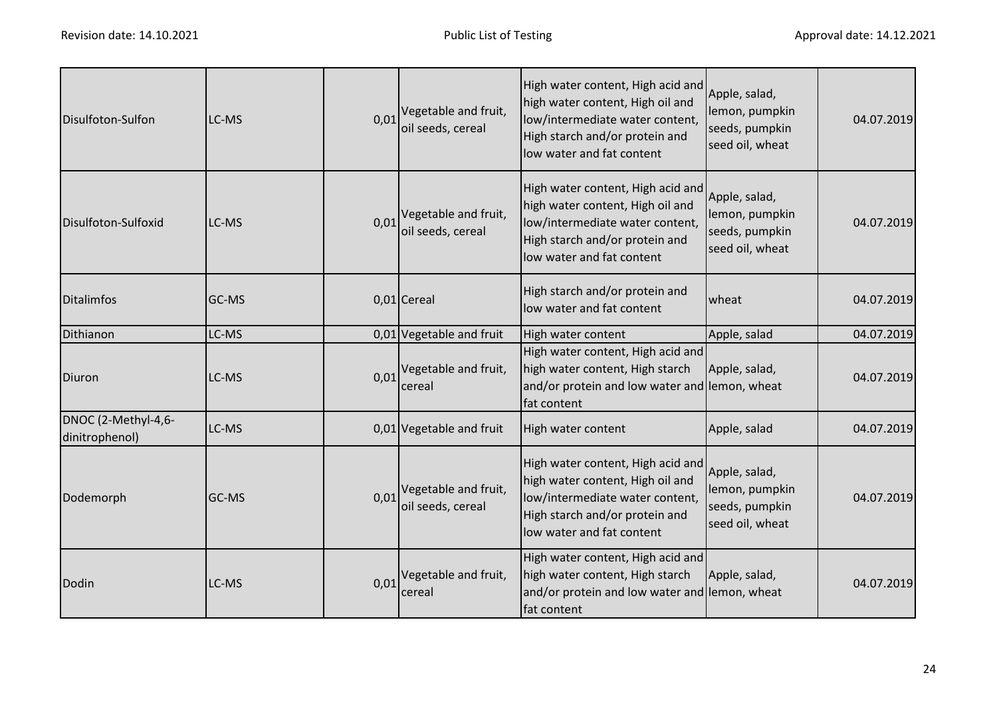| Disulfoton-Sulfon                     | LC-MS        | 0,01 | Vegetable and fruit,<br>oil seeds, cereal | High water content, High acid and<br>high water content, High oil and<br>low/intermediate water content,<br>High starch and/or protein and<br>low water and fat content | Apple, salad,<br>lemon, pumpkin<br>seeds, pumpkin<br>seed oil, wheat | 04.07.2019 |
|---------------------------------------|--------------|------|-------------------------------------------|-------------------------------------------------------------------------------------------------------------------------------------------------------------------------|----------------------------------------------------------------------|------------|
| Disulfoton-Sulfoxid                   | LC-MS        | 0,01 | Vegetable and fruit,<br>oil seeds, cereal | High water content, High acid and<br>high water content, High oil and<br>low/intermediate water content,<br>High starch and/or protein and<br>low water and fat content | Apple, salad,<br>lemon, pumpkin<br>seeds, pumpkin<br>seed oil, wheat | 04.07.2019 |
| <b>Ditalimfos</b>                     | <b>GC-MS</b> |      | 0,01 Cereal                               | High starch and/or protein and<br>low water and fat content                                                                                                             | wheat                                                                | 04.07.2019 |
| Dithianon                             | LC-MS        |      | 0,01 Vegetable and fruit                  | High water content                                                                                                                                                      | Apple, salad                                                         | 04.07.2019 |
| Diuron                                | LC-MS        | 0,01 | Vegetable and fruit,<br>cereal            | High water content, High acid and<br>high water content, High starch<br>and/or protein and low water and lemon, wheat<br>fat content                                    | Apple, salad,                                                        | 04.07.2019 |
| DNOC (2-Methyl-4,6-<br>dinitrophenol) | LC-MS        |      | 0,01 Vegetable and fruit                  | High water content                                                                                                                                                      | Apple, salad                                                         | 04.07.2019 |
| Dodemorph                             | GC-MS        | 0,01 | Vegetable and fruit,<br>oil seeds, cereal | High water content, High acid and<br>high water content, High oil and<br>low/intermediate water content,<br>High starch and/or protein and<br>low water and fat content | Apple, salad,<br>lemon, pumpkin<br>seeds, pumpkin<br>seed oil, wheat | 04.07.2019 |
| Dodin                                 | LC-MS        | 0,01 | Vegetable and fruit,<br>cereal            | High water content, High acid and<br>high water content, High starch<br>and/or protein and low water and lemon, wheat<br>fat content                                    | Apple, salad,                                                        | 04.07.2019 |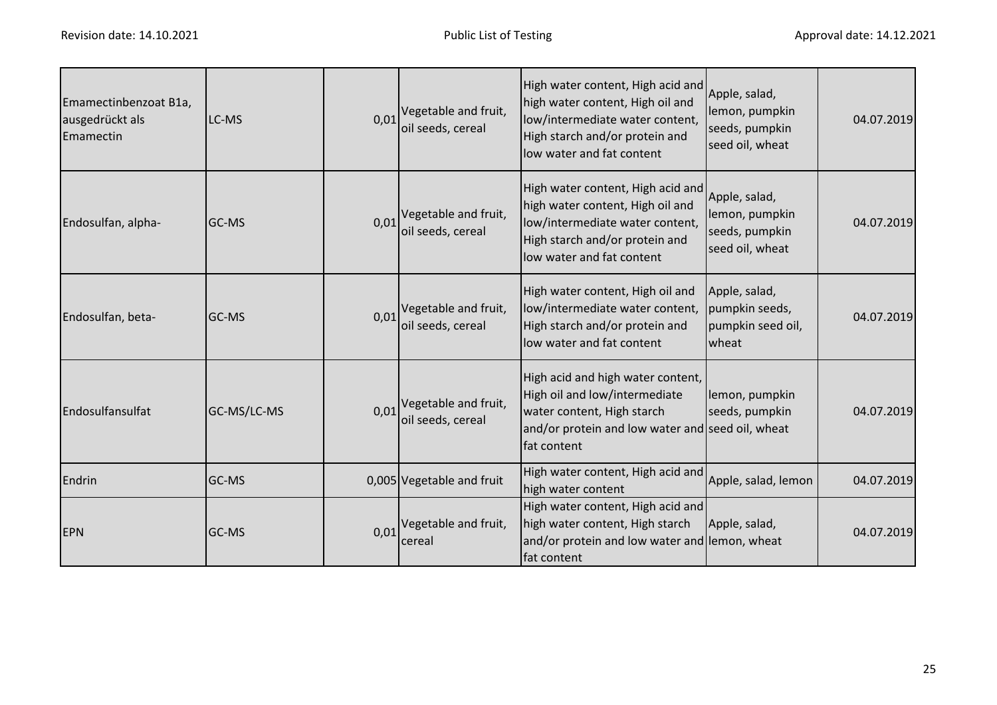| Emamectinbenzoat B1a,<br>ausgedrückt als<br>Emamectin | LC-MS        | 0,01 | Vegetable and fruit,<br>oil seeds, cereal | High water content, High acid and<br>high water content, High oil and<br>low/intermediate water content,<br>High starch and/or protein and<br>low water and fat content | Apple, salad,<br>lemon, pumpkin<br>seeds, pumpkin<br>seed oil, wheat | 04.07.2019 |
|-------------------------------------------------------|--------------|------|-------------------------------------------|-------------------------------------------------------------------------------------------------------------------------------------------------------------------------|----------------------------------------------------------------------|------------|
| Endosulfan, alpha-                                    | <b>GC-MS</b> | 0,01 | Vegetable and fruit,<br>oil seeds, cereal | High water content, High acid and<br>high water content, High oil and<br>low/intermediate water content,<br>High starch and/or protein and<br>low water and fat content | Apple, salad,<br>lemon, pumpkin<br>seeds, pumpkin<br>seed oil, wheat | 04.07.2019 |
| Endosulfan, beta-                                     | <b>GC-MS</b> | 0,01 | Vegetable and fruit,<br>oil seeds, cereal | High water content, High oil and<br>low/intermediate water content,<br>High starch and/or protein and<br>low water and fat content                                      | Apple, salad,<br>pumpkin seeds,<br>pumpkin seed oil,<br>wheat        | 04.07.2019 |
| Endosulfansulfat                                      | GC-MS/LC-MS  | 0,01 | Vegetable and fruit,<br>oil seeds, cereal | High acid and high water content,<br>High oil and low/intermediate<br>water content, High starch<br>and/or protein and low water and seed oil, wheat<br>fat content     | lemon, pumpkin<br>seeds, pumpkin                                     | 04.07.2019 |
| Endrin                                                | GC-MS        |      | 0,005 Vegetable and fruit                 | High water content, High acid and<br>high water content                                                                                                                 | Apple, salad, lemon                                                  | 04.07.2019 |
| <b>EPN</b>                                            | <b>GC-MS</b> | 0,01 | Vegetable and fruit,<br>cereal            | High water content, High acid and<br>high water content, High starch<br>and/or protein and low water and lemon, wheat<br>fat content                                    | Apple, salad,                                                        | 04.07.2019 |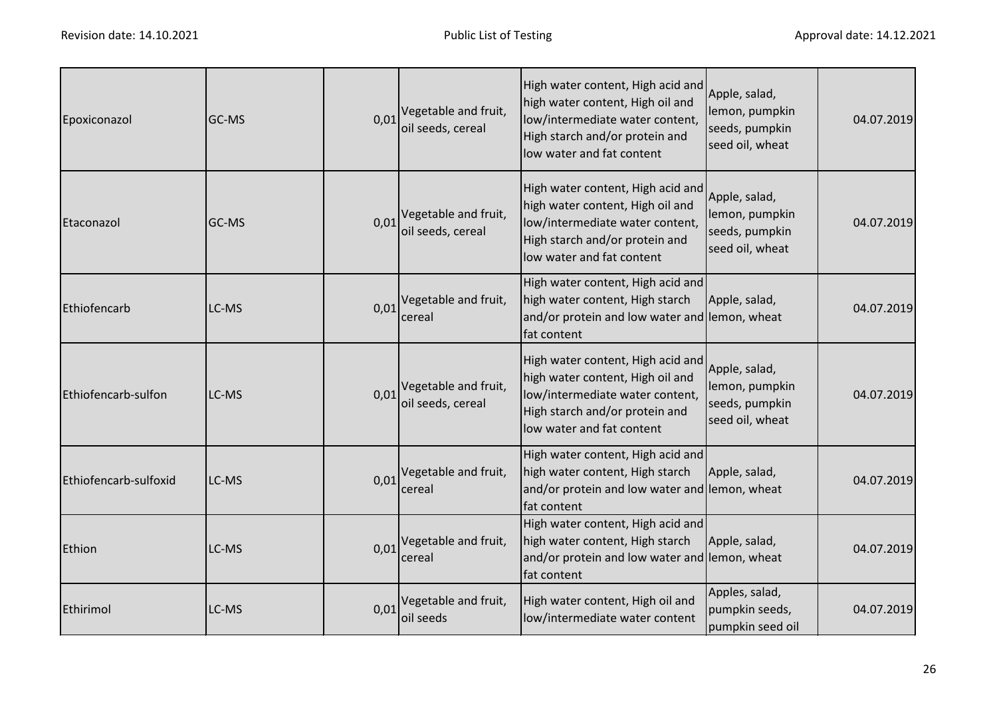| Epoxiconazol          | GC-MS | 0,01 | Vegetable and fruit,<br>oil seeds, cereal        | High water content, High acid and<br>high water content, High oil and<br>low/intermediate water content,<br>High starch and/or protein and<br>low water and fat content | Apple, salad,<br>lemon, pumpkin<br>seeds, pumpkin<br>seed oil, wheat | 04.07.2019 |
|-----------------------|-------|------|--------------------------------------------------|-------------------------------------------------------------------------------------------------------------------------------------------------------------------------|----------------------------------------------------------------------|------------|
| Etaconazol            | GC-MS | 0,01 | Vegetable and fruit,<br>oil seeds, cereal        | High water content, High acid and<br>high water content, High oil and<br>low/intermediate water content,<br>High starch and/or protein and<br>low water and fat content | Apple, salad,<br>lemon, pumpkin<br>seeds, pumpkin<br>seed oil, wheat | 04.07.2019 |
| Ethiofencarb          | LC-MS |      | $0.01$ <sup>Vegetable and fruit,</sup><br>cereal | High water content, High acid and<br>high water content, High starch<br>and/or protein and low water and lemon, wheat<br>fat content                                    | Apple, salad,                                                        | 04.07.2019 |
| Ethiofencarb-sulfon   | LC-MS | 0,01 | Vegetable and fruit,<br>oil seeds, cereal        | High water content, High acid and<br>high water content, High oil and<br>low/intermediate water content,<br>High starch and/or protein and<br>low water and fat content | Apple, salad,<br>lemon, pumpkin<br>seeds, pumpkin<br>seed oil, wheat | 04.07.2019 |
| Ethiofencarb-sulfoxid | LC-MS |      | $0.01$ <sup>Vegetable and fruit,</sup><br>cereal | High water content, High acid and<br>high water content, High starch<br>and/or protein and low water and lemon, wheat<br>fat content                                    | Apple, salad,                                                        | 04.07.2019 |
| Ethion                | LC-MS |      | $0.01$ <sup>Vegetable and fruit,</sup><br>cereal | High water content, High acid and<br>high water content, High starch<br>and/or protein and low water and lemon, wheat<br>fat content                                    | Apple, salad,                                                        | 04.07.2019 |
| Ethirimol             | LC-MS | 0.01 | Vegetable and fruit,<br>oil seeds                | High water content, High oil and<br>low/intermediate water content                                                                                                      | Apples, salad,<br>pumpkin seeds,<br>pumpkin seed oil                 | 04.07.2019 |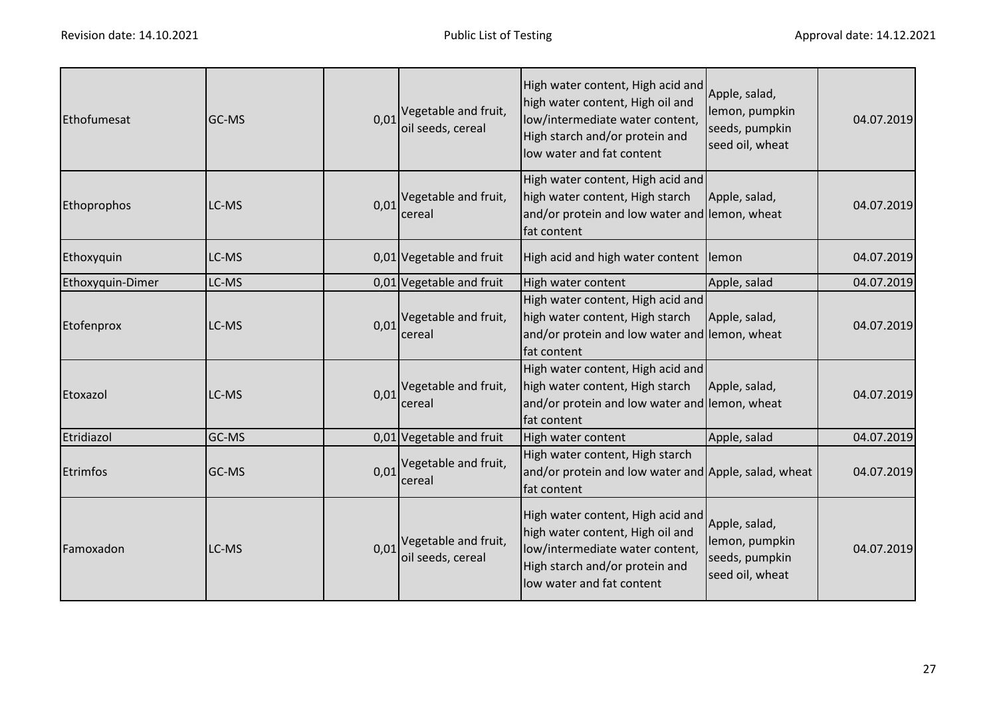| Ethofumesat      | GC-MS | 0,01 | Vegetable and fruit,<br>oil seeds, cereal                   | High water content, High acid and<br>high water content, High oil and<br>low/intermediate water content,<br>High starch and/or protein and<br>low water and fat content | Apple, salad,<br>lemon, pumpkin<br>seeds, pumpkin<br>seed oil, wheat | 04.07.2019 |
|------------------|-------|------|-------------------------------------------------------------|-------------------------------------------------------------------------------------------------------------------------------------------------------------------------|----------------------------------------------------------------------|------------|
| Ethoprophos      | LC-MS |      | $0.01$ <sup>Vegetable and fruit,</sup><br>cereal            | High water content, High acid and<br>high water content, High starch<br>and/or protein and low water and lemon, wheat<br>fat content                                    | Apple, salad,                                                        | 04.07.2019 |
| Ethoxyquin       | LC-MS |      | 0,01 Vegetable and fruit                                    | High acid and high water content lemon                                                                                                                                  |                                                                      | 04.07.2019 |
| Ethoxyquin-Dimer | LC-MS |      | 0,01 Vegetable and fruit                                    | High water content                                                                                                                                                      | Apple, salad                                                         | 04.07.2019 |
| Etofenprox       | LC-MS |      | $0.01$ <sup>Vegetable and fruit,</sup><br>cereal            | High water content, High acid and<br>high water content, High starch<br>and/or protein and low water and lemon, wheat<br>fat content                                    | Apple, salad,                                                        | 04.07.2019 |
| Etoxazol         | LC-MS |      | $0.01$ <sup>Vegetable and fruit,</sup><br>cereal            | High water content, High acid and<br>high water content, High starch<br>and/or protein and low water and lemon, wheat<br>fat content                                    | Apple, salad,                                                        | 04.07.2019 |
| Etridiazol       | GC-MS |      | 0,01 Vegetable and fruit                                    | High water content                                                                                                                                                      | Apple, salad                                                         | 04.07.2019 |
| <b>Etrimfos</b>  | GC-MS | 0,01 | Vegetable and fruit,<br>cereal                              | High water content, High starch<br>and/or protein and low water and Apple, salad, wheat<br>fat content                                                                  |                                                                      | 04.07.2019 |
| Famoxadon        | LC-MS |      | $0.01$ <sup>Vegetable and fruit,</sup><br>oil seeds, cereal | High water content, High acid and<br>high water content, High oil and<br>low/intermediate water content,<br>High starch and/or protein and<br>low water and fat content | Apple, salad,<br>lemon, pumpkin<br>seeds, pumpkin<br>seed oil, wheat | 04.07.2019 |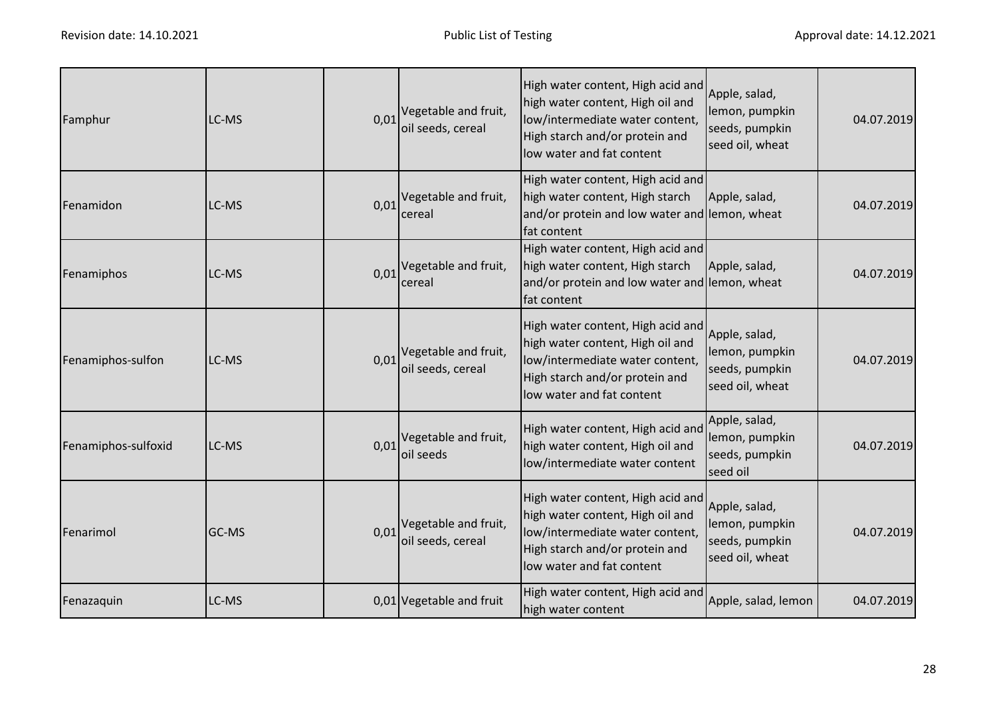| Famphur             | LC-MS | 0,01 | Vegetable and fruit,<br>oil seeds, cereal | High water content, High acid and<br>high water content, High oil and<br>low/intermediate water content,<br>High starch and/or protein and<br>low water and fat content | Apple, salad,<br>lemon, pumpkin<br>seeds, pumpkin<br>seed oil, wheat | 04.07.2019 |
|---------------------|-------|------|-------------------------------------------|-------------------------------------------------------------------------------------------------------------------------------------------------------------------------|----------------------------------------------------------------------|------------|
| Fenamidon           | LC-MS | 0,01 | Vegetable and fruit,<br>cereal            | High water content, High acid and<br>high water content, High starch<br>and/or protein and low water and lemon, wheat<br>fat content                                    | Apple, salad,                                                        | 04.07.2019 |
| Fenamiphos          | LC-MS | 0,01 | Vegetable and fruit,<br>cereal            | High water content, High acid and<br>high water content, High starch<br>and/or protein and low water and lemon, wheat<br>fat content                                    | Apple, salad,                                                        | 04.07.2019 |
| Fenamiphos-sulfon   | LC-MS | 0,01 | Vegetable and fruit,<br>oil seeds, cereal | High water content, High acid and<br>high water content, High oil and<br>low/intermediate water content,<br>High starch and/or protein and<br>low water and fat content | Apple, salad,<br>lemon, pumpkin<br>seeds, pumpkin<br>seed oil, wheat | 04.07.2019 |
| Fenamiphos-sulfoxid | LC-MS | 0,01 | Vegetable and fruit,<br>oil seeds         | High water content, High acid and<br>high water content, High oil and<br>low/intermediate water content                                                                 | Apple, salad,<br>lemon, pumpkin<br>seeds, pumpkin<br>seed oil        | 04.07.2019 |
| Fenarimol           | GC-MS | 0,01 | Vegetable and fruit,<br>oil seeds, cereal | High water content, High acid and<br>high water content, High oil and<br>low/intermediate water content,<br>High starch and/or protein and<br>low water and fat content | Apple, salad,<br>lemon, pumpkin<br>seeds, pumpkin<br>seed oil, wheat | 04.07.2019 |
| Fenazaquin          | LC-MS |      | 0,01 Vegetable and fruit                  | High water content, High acid and<br>high water content                                                                                                                 | Apple, salad, lemon                                                  | 04.07.2019 |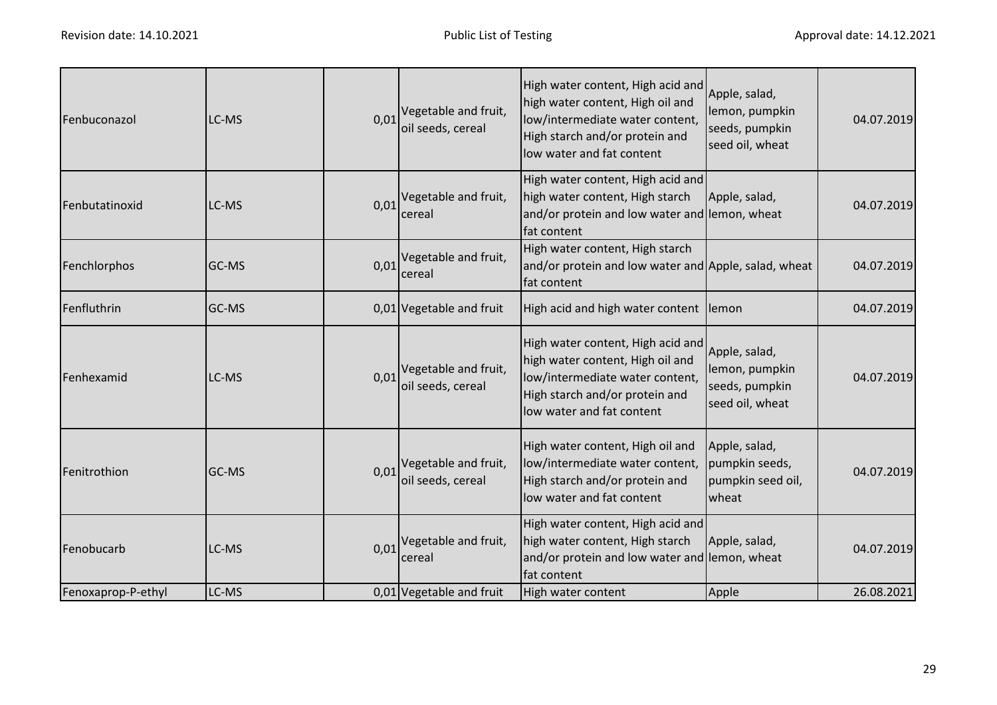| Fenbuconazol       | LC-MS | 0,01 | Vegetable and fruit,<br>oil seeds, cereal        | High water content, High acid and<br>high water content, High oil and<br>low/intermediate water content,<br>High starch and/or protein and<br>low water and fat content | Apple, salad,<br>lemon, pumpkin<br>seeds, pumpkin<br>seed oil, wheat | 04.07.2019 |
|--------------------|-------|------|--------------------------------------------------|-------------------------------------------------------------------------------------------------------------------------------------------------------------------------|----------------------------------------------------------------------|------------|
| Fenbutatinoxid     | LC-MS | 0,01 | Vegetable and fruit,<br>cereal                   | High water content, High acid and<br>high water content, High starch<br>and/or protein and low water and lemon, wheat<br>fat content                                    | Apple, salad,                                                        | 04.07.2019 |
| Fenchlorphos       | GC-MS | 0,01 | Vegetable and fruit,<br>cereal                   | High water content, High starch<br>and/or protein and low water and Apple, salad, wheat<br>fat content                                                                  |                                                                      | 04.07.2019 |
| Fenfluthrin        | GC-MS |      | 0,01 Vegetable and fruit                         | High acid and high water content lemon                                                                                                                                  |                                                                      | 04.07.2019 |
| Fenhexamid         | LC-MS | 0,01 | Vegetable and fruit,<br>oil seeds, cereal        | High water content, High acid and<br>high water content, High oil and<br>low/intermediate water content,<br>High starch and/or protein and<br>low water and fat content | Apple, salad,<br>lemon, pumpkin<br>seeds, pumpkin<br>seed oil, wheat | 04.07.2019 |
| Fenitrothion       | GC-MS | 0,01 | Vegetable and fruit,<br>oil seeds, cereal        | High water content, High oil and<br>low/intermediate water content,<br>High starch and/or protein and<br>low water and fat content                                      | Apple, salad,<br>pumpkin seeds,<br>pumpkin seed oil,<br>wheat        | 04.07.2019 |
| Fenobucarb         | LC-MS |      | $0.01$ <sup>Vegetable and fruit,</sup><br>cereal | High water content, High acid and<br>high water content, High starch<br>and/or protein and low water and lemon, wheat<br>fat content                                    | Apple, salad,                                                        | 04.07.2019 |
| Fenoxaprop-P-ethyl | LC-MS |      | 0,01 Vegetable and fruit                         | High water content                                                                                                                                                      | Apple                                                                | 26.08.2021 |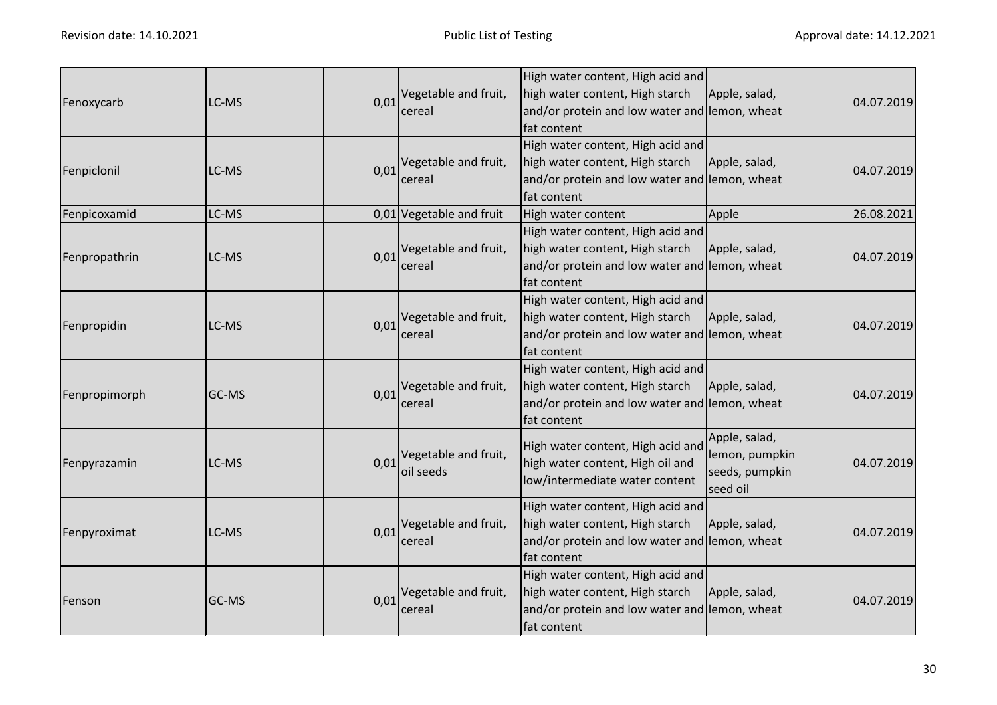| Fenoxycarb    | LC-MS | 0,01 | Vegetable and fruit,<br>cereal      | High water content, High acid and<br>high water content, High starch<br>and/or protein and low water and lemon, wheat<br>fat content | Apple, salad,                                                 | 04.07.2019 |
|---------------|-------|------|-------------------------------------|--------------------------------------------------------------------------------------------------------------------------------------|---------------------------------------------------------------|------------|
| Fenpiclonil   | LC-MS |      | 0,01 Vegetable and fruit,<br>cereal | High water content, High acid and<br>high water content, High starch<br>and/or protein and low water and lemon, wheat<br>fat content | Apple, salad,                                                 | 04.07.2019 |
| Fenpicoxamid  | LC-MS |      | 0,01 Vegetable and fruit            | High water content                                                                                                                   | Apple                                                         | 26.08.2021 |
| Fenpropathrin | LC-MS | 0,01 | Vegetable and fruit,<br>cereal      | High water content, High acid and<br>high water content, High starch<br>and/or protein and low water and lemon, wheat<br>fat content | Apple, salad,                                                 | 04.07.2019 |
| Fenpropidin   | LC-MS | 0,01 | Vegetable and fruit,<br>cereal      | High water content, High acid and<br>high water content, High starch<br>and/or protein and low water and lemon, wheat<br>fat content | Apple, salad,                                                 | 04.07.2019 |
| Fenpropimorph | GC-MS | 0,01 | Vegetable and fruit,<br>cereal      | High water content, High acid and<br>high water content, High starch<br>and/or protein and low water and lemon, wheat<br>fat content | Apple, salad,                                                 | 04.07.2019 |
| Fenpyrazamin  | LC-MS | 0,01 | Vegetable and fruit,<br>oil seeds   | High water content, High acid and<br>high water content, High oil and<br>low/intermediate water content                              | Apple, salad,<br>lemon, pumpkin<br>seeds, pumpkin<br>seed oil | 04.07.2019 |
| Fenpyroximat  | LC-MS | 0,01 | Vegetable and fruit,<br>cereal      | High water content, High acid and<br>high water content, High starch<br>and/or protein and low water and lemon, wheat<br>fat content | Apple, salad,                                                 | 04.07.2019 |
| Fenson        | GC-MS | 0,01 | Vegetable and fruit,<br>cereal      | High water content, High acid and<br>high water content, High starch<br>and/or protein and low water and lemon, wheat<br>fat content | Apple, salad,                                                 | 04.07.2019 |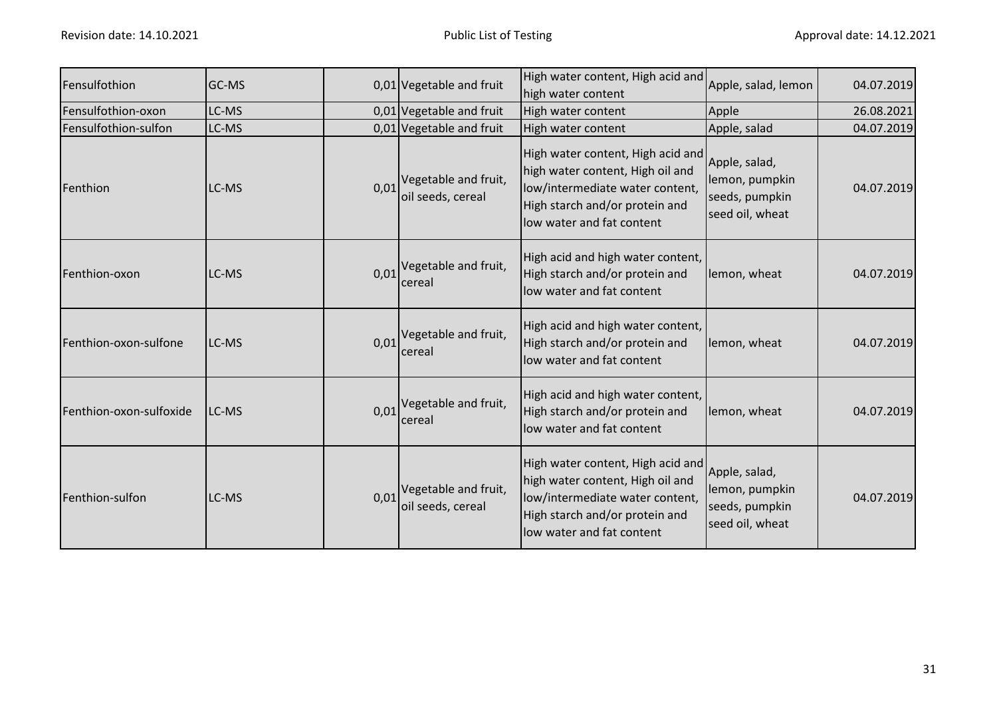| Fensulfothion           | <b>GC-MS</b> |      | 0,01 Vegetable and fruit                         | High water content, High acid and<br>high water content                                                                                                                 | Apple, salad, lemon                                                  | 04.07.2019 |
|-------------------------|--------------|------|--------------------------------------------------|-------------------------------------------------------------------------------------------------------------------------------------------------------------------------|----------------------------------------------------------------------|------------|
| Fensulfothion-oxon      | LC-MS        |      | 0,01 Vegetable and fruit                         | High water content                                                                                                                                                      | Apple                                                                | 26.08.2021 |
| Fensulfothion-sulfon    | LC-MS        |      | 0,01 Vegetable and fruit                         | High water content                                                                                                                                                      | Apple, salad                                                         | 04.07.2019 |
| Fenthion                | LC-MS        | 0,01 | Vegetable and fruit,<br>oil seeds, cereal        | High water content, High acid and<br>high water content, High oil and<br>low/intermediate water content,<br>High starch and/or protein and<br>low water and fat content | Apple, salad,<br>lemon, pumpkin<br>seeds, pumpkin<br>seed oil, wheat | 04.07.2019 |
| Fenthion-oxon           | LC-MS        |      | $0.01$ <sup>Vegetable and fruit,</sup><br>cereal | High acid and high water content,<br>High starch and/or protein and<br>low water and fat content                                                                        | lemon, wheat                                                         | 04.07.2019 |
| Fenthion-oxon-sulfone   | LC-MS        | 0,01 | Vegetable and fruit,<br>cereal                   | High acid and high water content,<br>High starch and/or protein and<br>low water and fat content                                                                        | lemon, wheat                                                         | 04.07.2019 |
| Fenthion-oxon-sulfoxide | LC-MS        |      | $0.01$ <sup>Vegetable and fruit,</sup><br>cereal | High acid and high water content,<br>High starch and/or protein and<br>low water and fat content                                                                        | lemon, wheat                                                         | 04.07.2019 |
| Fenthion-sulfon         | LC-MS        | 0,01 | Vegetable and fruit,<br>oil seeds, cereal        | High water content, High acid and<br>high water content, High oil and<br>low/intermediate water content,<br>High starch and/or protein and<br>low water and fat content | Apple, salad,<br>lemon, pumpkin<br>seeds, pumpkin<br>seed oil, wheat | 04.07.2019 |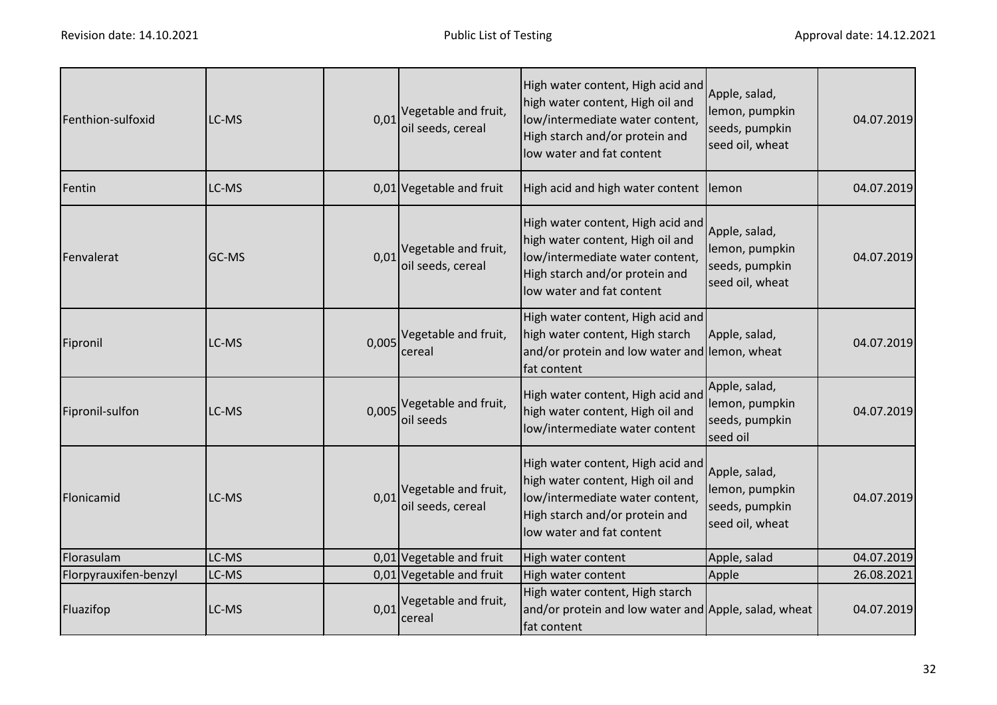| Fenthion-sulfoxid     | LC-MS | 0,01  | Vegetable and fruit,<br>oil seeds, cereal | High water content, High acid and<br>high water content, High oil and<br>low/intermediate water content,<br>High starch and/or protein and<br>low water and fat content | Apple, salad,<br>lemon, pumpkin<br>seeds, pumpkin<br>seed oil, wheat | 04.07.2019 |
|-----------------------|-------|-------|-------------------------------------------|-------------------------------------------------------------------------------------------------------------------------------------------------------------------------|----------------------------------------------------------------------|------------|
| Fentin                | LC-MS |       | 0,01 Vegetable and fruit                  | High acid and high water content lemon                                                                                                                                  |                                                                      | 04.07.2019 |
| Fenvalerat            | GC-MS | 0,01  | Vegetable and fruit,<br>oil seeds, cereal | High water content, High acid and<br>high water content, High oil and<br>low/intermediate water content,<br>High starch and/or protein and<br>low water and fat content | Apple, salad,<br>lemon, pumpkin<br>seeds, pumpkin<br>seed oil, wheat | 04.07.2019 |
| Fipronil              | LC-MS | 0,005 | Vegetable and fruit,<br>cereal            | High water content, High acid and<br>high water content, High starch<br>and/or protein and low water and lemon, wheat<br>fat content                                    | Apple, salad,                                                        | 04.07.2019 |
| Fipronil-sulfon       | LC-MS |       | 0,005 Vegetable and fruit,<br>oil seeds   | High water content, High acid and<br>high water content, High oil and<br>low/intermediate water content                                                                 | Apple, salad,<br>lemon, pumpkin<br>seeds, pumpkin<br>seed oil        | 04.07.2019 |
| Flonicamid            | LC-MS | 0,01  | Vegetable and fruit,<br>oil seeds, cereal | High water content, High acid and<br>high water content, High oil and<br>low/intermediate water content,<br>High starch and/or protein and<br>low water and fat content | Apple, salad,<br>lemon, pumpkin<br>seeds, pumpkin<br>seed oil, wheat | 04.07.2019 |
| Florasulam            | LC-MS |       | 0,01 Vegetable and fruit                  | High water content                                                                                                                                                      | Apple, salad                                                         | 04.07.2019 |
| Florpyrauxifen-benzyl | LC-MS |       | 0,01 Vegetable and fruit                  | High water content                                                                                                                                                      | Apple                                                                | 26.08.2021 |
| Fluazifop             | LC-MS | 0,01  | Vegetable and fruit,<br>cereal            | High water content, High starch<br>and/or protein and low water and Apple, salad, wheat<br>fat content                                                                  |                                                                      | 04.07.2019 |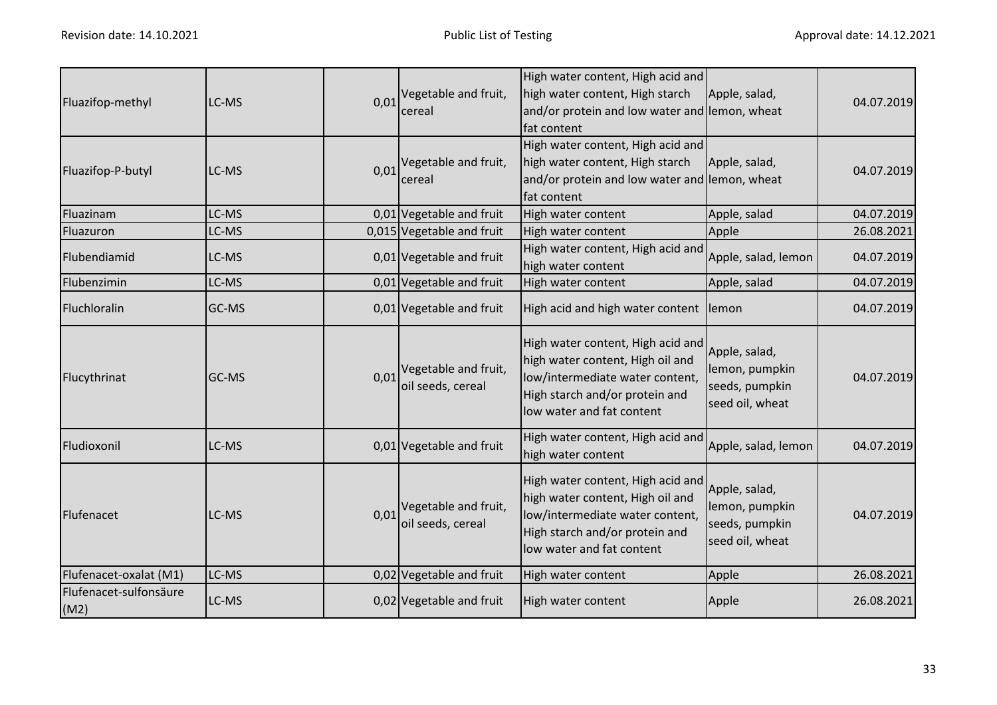| Fluazifop-methyl               | LC-MS |      | 0,01 Vegetable and fruit,<br>cereal       | High water content, High acid and<br>high water content, High starch<br>and/or protein and low water and lemon, wheat<br>fat content                                    | Apple, salad,                                                        | 04.07.2019 |
|--------------------------------|-------|------|-------------------------------------------|-------------------------------------------------------------------------------------------------------------------------------------------------------------------------|----------------------------------------------------------------------|------------|
| Fluazifop-P-butyl              | LC-MS | 0,01 | Vegetable and fruit,<br>cereal            | High water content, High acid and<br>high water content, High starch<br>and/or protein and low water and lemon, wheat<br>fat content                                    | Apple, salad,                                                        | 04.07.2019 |
| Fluazinam                      | LC-MS |      | 0,01 Vegetable and fruit                  | High water content                                                                                                                                                      | Apple, salad                                                         | 04.07.2019 |
| Fluazuron                      | LC-MS |      | 0,015 Vegetable and fruit                 | High water content                                                                                                                                                      | Apple                                                                | 26.08.2021 |
| Flubendiamid                   | LC-MS |      | 0,01 Vegetable and fruit                  | High water content, High acid and<br>high water content                                                                                                                 | Apple, salad, lemon                                                  | 04.07.2019 |
| Flubenzimin                    | LC-MS |      | 0,01 Vegetable and fruit                  | High water content                                                                                                                                                      | Apple, salad                                                         | 04.07.2019 |
| Fluchloralin                   | GC-MS |      | 0,01 Vegetable and fruit                  | High acid and high water content lemon                                                                                                                                  |                                                                      | 04.07.2019 |
| Flucythrinat                   | GC-MS | 0,01 | Vegetable and fruit,<br>oil seeds, cereal | High water content, High acid and<br>high water content, High oil and<br>low/intermediate water content,<br>High starch and/or protein and<br>low water and fat content | Apple, salad,<br>lemon, pumpkin<br>seeds, pumpkin<br>seed oil, wheat | 04.07.2019 |
| Fludioxonil                    | LC-MS |      | 0,01 Vegetable and fruit                  | High water content, High acid and<br>high water content                                                                                                                 | Apple, salad, lemon                                                  | 04.07.2019 |
| Flufenacet                     | LC-MS | 0,01 | Vegetable and fruit,<br>oil seeds, cereal | High water content, High acid and<br>high water content, High oil and<br>low/intermediate water content,<br>High starch and/or protein and<br>low water and fat content | Apple, salad,<br>lemon, pumpkin<br>seeds, pumpkin<br>seed oil, wheat | 04.07.2019 |
| Flufenacet-oxalat (M1)         | LC-MS |      | 0,02 Vegetable and fruit                  | High water content                                                                                                                                                      | Apple                                                                | 26.08.2021 |
| Flufenacet-sulfonsäure<br>(M2) | LC-MS |      | 0,02 Vegetable and fruit                  | High water content                                                                                                                                                      | Apple                                                                | 26.08.2021 |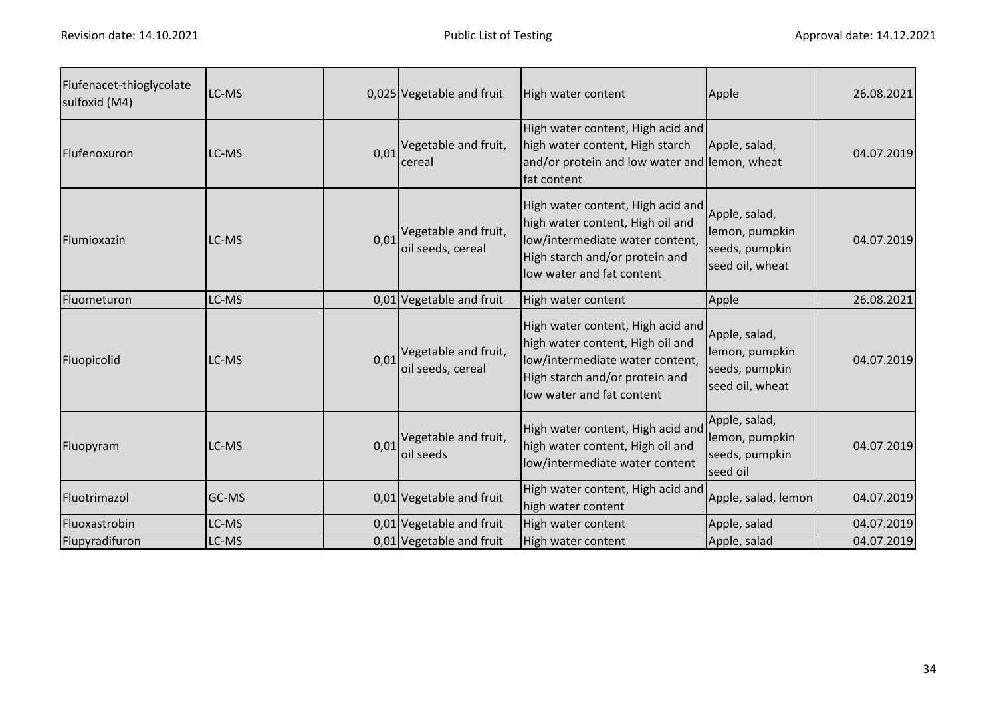| Flufenacet-thioglycolate<br>sulfoxid (M4) | LC-MS        |      | 0,025 Vegetable and fruit                 | High water content                                                                                                                                                      | Apple                                                                | 26.08.2021 |
|-------------------------------------------|--------------|------|-------------------------------------------|-------------------------------------------------------------------------------------------------------------------------------------------------------------------------|----------------------------------------------------------------------|------------|
| Flufenoxuron                              | LC-MS        | 0,01 | Vegetable and fruit,<br>cereal            | High water content, High acid and<br>high water content, High starch<br>and/or protein and low water and lemon, wheat<br>fat content                                    | Apple, salad,                                                        | 04.07.2019 |
| Flumioxazin                               | LC-MS        | 0,01 | Vegetable and fruit,<br>oil seeds, cereal | High water content, High acid and<br>high water content, High oil and<br>low/intermediate water content,<br>High starch and/or protein and<br>low water and fat content | Apple, salad,<br>lemon, pumpkin<br>seeds, pumpkin<br>seed oil, wheat | 04.07.2019 |
| Fluometuron                               | LC-MS        |      | 0,01 Vegetable and fruit                  | High water content                                                                                                                                                      | Apple                                                                | 26.08.2021 |
| Fluopicolid                               | LC-MS        | 0,01 | Vegetable and fruit,<br>oil seeds, cereal | High water content, High acid and<br>high water content, High oil and<br>low/intermediate water content,<br>High starch and/or protein and<br>low water and fat content | Apple, salad,<br>lemon, pumpkin<br>seeds, pumpkin<br>seed oil, wheat | 04.07.2019 |
| Fluopyram                                 | LC-MS        | 0,01 | Vegetable and fruit,<br>oil seeds         | High water content, High acid and<br>high water content, High oil and<br>low/intermediate water content                                                                 | Apple, salad,<br>lemon, pumpkin<br>seeds, pumpkin<br>seed oil        | 04.07.2019 |
| Fluotrimazol                              | <b>GC-MS</b> |      | 0,01 Vegetable and fruit                  | High water content, High acid and<br>high water content                                                                                                                 | Apple, salad, lemon                                                  | 04.07.2019 |
| Fluoxastrobin                             | LC-MS        |      | 0,01 Vegetable and fruit                  | High water content                                                                                                                                                      | Apple, salad                                                         | 04.07.2019 |
| Flupyradifuron                            | LC-MS        |      | 0,01 Vegetable and fruit                  | High water content                                                                                                                                                      | Apple, salad                                                         | 04.07.2019 |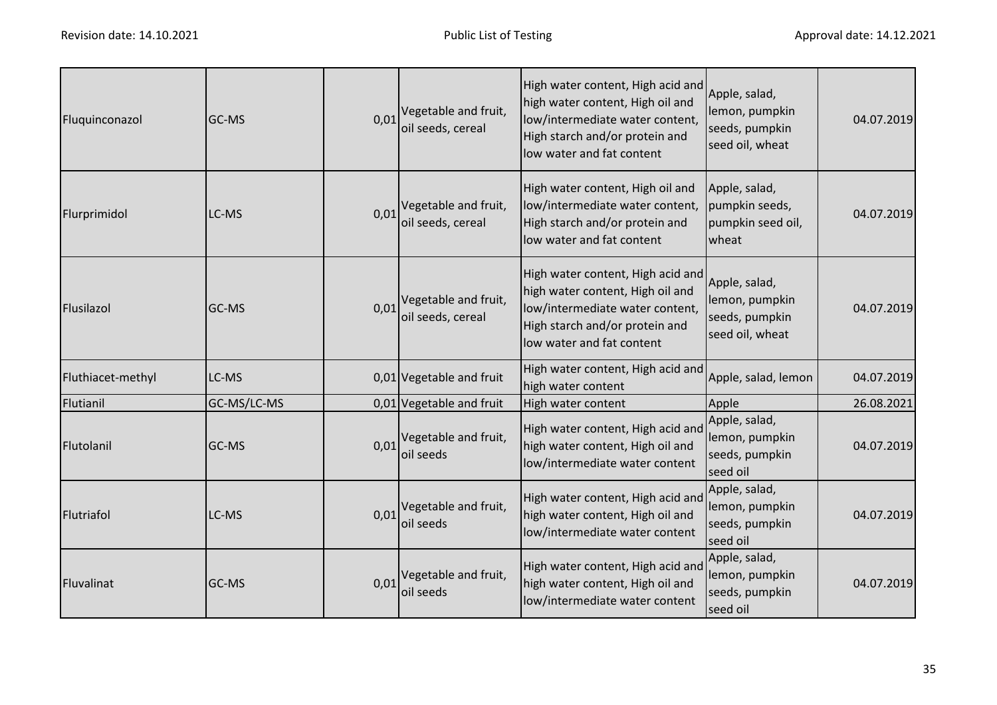| Fluquinconazol    | GC-MS       | 0,01 | Vegetable and fruit,<br>oil seeds, cereal | High water content, High acid and<br>high water content, High oil and<br>low/intermediate water content,<br>High starch and/or protein and<br>low water and fat content | Apple, salad,<br>lemon, pumpkin<br>seeds, pumpkin<br>seed oil, wheat | 04.07.2019 |
|-------------------|-------------|------|-------------------------------------------|-------------------------------------------------------------------------------------------------------------------------------------------------------------------------|----------------------------------------------------------------------|------------|
| Flurprimidol      | LC-MS       | 0,01 | Vegetable and fruit,<br>oil seeds, cereal | High water content, High oil and<br>low/intermediate water content,<br>High starch and/or protein and<br>low water and fat content                                      | Apple, salad,<br>pumpkin seeds,<br>pumpkin seed oil,<br>wheat        | 04.07.2019 |
| Flusilazol        | GC-MS       | 0,01 | Vegetable and fruit,<br>oil seeds, cereal | High water content, High acid and<br>high water content, High oil and<br>low/intermediate water content,<br>High starch and/or protein and<br>low water and fat content | Apple, salad,<br>lemon, pumpkin<br>seeds, pumpkin<br>seed oil, wheat | 04.07.2019 |
| Fluthiacet-methyl | LC-MS       |      | 0,01 Vegetable and fruit                  | High water content, High acid and<br>high water content                                                                                                                 | Apple, salad, lemon                                                  | 04.07.2019 |
| Flutianil         | GC-MS/LC-MS |      | 0,01 Vegetable and fruit                  | High water content                                                                                                                                                      | Apple                                                                | 26.08.2021 |
| Flutolanil        | GC-MS       | 0,01 | Vegetable and fruit,<br>oil seeds         | High water content, High acid and<br>high water content, High oil and<br>low/intermediate water content                                                                 | Apple, salad,<br>lemon, pumpkin<br>seeds, pumpkin<br>seed oil        | 04.07.2019 |
| Flutriafol        | LC-MS       | 0,01 | Vegetable and fruit,<br>oil seeds         | High water content, High acid and<br>high water content, High oil and<br>low/intermediate water content                                                                 | Apple, salad,<br>lemon, pumpkin<br>seeds, pumpkin<br>seed oil        | 04.07.2019 |
| Fluvalinat        | GC-MS       | 0,01 | Vegetable and fruit,<br>oil seeds         | High water content, High acid and<br>high water content, High oil and<br>low/intermediate water content                                                                 | Apple, salad,<br>lemon, pumpkin<br>seeds, pumpkin<br>seed oil        | 04.07.2019 |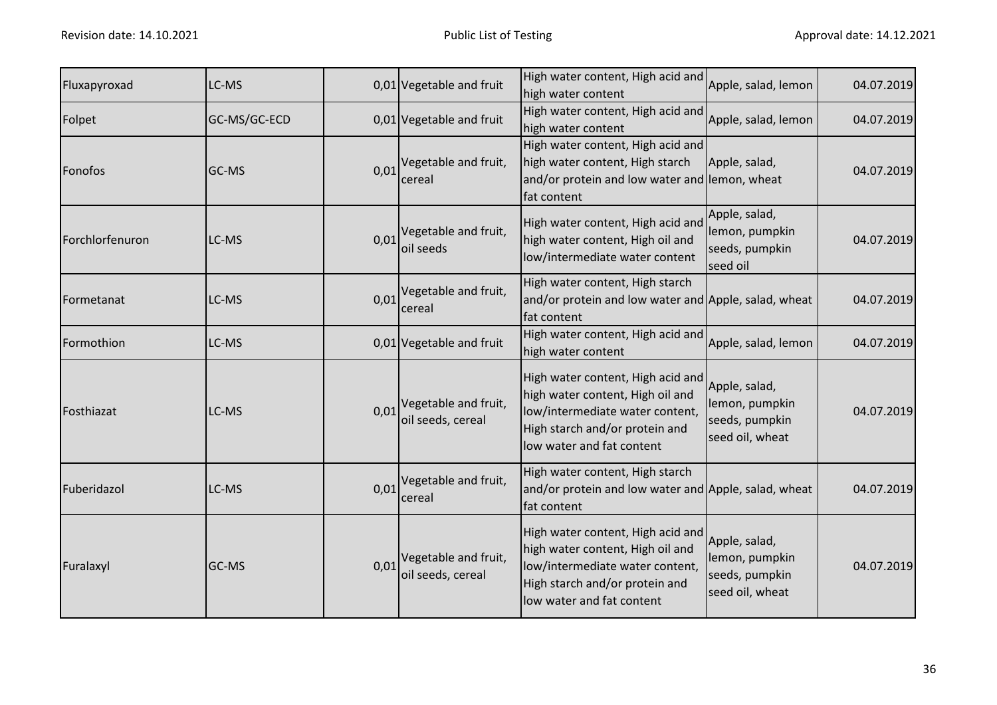| Fluxapyroxad    | LC-MS        |      | 0,01 Vegetable and fruit                                    | High water content, High acid and<br>high water content                                                                                                                 | Apple, salad, lemon                                                  | 04.07.2019 |
|-----------------|--------------|------|-------------------------------------------------------------|-------------------------------------------------------------------------------------------------------------------------------------------------------------------------|----------------------------------------------------------------------|------------|
| Folpet          | GC-MS/GC-ECD |      | 0,01 Vegetable and fruit                                    | High water content, High acid and<br>high water content                                                                                                                 | Apple, salad, lemon                                                  | 04.07.2019 |
| Fonofos         | GC-MS        | 0,01 | Vegetable and fruit,<br>cereal                              | High water content, High acid and<br>high water content, High starch<br>and/or protein and low water and lemon, wheat<br>fat content                                    | Apple, salad,                                                        | 04.07.2019 |
| Forchlorfenuron | LC-MS        | 0,01 | Vegetable and fruit,<br>oil seeds                           | High water content, High acid and<br>high water content, High oil and<br>low/intermediate water content                                                                 | Apple, salad,<br>lemon, pumpkin<br>seeds, pumpkin<br>seed oil        | 04.07.2019 |
| Formetanat      | LC-MS        | 0,01 | Vegetable and fruit,<br>cereal                              | High water content, High starch<br>and/or protein and low water and Apple, salad, wheat<br>fat content                                                                  |                                                                      | 04.07.2019 |
| Formothion      | LC-MS        |      | 0,01 Vegetable and fruit                                    | High water content, High acid and<br>high water content                                                                                                                 | Apple, salad, lemon                                                  | 04.07.2019 |
| Fosthiazat      | LC-MS        | 0,01 | Vegetable and fruit,<br>oil seeds, cereal                   | High water content, High acid and<br>high water content, High oil and<br>low/intermediate water content,<br>High starch and/or protein and<br>low water and fat content | Apple, salad,<br>lemon, pumpkin<br>seeds, pumpkin<br>seed oil, wheat | 04.07.2019 |
| Fuberidazol     | LC-MS        | 0,01 | Vegetable and fruit,<br>cereal                              | High water content, High starch<br>and/or protein and low water and Apple, salad, wheat<br>fat content                                                                  |                                                                      | 04.07.2019 |
| Furalaxyl       | GC-MS        |      | $0.01$ <sup>Vegetable and fruit,</sup><br>oil seeds, cereal | High water content, High acid and<br>high water content, High oil and<br>low/intermediate water content,<br>High starch and/or protein and<br>low water and fat content | Apple, salad,<br>lemon, pumpkin<br>seeds, pumpkin<br>seed oil, wheat | 04.07.2019 |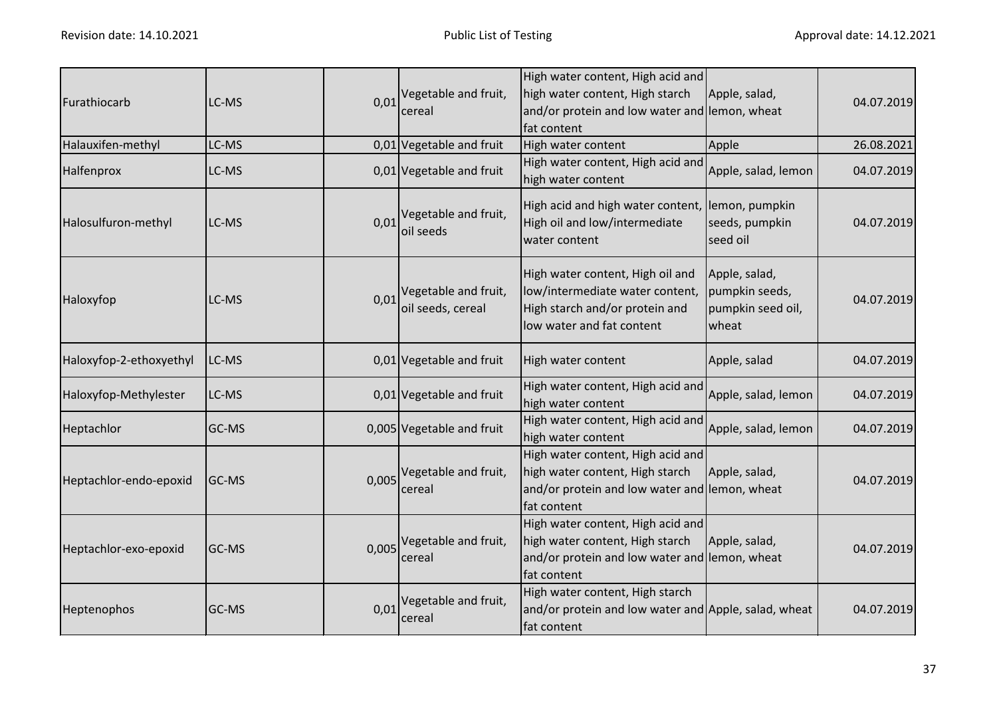| Furathiocarb            | LC-MS | 0,01  | Vegetable and fruit,<br>cereal            | High water content, High acid and<br>high water content, High starch<br>and/or protein and low water and lemon, wheat<br>fat content | Apple, salad,                                                 | 04.07.2019 |
|-------------------------|-------|-------|-------------------------------------------|--------------------------------------------------------------------------------------------------------------------------------------|---------------------------------------------------------------|------------|
| Halauxifen-methyl       | LC-MS |       | 0,01 Vegetable and fruit                  | High water content                                                                                                                   | Apple                                                         | 26.08.2021 |
| Halfenprox              | LC-MS |       | 0,01 Vegetable and fruit                  | High water content, High acid and<br>high water content                                                                              | Apple, salad, lemon                                           | 04.07.2019 |
| Halosulfuron-methyl     | LC-MS | 0,01  | Vegetable and fruit,<br>oil seeds         | High acid and high water content, lemon, pumpkin<br>High oil and low/intermediate<br>water content                                   | seeds, pumpkin<br>seed oil                                    | 04.07.2019 |
| Haloxyfop               | LC-MS | 0,01  | Vegetable and fruit,<br>oil seeds, cereal | High water content, High oil and<br>low/intermediate water content,<br>High starch and/or protein and<br>low water and fat content   | Apple, salad,<br>pumpkin seeds,<br>pumpkin seed oil,<br>wheat | 04.07.2019 |
| Haloxyfop-2-ethoxyethyl | LC-MS |       | 0,01 Vegetable and fruit                  | High water content                                                                                                                   | Apple, salad                                                  | 04.07.2019 |
| Haloxyfop-Methylester   | LC-MS |       | 0,01 Vegetable and fruit                  | High water content, High acid and<br>high water content                                                                              | Apple, salad, lemon                                           | 04.07.2019 |
| Heptachlor              | GC-MS |       | 0,005 Vegetable and fruit                 | High water content, High acid and<br>high water content                                                                              | Apple, salad, lemon                                           | 04.07.2019 |
| Heptachlor-endo-epoxid  | GC-MS |       | 0,005 Vegetable and fruit,<br>cereal      | High water content, High acid and<br>high water content, High starch<br>and/or protein and low water and lemon, wheat<br>fat content | Apple, salad,                                                 | 04.07.2019 |
| Heptachlor-exo-epoxid   | GC-MS | 0,005 | Vegetable and fruit,<br>cereal            | High water content, High acid and<br>high water content, High starch<br>and/or protein and low water and lemon, wheat<br>fat content | Apple, salad,                                                 | 04.07.2019 |
| Heptenophos             | GC-MS | 0,01  | Vegetable and fruit,<br>cereal            | High water content, High starch<br>and/or protein and low water and Apple, salad, wheat<br>fat content                               |                                                               | 04.07.2019 |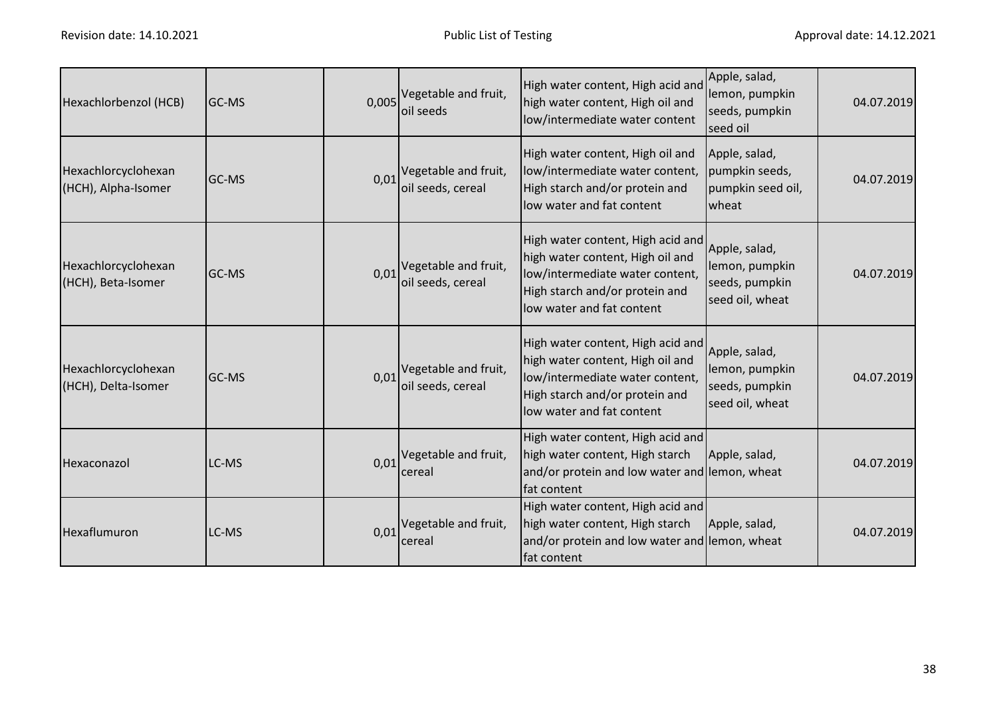| Hexachlorbenzol (HCB)                      | GC-MS |      | 0,005 Vegetable and fruit,<br>oil seeds          | High water content, High acid and<br>high water content, High oil and<br>low/intermediate water content                                                                 | Apple, salad,<br>lemon, pumpkin<br>seeds, pumpkin<br>seed oil        | 04.07.2019 |
|--------------------------------------------|-------|------|--------------------------------------------------|-------------------------------------------------------------------------------------------------------------------------------------------------------------------------|----------------------------------------------------------------------|------------|
| Hexachlorcyclohexan<br>(HCH), Alpha-Isomer | GC-MS | 0,01 | Vegetable and fruit,<br>oil seeds, cereal        | High water content, High oil and<br>low/intermediate water content,<br>High starch and/or protein and<br>low water and fat content                                      | Apple, salad,<br>pumpkin seeds,<br>pumpkin seed oil,<br>wheat        | 04.07.2019 |
| Hexachlorcyclohexan<br>(HCH), Beta-Isomer  | GC-MS | 0,01 | Vegetable and fruit,<br>oil seeds, cereal        | High water content, High acid and<br>high water content, High oil and<br>low/intermediate water content,<br>High starch and/or protein and<br>low water and fat content | Apple, salad,<br>lemon, pumpkin<br>seeds, pumpkin<br>seed oil, wheat | 04.07.2019 |
| Hexachlorcyclohexan<br>(HCH), Delta-Isomer | GC-MS | 0,01 | Vegetable and fruit,<br>oil seeds, cereal        | High water content, High acid and<br>high water content, High oil and<br>low/intermediate water content,<br>High starch and/or protein and<br>low water and fat content | Apple, salad,<br>lemon, pumpkin<br>seeds, pumpkin<br>seed oil, wheat | 04.07.2019 |
| Hexaconazol                                | LC-MS | 0,01 | Vegetable and fruit,<br>cereal                   | High water content, High acid and<br>high water content, High starch<br>and/or protein and low water and lemon, wheat<br>fat content                                    | Apple, salad,                                                        | 04.07.2019 |
| Hexaflumuron                               | LC-MS |      | $0.01$ <sup>Vegetable and fruit,</sup><br>cereal | High water content, High acid and<br>high water content, High starch<br>and/or protein and low water and lemon, wheat<br>fat content                                    | Apple, salad,                                                        | 04.07.2019 |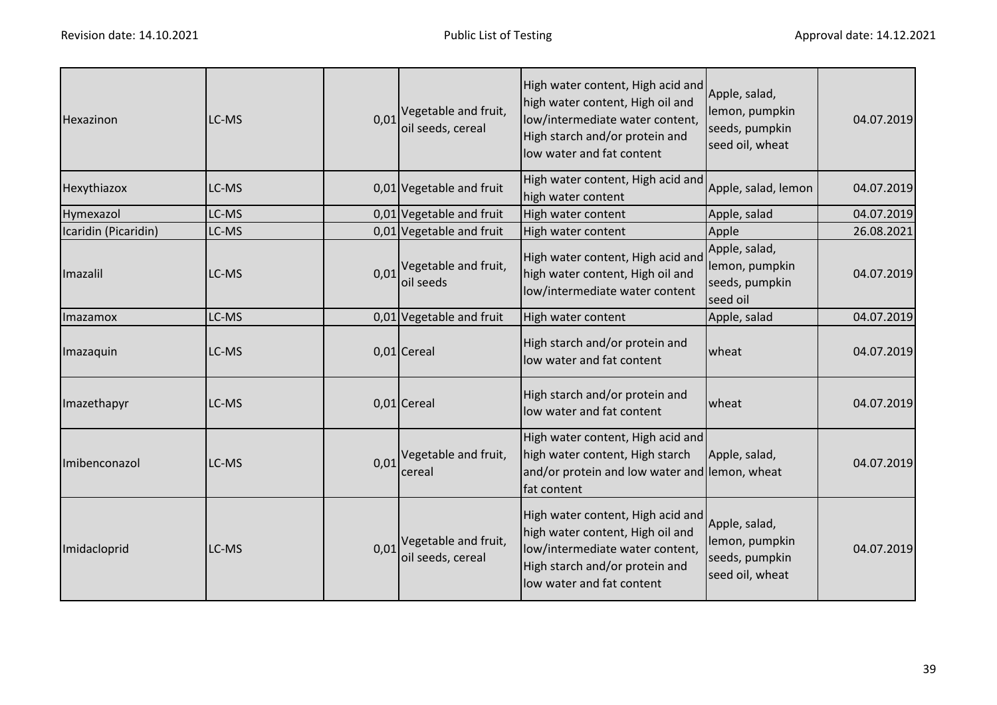| Hexazinon            | LC-MS | 0,01 | Vegetable and fruit,<br>oil seeds, cereal        | High water content, High acid and<br>high water content, High oil and<br>low/intermediate water content,<br>High starch and/or protein and<br>low water and fat content | Apple, salad,<br>lemon, pumpkin<br>seeds, pumpkin<br>seed oil, wheat | 04.07.2019 |
|----------------------|-------|------|--------------------------------------------------|-------------------------------------------------------------------------------------------------------------------------------------------------------------------------|----------------------------------------------------------------------|------------|
| Hexythiazox          | LC-MS |      | 0,01 Vegetable and fruit                         | High water content, High acid and<br>high water content                                                                                                                 | Apple, salad, lemon                                                  | 04.07.2019 |
| Hymexazol            | LC-MS |      | 0,01 Vegetable and fruit                         | High water content                                                                                                                                                      | Apple, salad                                                         | 04.07.2019 |
| Icaridin (Picaridin) | LC-MS |      | 0,01 Vegetable and fruit                         | High water content                                                                                                                                                      | Apple                                                                | 26.08.2021 |
| Imazalil             | LC-MS | 0,01 | Vegetable and fruit,<br>oil seeds                | High water content, High acid and<br>high water content, High oil and<br>low/intermediate water content                                                                 | Apple, salad,<br>lemon, pumpkin<br>seeds, pumpkin<br>seed oil        | 04.07.2019 |
| Imazamox             | LC-MS |      | 0,01 Vegetable and fruit                         | High water content                                                                                                                                                      | Apple, salad                                                         | 04.07.2019 |
| Imazaquin            | LC-MS |      | 0,01 Cereal                                      | High starch and/or protein and<br>low water and fat content                                                                                                             | wheat                                                                | 04.07.2019 |
| Imazethapyr          | LC-MS |      | $0,01$ Cereal                                    | High starch and/or protein and<br>low water and fat content                                                                                                             | wheat                                                                | 04.07.2019 |
| Imibenconazol        | LC-MS |      | $0.01$ <sup>Vegetable and fruit,</sup><br>cereal | High water content, High acid and<br>high water content, High starch<br>and/or protein and low water and lemon, wheat<br>fat content                                    | Apple, salad,                                                        | 04.07.2019 |
| Imidacloprid         | LC-MS | 0,01 | Vegetable and fruit,<br>oil seeds, cereal        | High water content, High acid and<br>high water content, High oil and<br>low/intermediate water content,<br>High starch and/or protein and<br>low water and fat content | Apple, salad,<br>lemon, pumpkin<br>seeds, pumpkin<br>seed oil, wheat | 04.07.2019 |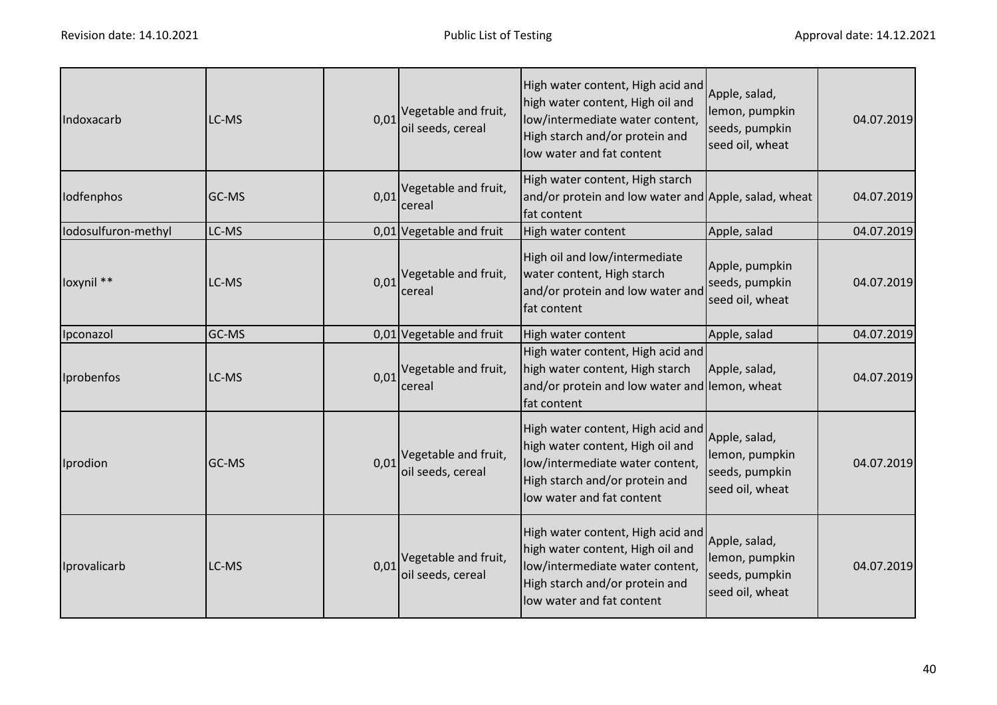| Indoxacarb          | LC-MS | 0,01 | Vegetable and fruit,<br>oil seeds, cereal                   | High water content, High acid and<br>high water content, High oil and<br>low/intermediate water content,<br>High starch and/or protein and<br>low water and fat content | Apple, salad,<br>lemon, pumpkin<br>seeds, pumpkin<br>seed oil, wheat | 04.07.2019 |
|---------------------|-------|------|-------------------------------------------------------------|-------------------------------------------------------------------------------------------------------------------------------------------------------------------------|----------------------------------------------------------------------|------------|
| Iodfenphos          | GC-MS | 0,01 | Vegetable and fruit,<br>cereal                              | High water content, High starch<br>and/or protein and low water and Apple, salad, wheat<br>fat content                                                                  |                                                                      | 04.07.2019 |
| lodosulfuron-methyl | LC-MS |      | 0,01 Vegetable and fruit                                    | High water content                                                                                                                                                      | Apple, salad                                                         | 04.07.2019 |
| loxynil **          | LC-MS | 0,01 | Vegetable and fruit,<br>cereal                              | High oil and low/intermediate<br>water content, High starch<br>and/or protein and low water and<br>fat content                                                          | Apple, pumpkin<br>seeds, pumpkin<br>seed oil, wheat                  | 04.07.2019 |
| Ipconazol           | GC-MS |      | 0,01 Vegetable and fruit                                    | High water content                                                                                                                                                      | Apple, salad                                                         | 04.07.2019 |
| Iprobenfos          | LC-MS | 0,01 | Vegetable and fruit,<br>cereal                              | High water content, High acid and<br>high water content, High starch<br>and/or protein and low water and lemon, wheat<br>fat content                                    | Apple, salad,                                                        | 04.07.2019 |
| Iprodion            | GC-MS |      | $0.01$ <sup>Vegetable and fruit,</sup><br>oil seeds, cereal | High water content, High acid and<br>high water content, High oil and<br>low/intermediate water content,<br>High starch and/or protein and<br>low water and fat content | Apple, salad,<br>lemon, pumpkin<br>seeds, pumpkin<br>seed oil, wheat | 04.07.2019 |
| Iprovalicarb        | LC-MS |      | $0.01$ <sup>Vegetable and fruit,</sup><br>oil seeds, cereal | High water content, High acid and<br>high water content, High oil and<br>low/intermediate water content,<br>High starch and/or protein and<br>low water and fat content | Apple, salad,<br>lemon, pumpkin<br>seeds, pumpkin<br>seed oil, wheat | 04.07.2019 |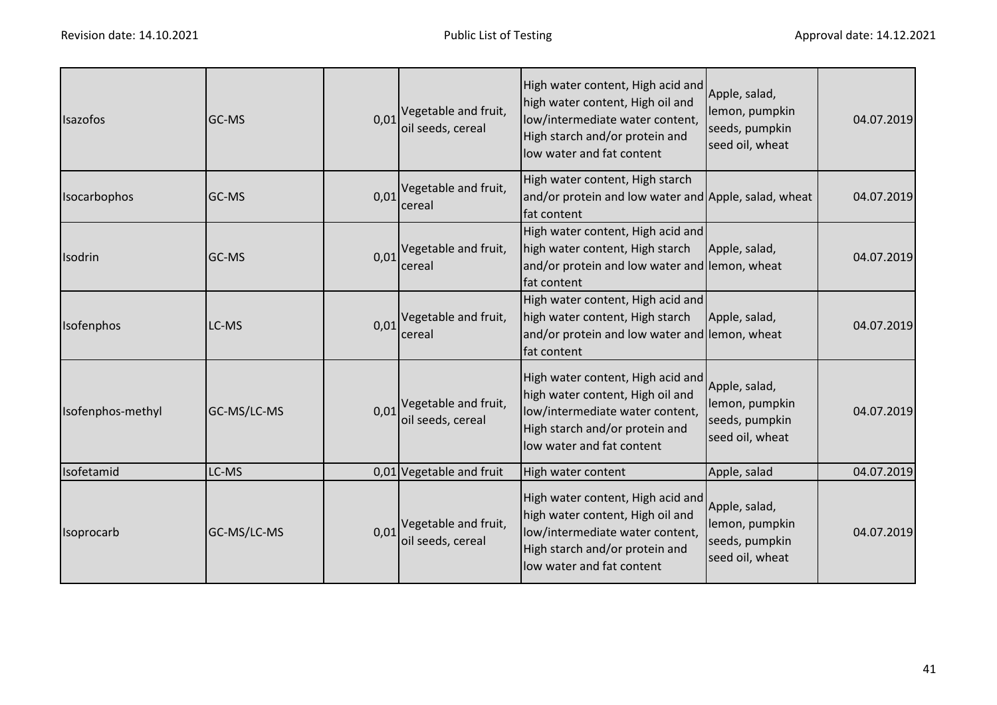| <b>Isazofos</b>   | IGC-MS       | 0,01 | Vegetable and fruit,<br>oil seeds, cereal | High water content, High acid and<br>high water content, High oil and<br>low/intermediate water content,<br>High starch and/or protein and<br>low water and fat content | Apple, salad,<br>lemon, pumpkin<br>seeds, pumpkin<br>seed oil, wheat | 04.07.2019 |
|-------------------|--------------|------|-------------------------------------------|-------------------------------------------------------------------------------------------------------------------------------------------------------------------------|----------------------------------------------------------------------|------------|
| Isocarbophos      | <b>GC-MS</b> | 0,01 | Vegetable and fruit,<br>cereal            | High water content, High starch<br>and/or protein and low water and Apple, salad, wheat<br>fat content                                                                  |                                                                      | 04.07.2019 |
| Isodrin           | <b>GC-MS</b> | 0,01 | Vegetable and fruit,<br>cereal            | High water content, High acid and<br>high water content, High starch<br>and/or protein and low water and lemon, wheat<br>fat content                                    | Apple, salad,                                                        | 04.07.2019 |
| Isofenphos        | LC-MS        | 0,01 | Vegetable and fruit,<br>cereal            | High water content, High acid and<br>high water content, High starch<br>and/or protein and low water and lemon, wheat<br>fat content                                    | Apple, salad,                                                        | 04.07.2019 |
| Isofenphos-methyl | GC-MS/LC-MS  | 0,01 | Vegetable and fruit,<br>oil seeds, cereal | High water content, High acid and<br>high water content, High oil and<br>low/intermediate water content,<br>High starch and/or protein and<br>low water and fat content | Apple, salad,<br>lemon, pumpkin<br>seeds, pumpkin<br>seed oil, wheat | 04.07.2019 |
| Isofetamid        | LC-MS        |      | 0,01 Vegetable and fruit                  | High water content                                                                                                                                                      | Apple, salad                                                         | 04.07.2019 |
| Isoprocarb        | GC-MS/LC-MS  | 0,01 | Vegetable and fruit,<br>oil seeds, cereal | High water content, High acid and<br>high water content, High oil and<br>low/intermediate water content,<br>High starch and/or protein and<br>low water and fat content | Apple, salad,<br>lemon, pumpkin<br>seeds, pumpkin<br>seed oil, wheat | 04.07.2019 |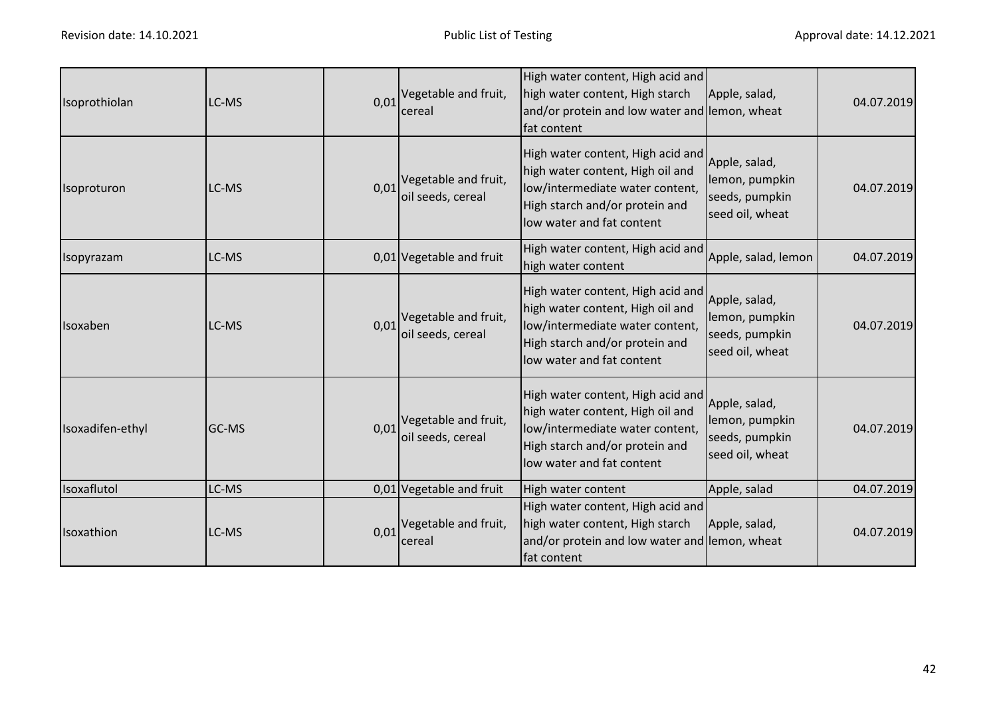| Isoprothiolan     | LC-MS | 0,01 | Vegetable and fruit,<br>cereal                              | High water content, High acid and<br>high water content, High starch<br>and/or protein and low water and lemon, wheat<br>fat content                                    | Apple, salad,                                                        | 04.07.2019 |
|-------------------|-------|------|-------------------------------------------------------------|-------------------------------------------------------------------------------------------------------------------------------------------------------------------------|----------------------------------------------------------------------|------------|
| Isoproturon       | LC-MS |      | $0.01$ <sup>Vegetable and fruit,</sup><br>oil seeds, cereal | High water content, High acid and<br>high water content, High oil and<br>low/intermediate water content,<br>High starch and/or protein and<br>low water and fat content | Apple, salad,<br>lemon, pumpkin<br>seeds, pumpkin<br>seed oil, wheat | 04.07.2019 |
| <b>Isopyrazam</b> | LC-MS |      | 0,01 Vegetable and fruit                                    | High water content, High acid and<br>high water content                                                                                                                 | Apple, salad, lemon                                                  | 04.07.2019 |
| Isoxaben          | LC-MS | 0,01 | Vegetable and fruit,<br>oil seeds, cereal                   | High water content, High acid and<br>high water content, High oil and<br>low/intermediate water content,<br>High starch and/or protein and<br>low water and fat content | Apple, salad,<br>lemon, pumpkin<br>seeds, pumpkin<br>seed oil, wheat | 04.07.2019 |
| Isoxadifen-ethyl  | GC-MS | 0,01 | Vegetable and fruit,<br>oil seeds, cereal                   | High water content, High acid and<br>high water content, High oil and<br>low/intermediate water content,<br>High starch and/or protein and<br>low water and fat content | Apple, salad,<br>lemon, pumpkin<br>seeds, pumpkin<br>seed oil, wheat | 04.07.2019 |
| Isoxaflutol       | LC-MS |      | 0,01 Vegetable and fruit                                    | High water content                                                                                                                                                      | Apple, salad                                                         | 04.07.2019 |
| Isoxathion        | LC-MS |      | $0.01$ <sup>Vegetable and fruit,</sup><br>cereal            | High water content, High acid and<br>high water content, High starch<br>and/or protein and low water and lemon, wheat<br>fat content                                    | Apple, salad,                                                        | 04.07.2019 |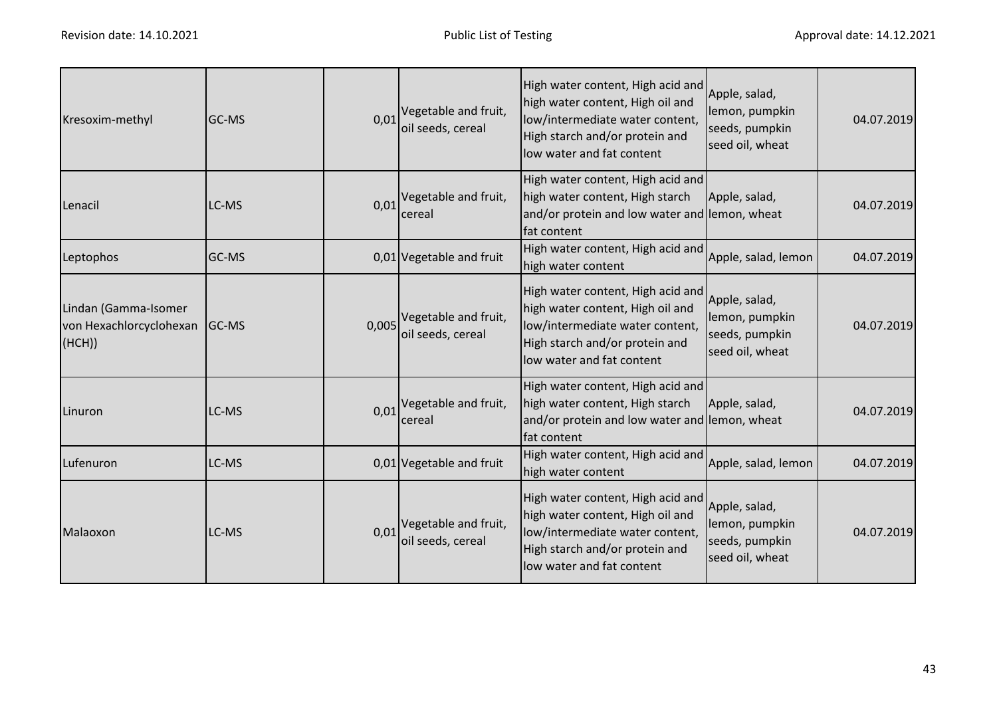| Kresoxim-methyl                                           | GC-MS | 0,01 | Vegetable and fruit,<br>oil seeds, cereal        | High water content, High acid and<br>high water content, High oil and<br>low/intermediate water content,<br>High starch and/or protein and<br>low water and fat content | Apple, salad,<br>lemon, pumpkin<br>seeds, pumpkin<br>seed oil, wheat | 04.07.2019 |
|-----------------------------------------------------------|-------|------|--------------------------------------------------|-------------------------------------------------------------------------------------------------------------------------------------------------------------------------|----------------------------------------------------------------------|------------|
| Lenacil                                                   | LC-MS |      | $0.01$ <sup>Vegetable and fruit,</sup><br>cereal | High water content, High acid and<br>high water content, High starch<br>and/or protein and low water and lemon, wheat<br>fat content                                    | Apple, salad,                                                        | 04.07.2019 |
| Leptophos                                                 | GC-MS |      | 0,01 Vegetable and fruit                         | High water content, High acid and<br>high water content                                                                                                                 | Apple, salad, lemon                                                  | 04.07.2019 |
| Lindan (Gamma-Isomer<br>von Hexachlorcyclohexan<br>(HCH)) | GC-MS |      | 0,005 Vegetable and fruit,<br>oil seeds, cereal  | High water content, High acid and<br>high water content, High oil and<br>low/intermediate water content,<br>High starch and/or protein and<br>low water and fat content | Apple, salad,<br>lemon, pumpkin<br>seeds, pumpkin<br>seed oil, wheat | 04.07.2019 |
| Linuron                                                   | LC-MS |      | $0.01$ <sup>Vegetable and fruit,</sup><br>cereal | High water content, High acid and<br>high water content, High starch<br>and/or protein and low water and lemon, wheat<br>fat content                                    | Apple, salad,                                                        | 04.07.2019 |
| Lufenuron                                                 | LC-MS |      | 0,01 Vegetable and fruit                         | High water content, High acid and<br>high water content                                                                                                                 | Apple, salad, lemon                                                  | 04.07.2019 |
| Malaoxon                                                  | LC-MS | 0,01 | Vegetable and fruit,<br>oil seeds, cereal        | High water content, High acid and<br>high water content, High oil and<br>low/intermediate water content,<br>High starch and/or protein and<br>low water and fat content | Apple, salad,<br>lemon, pumpkin<br>seeds, pumpkin<br>seed oil, wheat | 04.07.2019 |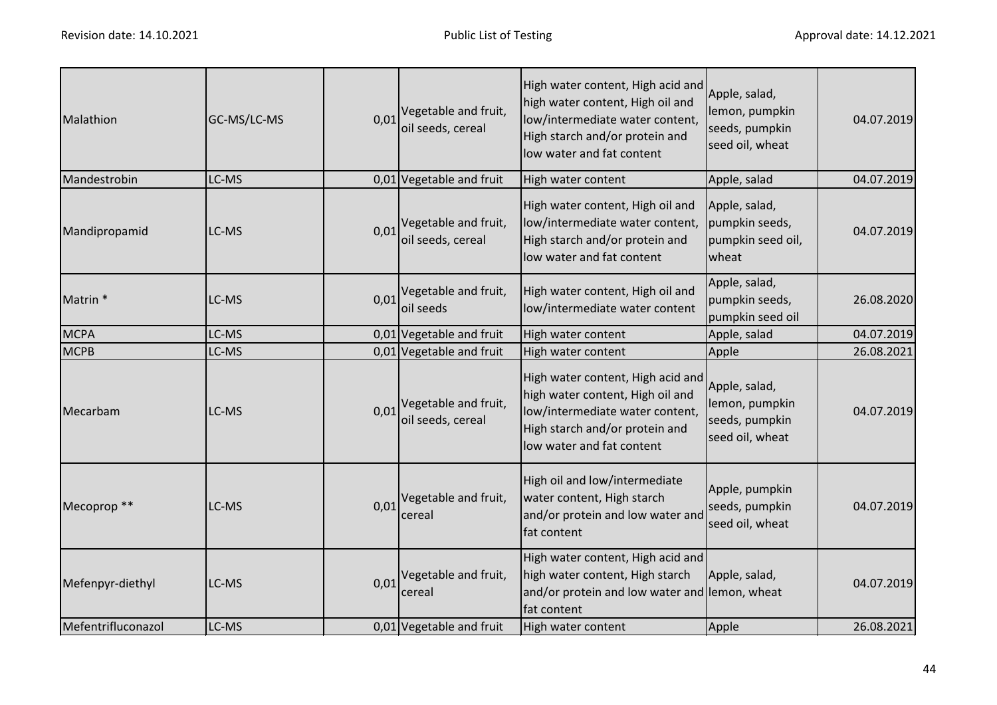| Malathion              | GC-MS/LC-MS | 0,01 | Vegetable and fruit,<br>oil seeds, cereal | High water content, High acid and<br>high water content, High oil and<br>low/intermediate water content,<br>High starch and/or protein and<br>low water and fat content | Apple, salad,<br>lemon, pumpkin<br>seeds, pumpkin<br>seed oil, wheat | 04.07.2019 |
|------------------------|-------------|------|-------------------------------------------|-------------------------------------------------------------------------------------------------------------------------------------------------------------------------|----------------------------------------------------------------------|------------|
| Mandestrobin           | LC-MS       |      | 0,01 Vegetable and fruit                  | High water content                                                                                                                                                      | Apple, salad                                                         | 04.07.2019 |
| Mandipropamid          | LC-MS       | 0,01 | Vegetable and fruit,<br>oil seeds, cereal | High water content, High oil and<br>low/intermediate water content,<br>High starch and/or protein and<br>low water and fat content                                      | Apple, salad,<br>pumpkin seeds,<br>pumpkin seed oil,<br>wheat        | 04.07.2019 |
| Matrin <sup>*</sup>    | LC-MS       | 0,01 | Vegetable and fruit,<br>oil seeds         | High water content, High oil and<br>low/intermediate water content                                                                                                      | Apple, salad,<br>pumpkin seeds,<br>pumpkin seed oil                  | 26.08.2020 |
| <b>MCPA</b>            | LC-MS       |      | 0,01 Vegetable and fruit                  | High water content                                                                                                                                                      | Apple, salad                                                         | 04.07.2019 |
| <b>MCPB</b>            | LC-MS       |      | 0,01 Vegetable and fruit                  | High water content                                                                                                                                                      | Apple                                                                | 26.08.2021 |
| Mecarbam               | LC-MS       | 0.01 | Vegetable and fruit,<br>oil seeds, cereal | High water content, High acid and<br>high water content, High oil and<br>low/intermediate water content,<br>High starch and/or protein and<br>low water and fat content | Apple, salad,<br>lemon, pumpkin<br>seeds, pumpkin<br>seed oil, wheat | 04.07.2019 |
| Mecoprop <sup>**</sup> | LC-MS       |      | 0,01 Vegetable and fruit,<br>cereal       | High oil and low/intermediate<br>water content, High starch<br>and/or protein and low water and<br>fat content                                                          | Apple, pumpkin<br>seeds, pumpkin<br>seed oil, wheat                  | 04.07.2019 |
| Mefenpyr-diethyl       | LC-MS       | 0,01 | Vegetable and fruit,<br>cereal            | High water content, High acid and<br>high water content, High starch<br>and/or protein and low water and lemon, wheat<br>fat content                                    | Apple, salad,                                                        | 04.07.2019 |
| Mefentrifluconazol     | LC-MS       |      | 0,01 Vegetable and fruit                  | High water content                                                                                                                                                      | Apple                                                                | 26.08.2021 |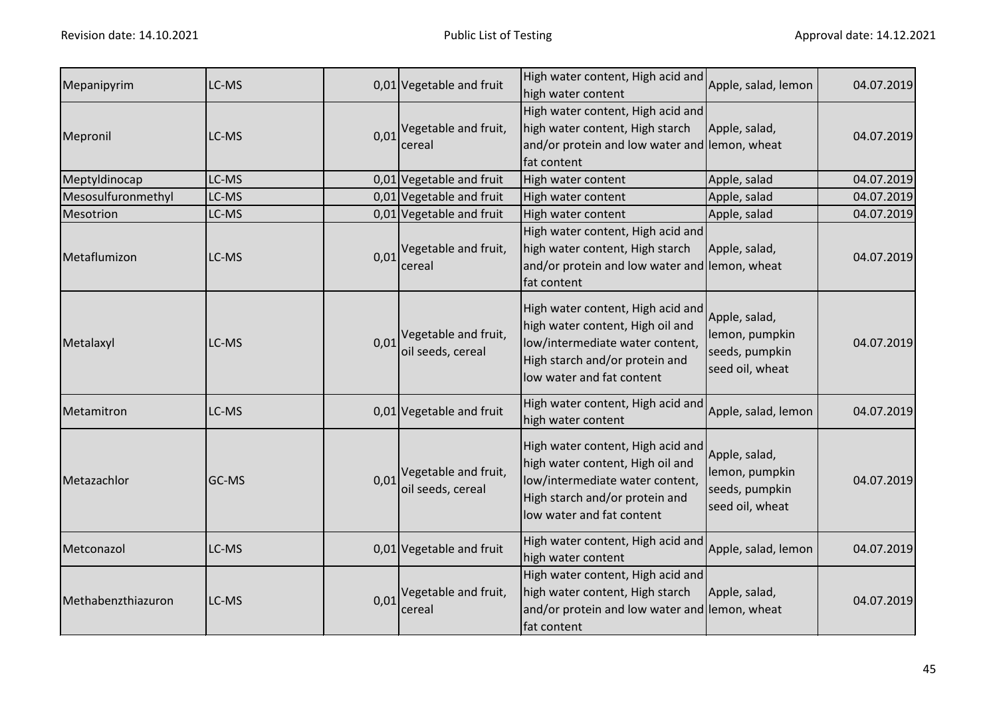| Mepanipyrim        | LC-MS |      | $0.01$ Vegetable and fruit                                  | High water content, High acid and<br>high water content                                                                                                                 | Apple, salad, lemon                                                  | 04.07.2019 |
|--------------------|-------|------|-------------------------------------------------------------|-------------------------------------------------------------------------------------------------------------------------------------------------------------------------|----------------------------------------------------------------------|------------|
| Mepronil           | LC-MS |      | $0.01$ <sup>Vegetable and fruit,</sup><br>cereal            | High water content, High acid and<br>high water content, High starch<br>and/or protein and low water and lemon, wheat<br>fat content                                    | Apple, salad,                                                        | 04.07.2019 |
| Meptyldinocap      | LC-MS |      | 0,01 Vegetable and fruit                                    | High water content                                                                                                                                                      | Apple, salad                                                         | 04.07.2019 |
| Mesosulfuronmethyl | LC-MS |      | 0,01 Vegetable and fruit                                    | High water content                                                                                                                                                      | Apple, salad                                                         | 04.07.2019 |
| Mesotrion          | LC-MS |      | 0,01 Vegetable and fruit                                    | High water content                                                                                                                                                      | Apple, salad                                                         | 04.07.2019 |
| Metaflumizon       | LC-MS | 0,01 | Vegetable and fruit,<br>cereal                              | High water content, High acid and<br>high water content, High starch<br>and/or protein and low water and lemon, wheat<br>fat content                                    | Apple, salad,                                                        | 04.07.2019 |
| Metalaxyl          | LC-MS |      | $0.01$ <sup>Vegetable and fruit,</sup><br>oil seeds, cereal | High water content, High acid and<br>high water content, High oil and<br>low/intermediate water content,<br>High starch and/or protein and<br>low water and fat content | Apple, salad,<br>lemon, pumpkin<br>seeds, pumpkin<br>seed oil, wheat | 04.07.2019 |
| Metamitron         | LC-MS |      | 0,01 Vegetable and fruit                                    | High water content, High acid and<br>high water content                                                                                                                 | Apple, salad, lemon                                                  | 04.07.2019 |
| Metazachlor        | GC-MS |      | $0.01$ <sup>Vegetable and fruit,</sup><br>oil seeds, cereal | High water content, High acid and<br>high water content, High oil and<br>low/intermediate water content,<br>High starch and/or protein and<br>low water and fat content | Apple, salad,<br>lemon, pumpkin<br>seeds, pumpkin<br>seed oil, wheat | 04.07.2019 |
| Metconazol         | LC-MS |      | 0,01 Vegetable and fruit                                    | High water content, High acid and<br>high water content                                                                                                                 | Apple, salad, lemon                                                  | 04.07.2019 |
| Methabenzthiazuron | LC-MS |      | $0.01$ <sup>Vegetable and fruit,</sup><br>cereal            | High water content, High acid and<br>high water content, High starch<br>and/or protein and low water and lemon, wheat<br>fat content                                    | Apple, salad,                                                        | 04.07.2019 |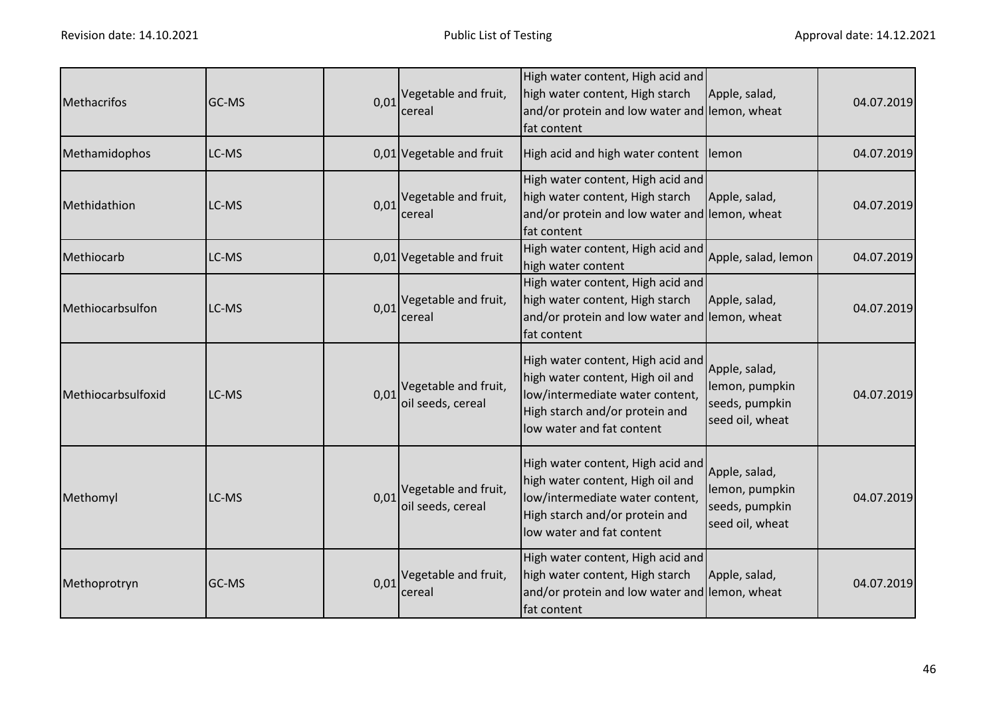| <b>Methacrifos</b> | GC-MS |      | $0.01$ <sup>Vegetable and fruit,</sup><br>cereal            | High water content, High acid and<br>high water content, High starch<br>and/or protein and low water and lemon, wheat<br>fat content                                    | Apple, salad,                                                        | 04.07.2019 |
|--------------------|-------|------|-------------------------------------------------------------|-------------------------------------------------------------------------------------------------------------------------------------------------------------------------|----------------------------------------------------------------------|------------|
| Methamidophos      | LC-MS |      | 0,01 Vegetable and fruit                                    | High acid and high water content lemon                                                                                                                                  |                                                                      | 04.07.2019 |
| Methidathion       | LC-MS | 0,01 | Vegetable and fruit,<br>cereal                              | High water content, High acid and<br>high water content, High starch<br>and/or protein and low water and lemon, wheat<br>fat content                                    | Apple, salad,                                                        | 04.07.2019 |
| Methiocarb         | LC-MS |      | 0,01 Vegetable and fruit                                    | High water content, High acid and<br>high water content                                                                                                                 | Apple, salad, lemon                                                  | 04.07.2019 |
| Methiocarbsulfon   | LC-MS | 0,01 | Vegetable and fruit,<br>cereal                              | High water content, High acid and<br>high water content, High starch<br>and/or protein and low water and lemon, wheat<br>fat content                                    | Apple, salad,                                                        | 04.07.2019 |
| Methiocarbsulfoxid | LC-MS |      | $0.01$ <sup>Vegetable and fruit,</sup><br>oil seeds, cereal | High water content, High acid and<br>high water content, High oil and<br>low/intermediate water content,<br>High starch and/or protein and<br>low water and fat content | Apple, salad,<br>lemon, pumpkin<br>seeds, pumpkin<br>seed oil, wheat | 04.07.2019 |
| Methomyl           | LC-MS |      | $0.01$ <sup>Vegetable and fruit,</sup><br>oil seeds, cereal | High water content, High acid and<br>high water content, High oil and<br>low/intermediate water content,<br>High starch and/or protein and<br>low water and fat content | Apple, salad,<br>lemon, pumpkin<br>seeds, pumpkin<br>seed oil, wheat | 04.07.2019 |
| Methoprotryn       | GC-MS |      | $0.01$ <sup>Vegetable and fruit,</sup><br>cereal            | High water content, High acid and<br>high water content, High starch<br>and/or protein and low water and lemon, wheat<br>fat content                                    | Apple, salad,                                                        | 04.07.2019 |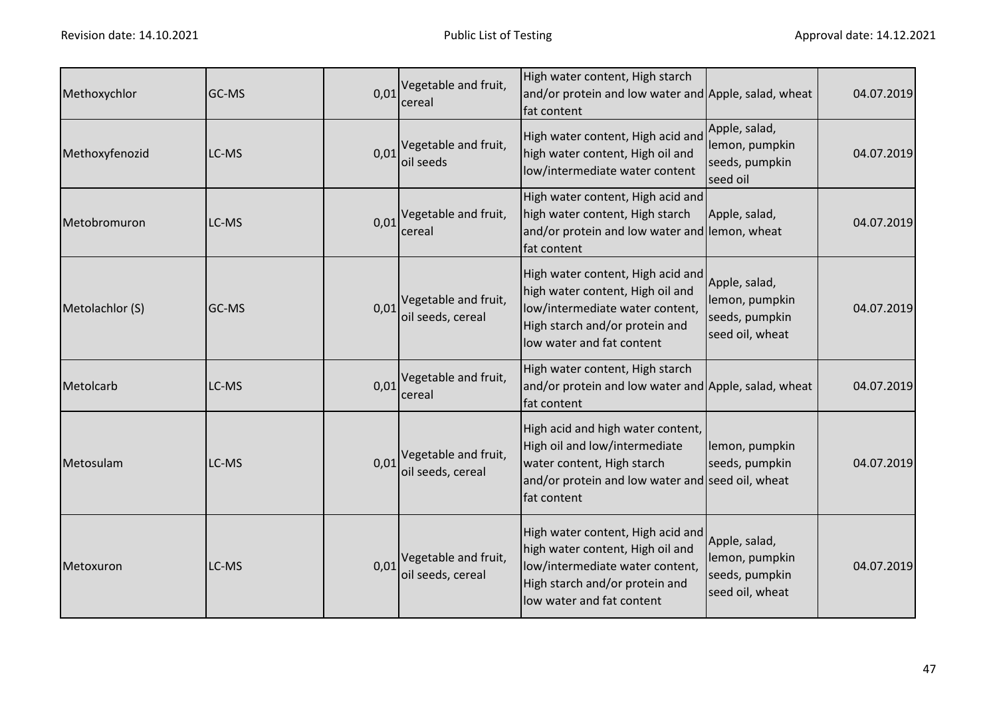| Methoxychlor    | GC-MS | 0,01 | Vegetable and fruit,<br>cereal                              | High water content, High starch<br>and/or protein and low water and Apple, salad, wheat<br>fat content                                                                  |                                                                      | 04.07.2019 |
|-----------------|-------|------|-------------------------------------------------------------|-------------------------------------------------------------------------------------------------------------------------------------------------------------------------|----------------------------------------------------------------------|------------|
| Methoxyfenozid  | LC-MS | 0,01 | Vegetable and fruit,<br>oil seeds                           | High water content, High acid and<br>high water content, High oil and<br>low/intermediate water content                                                                 | Apple, salad,<br>lemon, pumpkin<br>seeds, pumpkin<br>seed oil        | 04.07.2019 |
| Metobromuron    | LC-MS | 0,01 | Vegetable and fruit,<br>cereal                              | High water content, High acid and<br>high water content, High starch<br>and/or protein and low water and lemon, wheat<br>fat content                                    | Apple, salad,                                                        | 04.07.2019 |
| Metolachlor (S) | GC-MS | 0,01 | Vegetable and fruit,<br>oil seeds, cereal                   | High water content, High acid and<br>high water content, High oil and<br>low/intermediate water content,<br>High starch and/or protein and<br>low water and fat content | Apple, salad,<br>lemon, pumpkin<br>seeds, pumpkin<br>seed oil, wheat | 04.07.2019 |
| Metolcarb       | LC-MS | 0,01 | Vegetable and fruit,<br>cereal                              | High water content, High starch<br>and/or protein and low water and Apple, salad, wheat<br>fat content                                                                  |                                                                      | 04.07.2019 |
| Metosulam       | LC-MS |      | $0.01$ <sup>Vegetable and fruit,</sup><br>oil seeds, cereal | High acid and high water content,<br>High oil and low/intermediate<br>water content, High starch<br>and/or protein and low water and seed oil, wheat<br>fat content     | lemon, pumpkin<br>seeds, pumpkin                                     | 04.07.2019 |
| Metoxuron       | LC-MS |      | $0.01$ <sup>Vegetable and fruit,</sup><br>oil seeds, cereal | High water content, High acid and<br>high water content, High oil and<br>low/intermediate water content,<br>High starch and/or protein and<br>low water and fat content | Apple, salad,<br>lemon, pumpkin<br>seeds, pumpkin<br>seed oil, wheat | 04.07.2019 |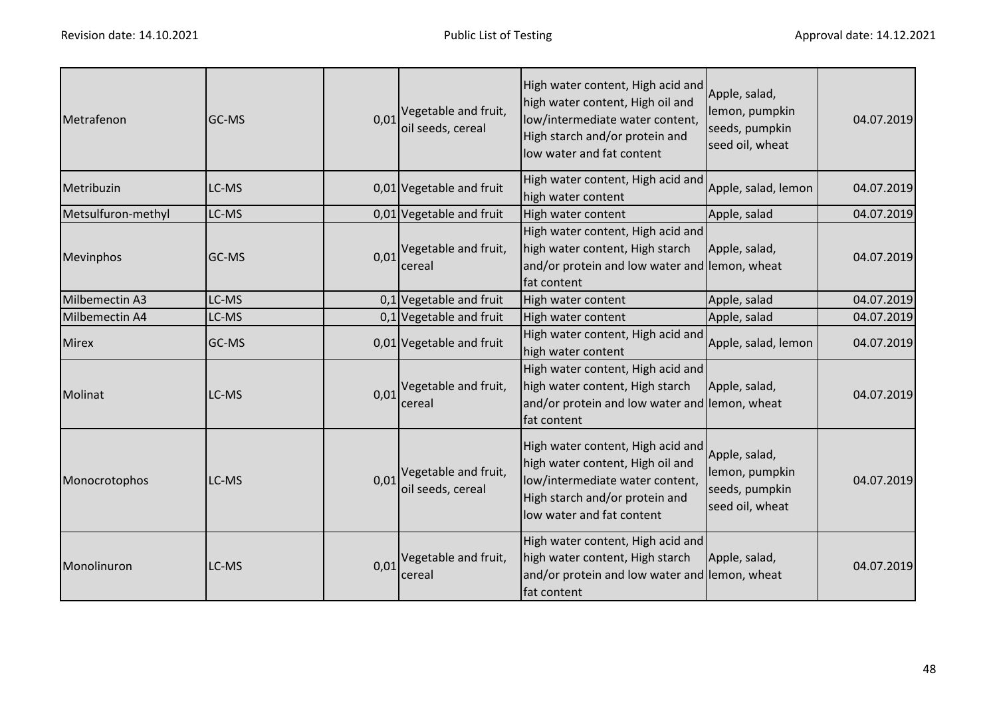| Metrafenon         | GC-MS | 0,01 | Vegetable and fruit,<br>oil seeds, cereal        | High water content, High acid and<br>high water content, High oil and<br>low/intermediate water content,<br>High starch and/or protein and<br>low water and fat content | Apple, salad,<br>lemon, pumpkin<br>seeds, pumpkin<br>seed oil, wheat | 04.07.2019 |
|--------------------|-------|------|--------------------------------------------------|-------------------------------------------------------------------------------------------------------------------------------------------------------------------------|----------------------------------------------------------------------|------------|
| Metribuzin         | LC-MS |      | 0,01 Vegetable and fruit                         | High water content, High acid and<br>high water content                                                                                                                 | Apple, salad, lemon                                                  | 04.07.2019 |
| Metsulfuron-methyl | LC-MS |      | 0,01 Vegetable and fruit                         | High water content                                                                                                                                                      | Apple, salad                                                         | 04.07.2019 |
| Mevinphos          | GC-MS | 0,01 | Vegetable and fruit,<br>cereal                   | High water content, High acid and<br>high water content, High starch<br>and/or protein and low water and lemon, wheat<br>fat content                                    | Apple, salad,                                                        | 04.07.2019 |
| Milbemectin A3     | LC-MS |      | $0,1$ Vegetable and fruit                        | High water content                                                                                                                                                      | Apple, salad                                                         | 04.07.2019 |
| Milbemectin A4     | LC-MS |      | $0,1$ Vegetable and fruit                        | High water content                                                                                                                                                      | Apple, salad                                                         | 04.07.2019 |
| <b>Mirex</b>       | GC-MS |      | 0,01 Vegetable and fruit                         | High water content, High acid and<br>high water content                                                                                                                 | Apple, salad, lemon                                                  | 04.07.2019 |
| Molinat            | LC-MS |      | $0.01$ <sup>Vegetable and fruit,</sup><br>cereal | High water content, High acid and<br>high water content, High starch<br>and/or protein and low water and lemon, wheat<br>fat content                                    | Apple, salad,                                                        | 04.07.2019 |
| Monocrotophos      | LC-MS | 0.01 | Vegetable and fruit,<br>oil seeds, cereal        | High water content, High acid and<br>high water content, High oil and<br>low/intermediate water content,<br>High starch and/or protein and<br>low water and fat content | Apple, salad,<br>lemon, pumpkin<br>seeds, pumpkin<br>seed oil, wheat | 04.07.2019 |
| Monolinuron        | LC-MS | 0,01 | Vegetable and fruit,<br>cereal                   | High water content, High acid and<br>high water content, High starch<br>and/or protein and low water and lemon, wheat<br>fat content                                    | Apple, salad,                                                        | 04.07.2019 |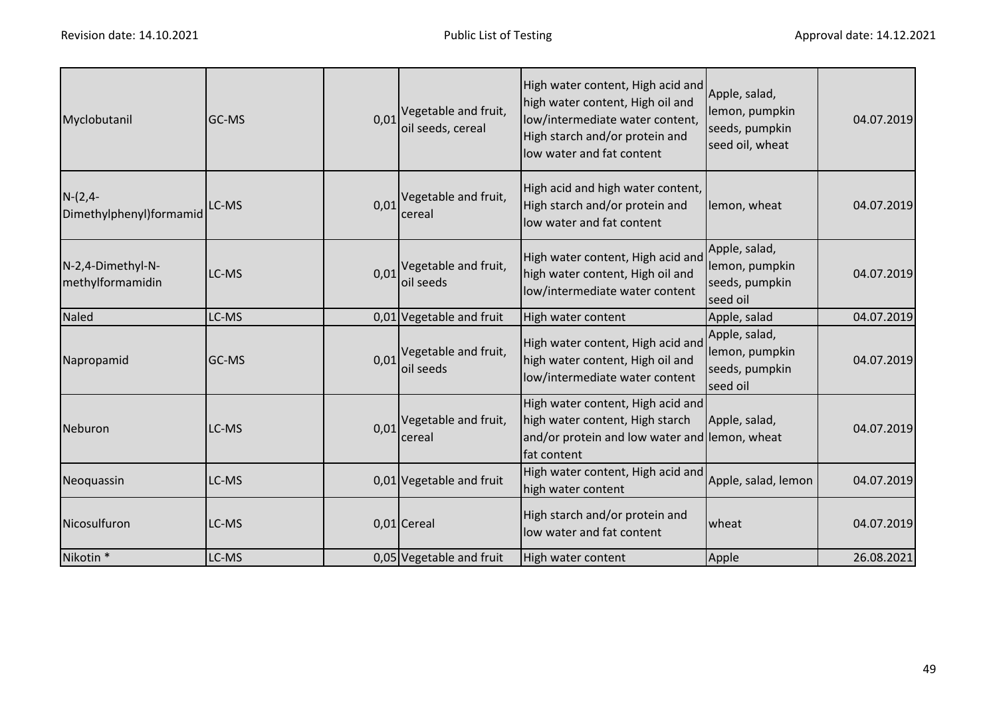| Myclobutanil                          | GC-MS | 0,01 | Vegetable and fruit,<br>oil seeds, cereal | High water content, High acid and<br>high water content, High oil and<br>low/intermediate water content,<br>High starch and/or protein and<br>low water and fat content | Apple, salad,<br>lemon, pumpkin<br>seeds, pumpkin<br>seed oil, wheat | 04.07.2019 |
|---------------------------------------|-------|------|-------------------------------------------|-------------------------------------------------------------------------------------------------------------------------------------------------------------------------|----------------------------------------------------------------------|------------|
| $N-(2,4-$<br>Dimethylphenyl)formamid  | LC-MS | 0,01 | Vegetable and fruit,<br>cereal            | High acid and high water content,<br>High starch and/or protein and<br>low water and fat content                                                                        | lemon, wheat                                                         | 04.07.2019 |
| N-2,4-Dimethyl-N-<br>methylformamidin | LC-MS | 0,01 | Vegetable and fruit,<br>oil seeds         | High water content, High acid and<br>high water content, High oil and<br>low/intermediate water content                                                                 | Apple, salad,<br>lemon, pumpkin<br>seeds, pumpkin<br>seed oil        | 04.07.2019 |
| <b>Naled</b>                          | LC-MS |      | 0,01 Vegetable and fruit                  | High water content                                                                                                                                                      | Apple, salad                                                         | 04.07.2019 |
| Napropamid                            | GC-MS | 0,01 | Vegetable and fruit,<br>oil seeds         | High water content, High acid and<br>high water content, High oil and<br>low/intermediate water content                                                                 | Apple, salad,<br>lemon, pumpkin<br>seeds, pumpkin<br>seed oil        | 04.07.2019 |
| Neburon                               | LC-MS | 0,01 | Vegetable and fruit,<br>cereal            | High water content, High acid and<br>high water content, High starch<br>and/or protein and low water and lemon, wheat<br>fat content                                    | Apple, salad,                                                        | 04.07.2019 |
| Neoquassin                            | LC-MS |      | 0,01 Vegetable and fruit                  | High water content, High acid and<br>high water content                                                                                                                 | Apple, salad, lemon                                                  | 04.07.2019 |
| Nicosulfuron                          | LC-MS |      | 0,01 Cereal                               | High starch and/or protein and<br>low water and fat content                                                                                                             | wheat                                                                | 04.07.2019 |
| Nikotin <sup>*</sup>                  | LC-MS |      | 0,05 Vegetable and fruit                  | High water content                                                                                                                                                      | Apple                                                                | 26.08.2021 |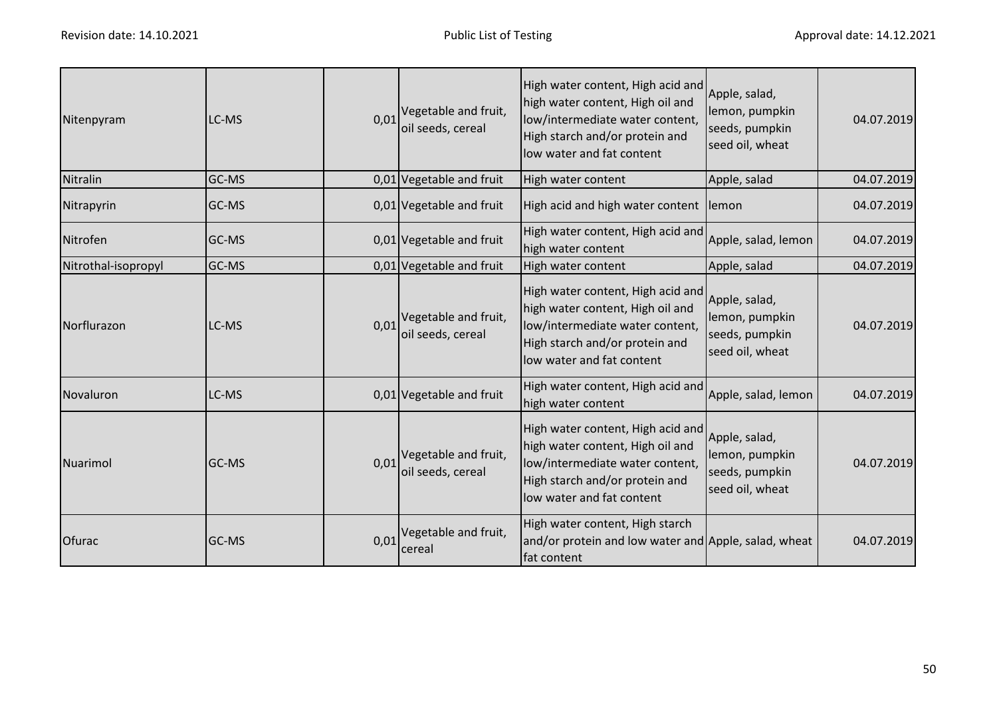| Nitenpyram          | LC-MS        |      | $0.01$ <sup>Vegetable and fruit,</sup><br>oil seeds, cereal | High water content, High acid and<br>high water content, High oil and<br>low/intermediate water content,<br>High starch and/or protein and<br>low water and fat content | Apple, salad,<br>lemon, pumpkin<br>seeds, pumpkin<br>seed oil, wheat | 04.07.2019 |
|---------------------|--------------|------|-------------------------------------------------------------|-------------------------------------------------------------------------------------------------------------------------------------------------------------------------|----------------------------------------------------------------------|------------|
| Nitralin            | GC-MS        |      | 0,01 Vegetable and fruit                                    | High water content                                                                                                                                                      | Apple, salad                                                         | 04.07.2019 |
| Nitrapyrin          | <b>GC-MS</b> |      | 0,01 Vegetable and fruit                                    | High acid and high water content lemon                                                                                                                                  |                                                                      | 04.07.2019 |
| Nitrofen            | GC-MS        |      | 0,01 Vegetable and fruit                                    | High water content, High acid and<br>high water content                                                                                                                 | Apple, salad, lemon                                                  | 04.07.2019 |
| Nitrothal-isopropyl | GC-MS        |      | 0,01 Vegetable and fruit                                    | High water content                                                                                                                                                      | Apple, salad                                                         | 04.07.2019 |
| Norflurazon         | LC-MS        | 0,01 | Vegetable and fruit,<br>oil seeds, cereal                   | High water content, High acid and<br>high water content, High oil and<br>low/intermediate water content,<br>High starch and/or protein and<br>low water and fat content | Apple, salad,<br>lemon, pumpkin<br>seeds, pumpkin<br>seed oil, wheat | 04.07.2019 |
| Novaluron           | LC-MS        |      | 0,01 Vegetable and fruit                                    | High water content, High acid and<br>high water content                                                                                                                 | Apple, salad, lemon                                                  | 04.07.2019 |
| Nuarimol            | <b>GC-MS</b> |      | $0.01$ <sup>Vegetable and fruit,</sup><br>oil seeds, cereal | High water content, High acid and<br>high water content, High oil and<br>low/intermediate water content,<br>High starch and/or protein and<br>low water and fat content | Apple, salad,<br>lemon, pumpkin<br>seeds, pumpkin<br>seed oil, wheat | 04.07.2019 |
| Ofurac              | GC-MS        | 0,01 | Vegetable and fruit,<br>cereal                              | High water content, High starch<br>and/or protein and low water and Apple, salad, wheat<br>fat content                                                                  |                                                                      | 04.07.2019 |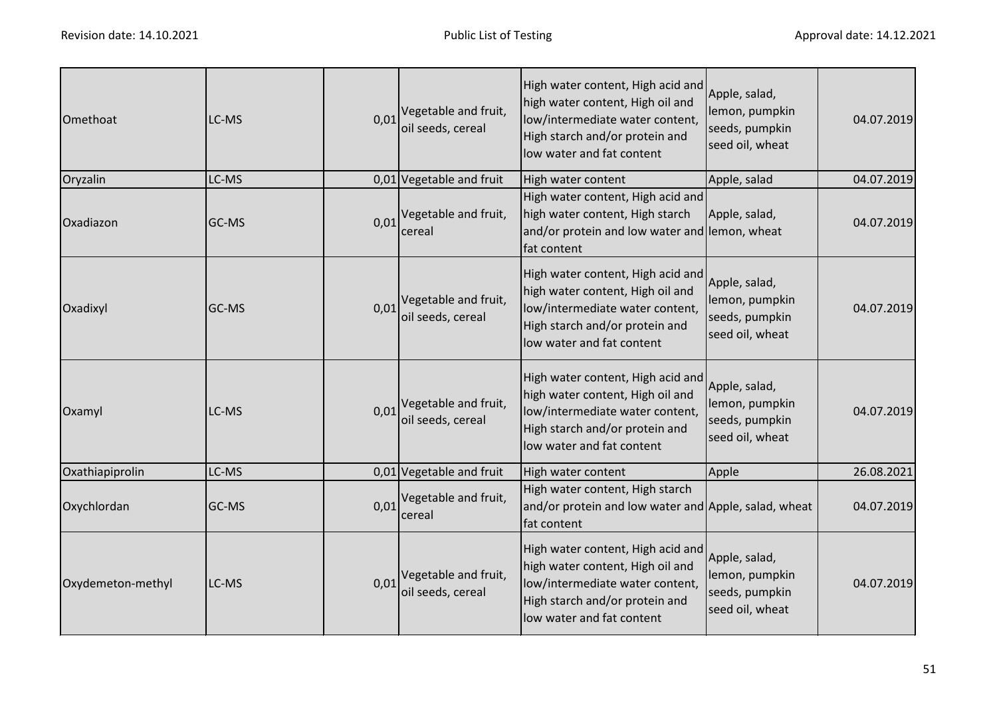| Omethoat          | LC-MS | 0,01 | Vegetable and fruit,<br>oil seeds, cereal                   | High water content, High acid and<br>high water content, High oil and<br>low/intermediate water content,<br>High starch and/or protein and<br>low water and fat content | Apple, salad,<br>lemon, pumpkin<br>seeds, pumpkin<br>seed oil, wheat | 04.07.2019 |
|-------------------|-------|------|-------------------------------------------------------------|-------------------------------------------------------------------------------------------------------------------------------------------------------------------------|----------------------------------------------------------------------|------------|
| Oryzalin          | LC-MS |      | 0,01 Vegetable and fruit                                    | High water content                                                                                                                                                      | Apple, salad                                                         | 04.07.2019 |
| Oxadiazon         | GC-MS | 0,01 | Vegetable and fruit,<br>cereal                              | High water content, High acid and<br>high water content, High starch<br>and/or protein and low water and lemon, wheat<br>fat content                                    | Apple, salad,                                                        | 04.07.2019 |
| Oxadixyl          | GC-MS |      | $0.01$ <sup>Vegetable and fruit,</sup><br>oil seeds, cereal | High water content, High acid and<br>high water content, High oil and<br>low/intermediate water content,<br>High starch and/or protein and<br>low water and fat content | Apple, salad,<br>lemon, pumpkin<br>seeds, pumpkin<br>seed oil, wheat | 04.07.2019 |
| Oxamyl            | LC-MS |      | 0,01 Vegetable and fruit,<br>oil seeds, cereal              | High water content, High acid and<br>high water content, High oil and<br>low/intermediate water content,<br>High starch and/or protein and<br>low water and fat content | Apple, salad,<br>lemon, pumpkin<br>seeds, pumpkin<br>seed oil, wheat | 04.07.2019 |
| Oxathiapiprolin   | LC-MS |      | 0,01 Vegetable and fruit                                    | High water content                                                                                                                                                      | Apple                                                                | 26.08.2021 |
| Oxychlordan       | GC-MS |      | $0.01$ <sup>Vegetable and fruit,</sup><br>cereal            | High water content, High starch<br>and/or protein and low water and Apple, salad, wheat<br>fat content                                                                  |                                                                      | 04.07.2019 |
| Oxydemeton-methyl | LC-MS |      | 0,01 Vegetable and fruit,<br>oil seeds, cereal              | High water content, High acid and<br>high water content, High oil and<br>low/intermediate water content,<br>High starch and/or protein and<br>low water and fat content | Apple, salad,<br>lemon, pumpkin<br>seeds, pumpkin<br>seed oil, wheat | 04.07.2019 |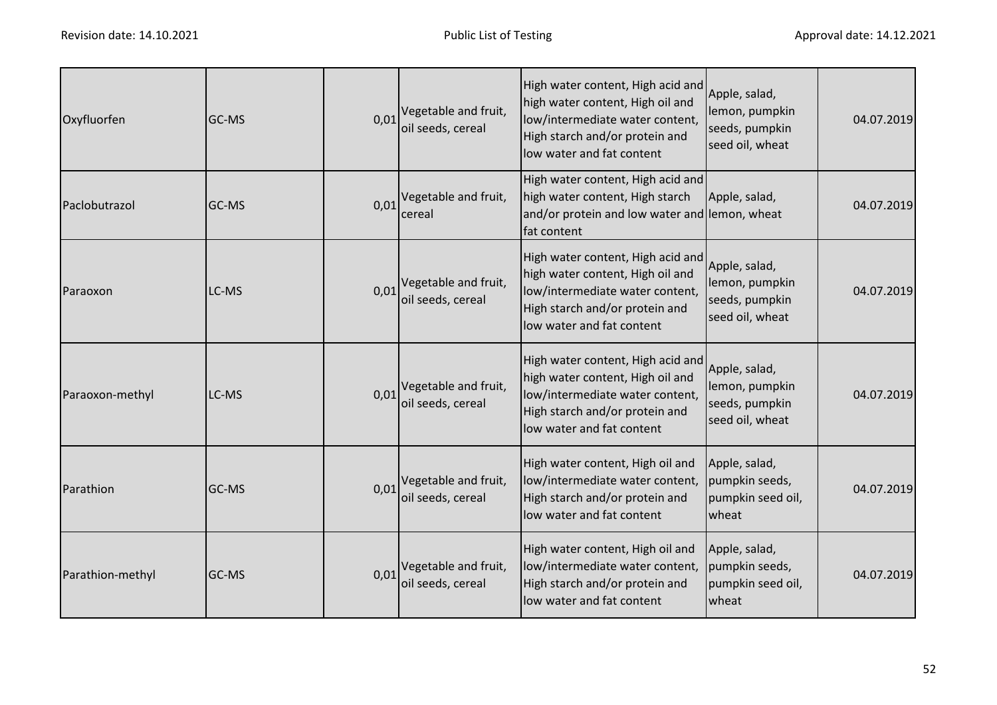| Oxyfluorfen      | GC-MS | 0,01 | Vegetable and fruit,<br>oil seeds, cereal | High water content, High acid and<br>high water content, High oil and<br>low/intermediate water content,<br>High starch and/or protein and<br>low water and fat content | Apple, salad,<br>lemon, pumpkin<br>seeds, pumpkin<br>seed oil, wheat | 04.07.2019 |
|------------------|-------|------|-------------------------------------------|-------------------------------------------------------------------------------------------------------------------------------------------------------------------------|----------------------------------------------------------------------|------------|
| Paclobutrazol    | GC-MS | 0,01 | Vegetable and fruit,<br>cereal            | High water content, High acid and<br>high water content, High starch<br>and/or protein and low water and lemon, wheat<br>fat content                                    | Apple, salad,                                                        | 04.07.2019 |
| Paraoxon         | LC-MS | 0,01 | Vegetable and fruit,<br>oil seeds, cereal | High water content, High acid and<br>high water content, High oil and<br>low/intermediate water content,<br>High starch and/or protein and<br>low water and fat content | Apple, salad,<br>lemon, pumpkin<br>seeds, pumpkin<br>seed oil, wheat | 04.07.2019 |
| Paraoxon-methyl  | LC-MS | 0,01 | Vegetable and fruit,<br>oil seeds, cereal | High water content, High acid and<br>high water content, High oil and<br>low/intermediate water content,<br>High starch and/or protein and<br>low water and fat content | Apple, salad,<br>lemon, pumpkin<br>seeds, pumpkin<br>seed oil, wheat | 04.07.2019 |
| Parathion        | GC-MS | 0,01 | Vegetable and fruit,<br>oil seeds, cereal | High water content, High oil and<br>low/intermediate water content,<br>High starch and/or protein and<br>low water and fat content                                      | Apple, salad,<br>pumpkin seeds,<br>pumpkin seed oil,<br>wheat        | 04.07.2019 |
| Parathion-methyl | GC-MS | 0,01 | Vegetable and fruit,<br>oil seeds, cereal | High water content, High oil and<br>low/intermediate water content,<br>High starch and/or protein and<br>low water and fat content                                      | Apple, salad,<br>pumpkin seeds,<br>pumpkin seed oil,<br>wheat        | 04.07.2019 |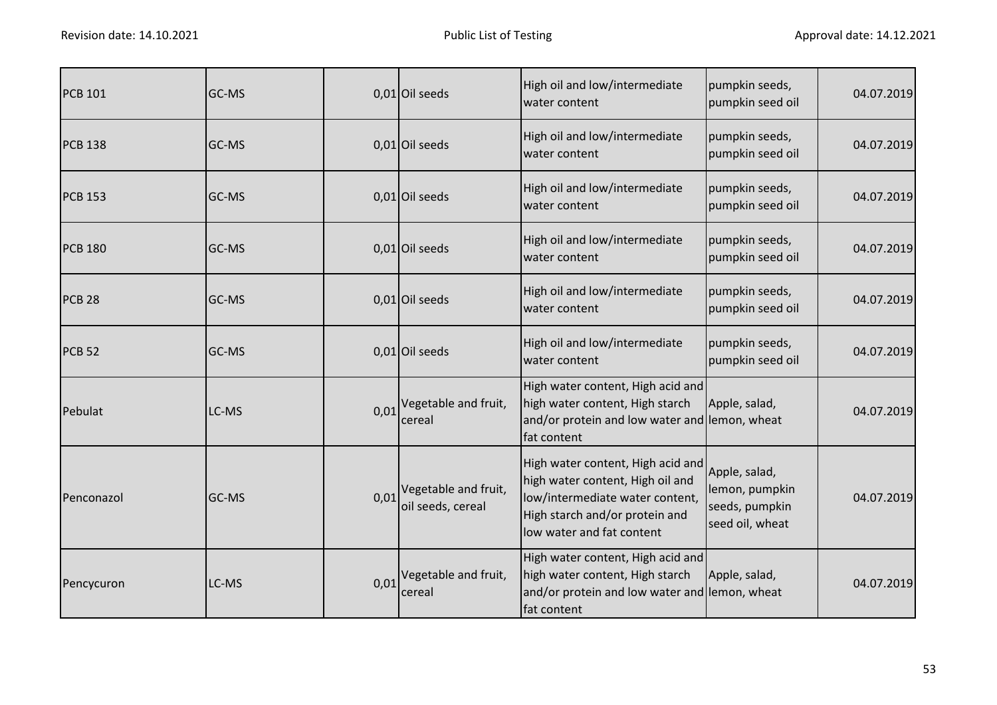| <b>PCB 101</b> | GC-MS |      | 0,01 Oil seeds                            | High oil and low/intermediate<br>water content                                                                                                                          | pumpkin seeds,<br>pumpkin seed oil                                   | 04.07.2019 |
|----------------|-------|------|-------------------------------------------|-------------------------------------------------------------------------------------------------------------------------------------------------------------------------|----------------------------------------------------------------------|------------|
| <b>PCB 138</b> | GC-MS |      | 0,01 Oil seeds                            | High oil and low/intermediate<br>water content                                                                                                                          | pumpkin seeds,<br>pumpkin seed oil                                   | 04.07.2019 |
| <b>PCB 153</b> | GC-MS |      | $0,01$ Oil seeds                          | High oil and low/intermediate<br>water content                                                                                                                          | pumpkin seeds,<br>pumpkin seed oil                                   | 04.07.2019 |
| <b>PCB 180</b> | GC-MS |      | $0,01$ Oil seeds                          | High oil and low/intermediate<br>water content                                                                                                                          | pumpkin seeds,<br>pumpkin seed oil                                   | 04.07.2019 |
| <b>PCB 28</b>  | GC-MS |      | 0,01 Oil seeds                            | High oil and low/intermediate<br>water content                                                                                                                          | pumpkin seeds,<br>pumpkin seed oil                                   | 04.07.2019 |
| <b>PCB 52</b>  | GC-MS |      | $0,01$ Oil seeds                          | High oil and low/intermediate<br>water content                                                                                                                          | pumpkin seeds,<br>pumpkin seed oil                                   | 04.07.2019 |
| Pebulat        | LC-MS | 0,01 | Vegetable and fruit,<br>cereal            | High water content, High acid and<br>high water content, High starch<br>and/or protein and low water and lemon, wheat<br>fat content                                    | Apple, salad,                                                        | 04.07.2019 |
| Penconazol     | GC-MS | 0,01 | Vegetable and fruit,<br>oil seeds, cereal | High water content, High acid and<br>high water content, High oil and<br>low/intermediate water content,<br>High starch and/or protein and<br>low water and fat content | Apple, salad,<br>lemon, pumpkin<br>seeds, pumpkin<br>seed oil, wheat | 04.07.2019 |
| Pencycuron     | LC-MS | 0,01 | Vegetable and fruit,<br>cereal            | High water content, High acid and<br>high water content, High starch<br>and/or protein and low water and lemon, wheat<br>fat content                                    | Apple, salad,                                                        | 04.07.2019 |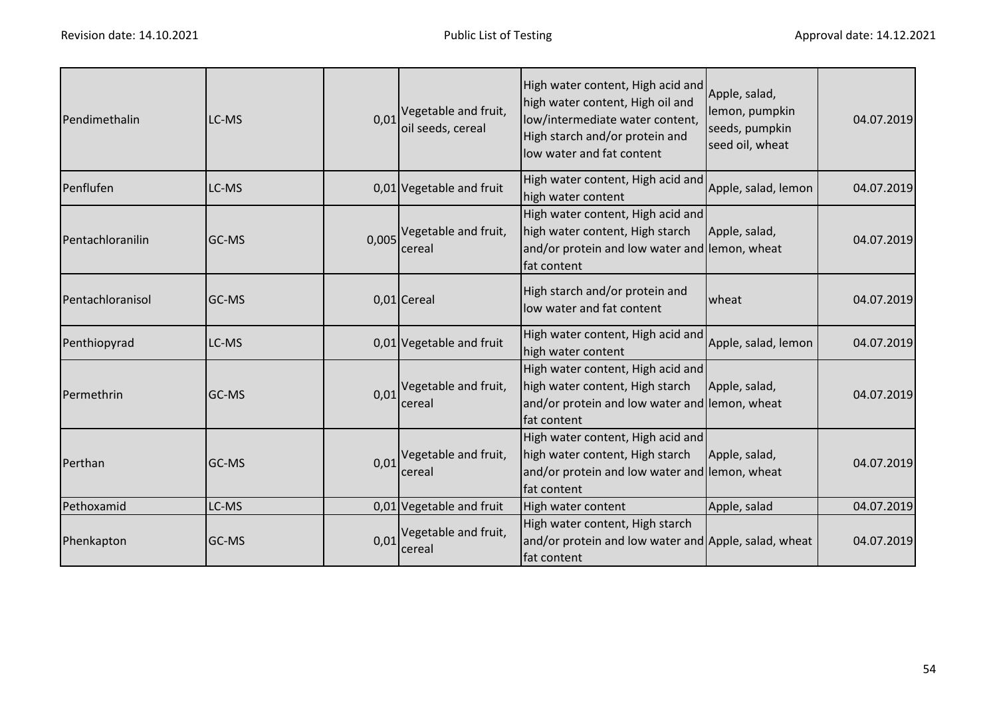| Pendimethalin    | LC-MS        | 0.01 | Vegetable and fruit,<br>oil seeds, cereal | High water content, High acid and<br>high water content, High oil and<br>low/intermediate water content,<br>High starch and/or protein and<br>low water and fat content | Apple, salad,<br>lemon, pumpkin<br>seeds, pumpkin<br>seed oil, wheat | 04.07.2019 |
|------------------|--------------|------|-------------------------------------------|-------------------------------------------------------------------------------------------------------------------------------------------------------------------------|----------------------------------------------------------------------|------------|
| Penflufen        | LC-MS        |      | 0,01 Vegetable and fruit                  | High water content, High acid and<br>high water content                                                                                                                 | Apple, salad, lemon                                                  | 04.07.2019 |
| Pentachloranilin | <b>GC-MS</b> |      | 0,005 Vegetable and fruit,<br>cereal      | High water content, High acid and<br>high water content, High starch<br>and/or protein and low water and lemon, wheat<br>fat content                                    | Apple, salad,                                                        | 04.07.2019 |
| Pentachloranisol | <b>GC-MS</b> |      | $0,01$ Cereal                             | High starch and/or protein and<br>low water and fat content                                                                                                             | wheat                                                                | 04.07.2019 |
| Penthiopyrad     | LC-MS        |      | 0,01 Vegetable and fruit                  | High water content, High acid and<br>high water content                                                                                                                 | Apple, salad, lemon                                                  | 04.07.2019 |
| Permethrin       | <b>GC-MS</b> | 0,01 | Vegetable and fruit,<br>cereal            | High water content, High acid and<br>high water content, High starch<br>and/or protein and low water and lemon, wheat<br>fat content                                    | Apple, salad,                                                        | 04.07.2019 |
| Perthan          | <b>GC-MS</b> | 0,01 | Vegetable and fruit,<br>cereal            | High water content, High acid and<br>high water content, High starch<br>and/or protein and low water and lemon, wheat<br>fat content                                    | Apple, salad,                                                        | 04.07.2019 |
| Pethoxamid       | LC-MS        |      | 0,01 Vegetable and fruit                  | High water content                                                                                                                                                      | Apple, salad                                                         | 04.07.2019 |
| Phenkapton       | <b>GC-MS</b> | 0,01 | Vegetable and fruit,<br>cereal            | High water content, High starch<br>and/or protein and low water and Apple, salad, wheat<br>fat content                                                                  |                                                                      | 04.07.2019 |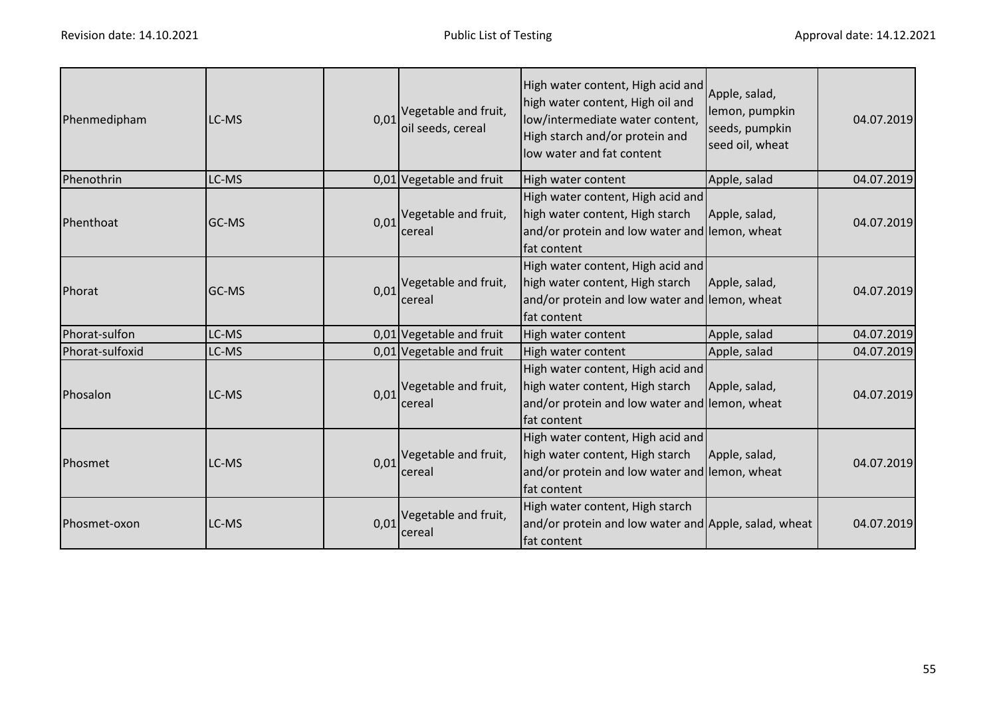| Phenmedipham    | LC-MS        |      | $0.01$ <sup>Vegetable and fruit,</sup><br>oil seeds, cereal | High water content, High acid and<br>high water content, High oil and<br>low/intermediate water content,<br>High starch and/or protein and<br>low water and fat content | Apple, salad,<br>lemon, pumpkin<br>seeds, pumpkin<br>seed oil, wheat | 04.07.2019 |
|-----------------|--------------|------|-------------------------------------------------------------|-------------------------------------------------------------------------------------------------------------------------------------------------------------------------|----------------------------------------------------------------------|------------|
| Phenothrin      | LC-MS        |      | 0,01 Vegetable and fruit                                    | High water content                                                                                                                                                      | Apple, salad                                                         | 04.07.2019 |
| Phenthoat       | <b>GC-MS</b> |      | $0.01$ <sup>Vegetable and fruit,</sup><br>cereal            | High water content, High acid and<br>high water content, High starch<br>and/or protein and low water and lemon, wheat<br>fat content                                    | Apple, salad,                                                        | 04.07.2019 |
| Phorat          | GC-MS        |      | $0.01$ <sup>Vegetable and fruit,</sup><br>cereal            | High water content, High acid and<br>high water content, High starch<br>and/or protein and low water and lemon, wheat<br>fat content                                    | Apple, salad,                                                        | 04.07.2019 |
| Phorat-sulfon   | LC-MS        |      | 0,01 Vegetable and fruit                                    | High water content                                                                                                                                                      | Apple, salad                                                         | 04.07.2019 |
| Phorat-sulfoxid | LC-MS        |      | 0,01 Vegetable and fruit                                    | High water content                                                                                                                                                      | Apple, salad                                                         | 04.07.2019 |
| Phosalon        | LC-MS        |      | $0.01$ <sup>Vegetable and fruit,</sup><br>cereal            | High water content, High acid and<br>high water content, High starch<br>and/or protein and low water and lemon, wheat<br>fat content                                    | Apple, salad,                                                        | 04.07.2019 |
| Phosmet         | LC-MS        |      | $0.01$ <sup>Vegetable and fruit,</sup><br>cereal            | High water content, High acid and<br>high water content, High starch<br>and/or protein and low water and lemon, wheat<br>fat content                                    | Apple, salad,                                                        | 04.07.2019 |
| Phosmet-oxon    | LC-MS        | 0,01 | Vegetable and fruit,<br>cereal                              | High water content, High starch<br>and/or protein and low water and Apple, salad, wheat<br>fat content                                                                  |                                                                      | 04.07.2019 |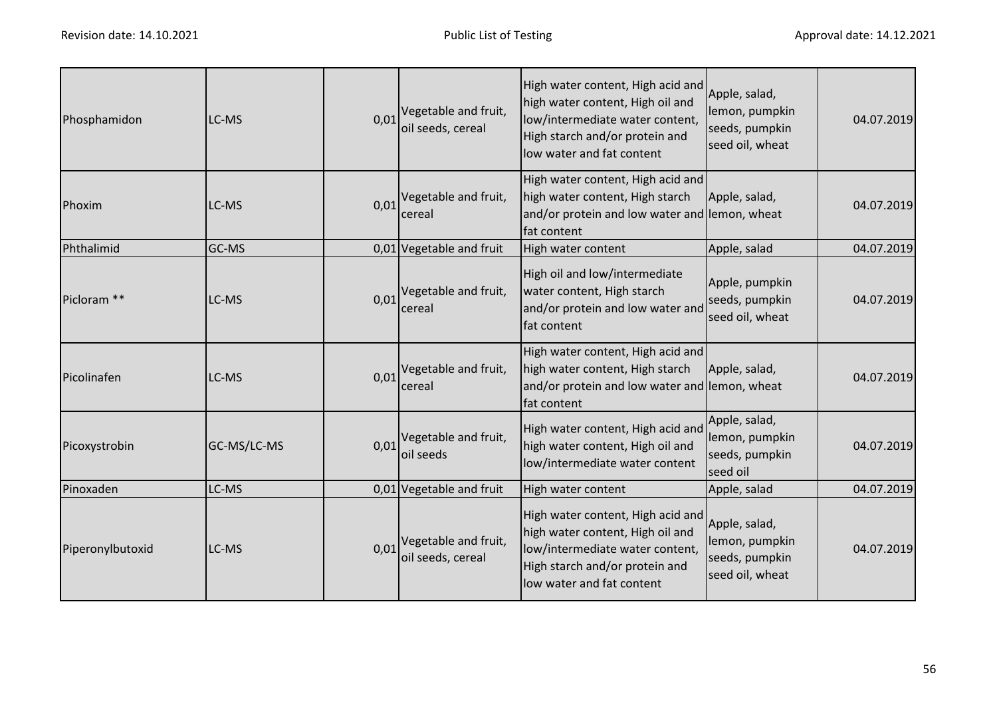| Phosphamidon           | LC-MS       | 0,01 | Vegetable and fruit,<br>oil seeds, cereal                   | High water content, High acid and<br>high water content, High oil and<br>low/intermediate water content,<br>High starch and/or protein and<br>low water and fat content | Apple, salad,<br>lemon, pumpkin<br>seeds, pumpkin<br>seed oil, wheat | 04.07.2019 |
|------------------------|-------------|------|-------------------------------------------------------------|-------------------------------------------------------------------------------------------------------------------------------------------------------------------------|----------------------------------------------------------------------|------------|
| Phoxim                 | LC-MS       | 0,01 | Vegetable and fruit,<br>cereal                              | High water content, High acid and<br>high water content, High starch<br>and/or protein and low water and lemon, wheat<br>fat content                                    | Apple, salad,                                                        | 04.07.2019 |
| Phthalimid             | GC-MS       |      | 0,01 Vegetable and fruit                                    | High water content                                                                                                                                                      | Apple, salad                                                         | 04.07.2019 |
| Picloram <sup>**</sup> | LC-MS       | 0,01 | Vegetable and fruit,<br>cereal                              | High oil and low/intermediate<br>water content, High starch<br>and/or protein and low water and<br>fat content                                                          | Apple, pumpkin<br>seeds, pumpkin<br>seed oil, wheat                  | 04.07.2019 |
| Picolinafen            | LC-MS       | 0,01 | Vegetable and fruit,<br>cereal                              | High water content, High acid and<br>high water content, High starch<br>and/or protein and low water and lemon, wheat<br>fat content                                    | Apple, salad,                                                        | 04.07.2019 |
| Picoxystrobin          | GC-MS/LC-MS | 0,01 | Vegetable and fruit,<br>oil seeds                           | High water content, High acid and<br>high water content, High oil and<br>low/intermediate water content                                                                 | Apple, salad,<br>lemon, pumpkin<br>seeds, pumpkin<br>seed oil        | 04.07.2019 |
| Pinoxaden              | LC-MS       |      | 0,01 Vegetable and fruit                                    | High water content                                                                                                                                                      | Apple, salad                                                         | 04.07.2019 |
| Piperonylbutoxid       | LC-MS       |      | $0.01$ <sup>Vegetable and fruit,</sup><br>oil seeds, cereal | High water content, High acid and<br>high water content, High oil and<br>low/intermediate water content,<br>High starch and/or protein and<br>low water and fat content | Apple, salad,<br>lemon, pumpkin<br>seeds, pumpkin<br>seed oil, wheat | 04.07.2019 |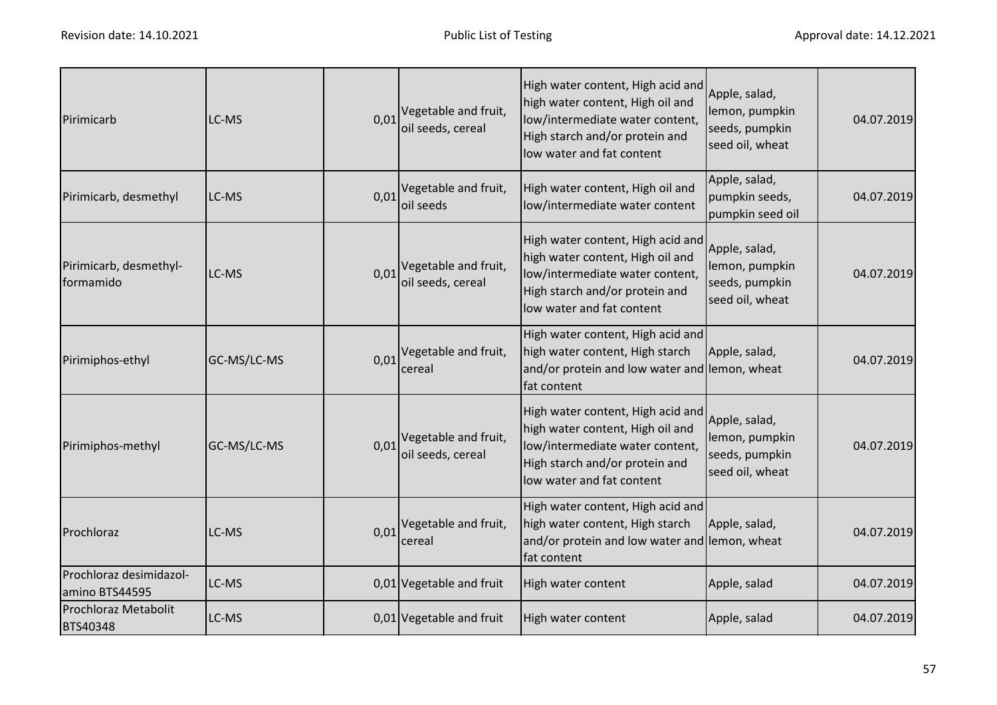| Pirimicarb                                | LC-MS       | 0,01 | Vegetable and fruit,<br>oil seeds, cereal | High water content, High acid and<br>high water content, High oil and<br>low/intermediate water content,<br>High starch and/or protein and<br>low water and fat content | Apple, salad,<br>lemon, pumpkin<br>seeds, pumpkin<br>seed oil, wheat | 04.07.2019 |
|-------------------------------------------|-------------|------|-------------------------------------------|-------------------------------------------------------------------------------------------------------------------------------------------------------------------------|----------------------------------------------------------------------|------------|
| Pirimicarb, desmethyl                     | LC-MS       | 0,01 | Vegetable and fruit,<br>oil seeds         | High water content, High oil and<br>low/intermediate water content                                                                                                      | Apple, salad,<br>pumpkin seeds,<br>pumpkin seed oil                  | 04.07.2019 |
| Pirimicarb, desmethyl-<br>formamido       | LC-MS       | 0,01 | Vegetable and fruit,<br>oil seeds, cereal | High water content, High acid and<br>high water content, High oil and<br>low/intermediate water content,<br>High starch and/or protein and<br>low water and fat content | Apple, salad,<br>lemon, pumpkin<br>seeds, pumpkin<br>seed oil, wheat | 04.07.2019 |
| Pirimiphos-ethyl                          | GC-MS/LC-MS | 0,01 | Vegetable and fruit,<br>cereal            | High water content, High acid and<br>high water content, High starch<br>and/or protein and low water and lemon, wheat<br>fat content                                    | Apple, salad,                                                        | 04.07.2019 |
| Pirimiphos-methyl                         | GC-MS/LC-MS | 0,01 | Vegetable and fruit,<br>oil seeds, cereal | High water content, High acid and<br>high water content, High oil and<br>low/intermediate water content,<br>High starch and/or protein and<br>low water and fat content | Apple, salad,<br>lemon, pumpkin<br>seeds, pumpkin<br>seed oil, wheat | 04.07.2019 |
| Prochloraz                                | LC-MS       | 0,01 | Vegetable and fruit,<br>cereal            | High water content, High acid and<br>high water content, High starch<br>and/or protein and low water and lemon, wheat<br>fat content                                    | Apple, salad,                                                        | 04.07.2019 |
| Prochloraz desimidazol-<br>amino BTS44595 | LC-MS       |      | 0,01 Vegetable and fruit                  | High water content                                                                                                                                                      | Apple, salad                                                         | 04.07.2019 |
| Prochloraz Metabolit<br>BTS40348          | LC-MS       |      | 0,01 Vegetable and fruit                  | High water content                                                                                                                                                      | Apple, salad                                                         | 04.07.2019 |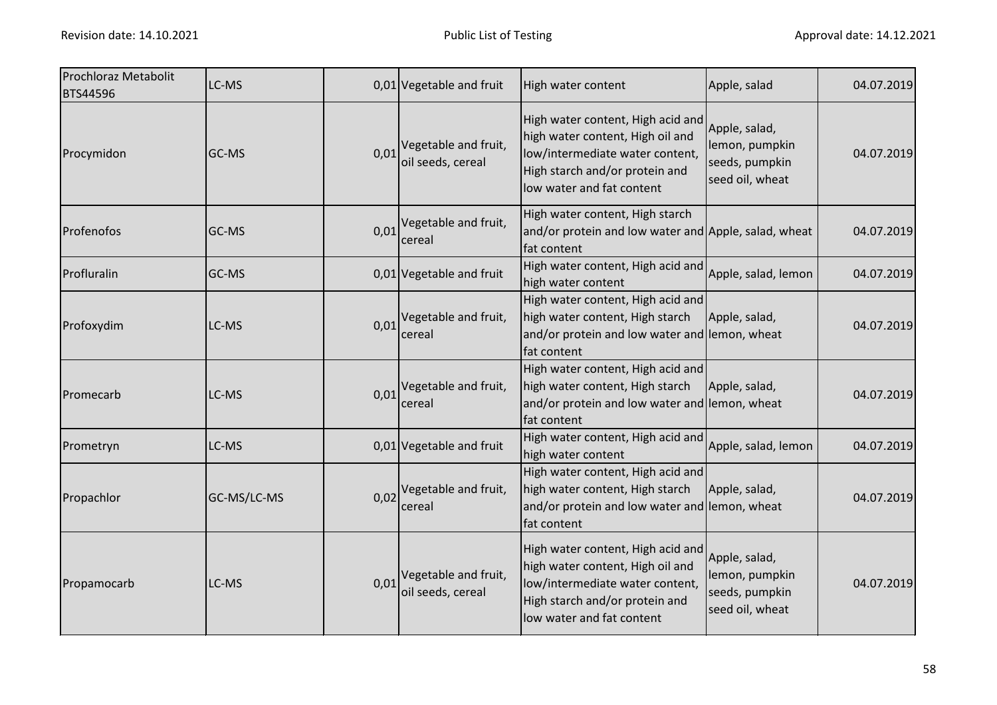| Prochloraz Metabolit<br><b>BTS44596</b> | LC-MS       |      | 0,01 Vegetable and fruit                  | High water content                                                                                                                                                      | Apple, salad                                                         | 04.07.2019 |
|-----------------------------------------|-------------|------|-------------------------------------------|-------------------------------------------------------------------------------------------------------------------------------------------------------------------------|----------------------------------------------------------------------|------------|
| Procymidon                              | GC-MS       | 0,01 | Vegetable and fruit,<br>oil seeds, cereal | High water content, High acid and<br>high water content, High oil and<br>low/intermediate water content,<br>High starch and/or protein and<br>low water and fat content | Apple, salad,<br>lemon, pumpkin<br>seeds, pumpkin<br>seed oil, wheat | 04.07.2019 |
| Profenofos                              | GC-MS       | 0,01 | Vegetable and fruit,<br>cereal            | High water content, High starch<br>and/or protein and low water and Apple, salad, wheat<br>fat content                                                                  |                                                                      | 04.07.2019 |
| Profluralin                             | GC-MS       |      | 0,01 Vegetable and fruit                  | High water content, High acid and<br>high water content                                                                                                                 | Apple, salad, lemon                                                  | 04.07.2019 |
| Profoxydim                              | LC-MS       | 0,01 | Vegetable and fruit,<br>cereal            | High water content, High acid and<br>high water content, High starch<br>and/or protein and low water and lemon, wheat<br>fat content                                    | Apple, salad,                                                        | 04.07.2019 |
| Promecarb                               | LC-MS       | 0,01 | Vegetable and fruit,<br>cereal            | High water content, High acid and<br>high water content, High starch<br>and/or protein and low water and lemon, wheat<br>fat content                                    | Apple, salad,                                                        | 04.07.2019 |
| Prometryn                               | LC-MS       |      | 0,01 Vegetable and fruit                  | High water content, High acid and<br>high water content                                                                                                                 | Apple, salad, lemon                                                  | 04.07.2019 |
| Propachlor                              | GC-MS/LC-MS | 0,02 | Vegetable and fruit,<br>cereal            | High water content, High acid and<br>high water content, High starch<br>and/or protein and low water and lemon, wheat<br>fat content                                    | Apple, salad,                                                        | 04.07.2019 |
| Propamocarb                             | LC-MS       | 0,01 | Vegetable and fruit,<br>oil seeds, cereal | High water content, High acid and<br>high water content, High oil and<br>low/intermediate water content,<br>High starch and/or protein and<br>low water and fat content | Apple, salad,<br>lemon, pumpkin<br>seeds, pumpkin<br>seed oil, wheat | 04.07.2019 |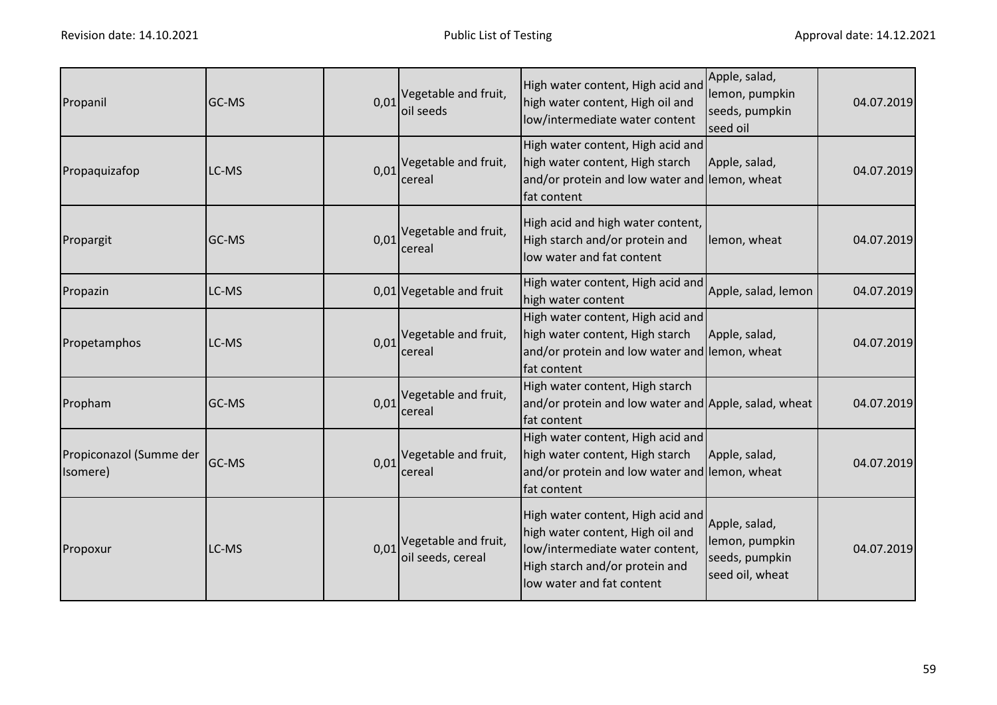| Propanil                            | GC-MS        |      | $0.01$ <sup>Vegetable and fruit,</sup><br>oil seeds         | High water content, High acid and<br>high water content, High oil and<br>low/intermediate water content                                                                 | Apple, salad,<br>lemon, pumpkin<br>seeds, pumpkin<br>seed oil        | 04.07.2019 |
|-------------------------------------|--------------|------|-------------------------------------------------------------|-------------------------------------------------------------------------------------------------------------------------------------------------------------------------|----------------------------------------------------------------------|------------|
| Propaquizafop                       | LC-MS        |      | $0.01$ <sup>Vegetable and fruit,</sup><br>cereal            | High water content, High acid and<br>high water content, High starch<br>and/or protein and low water and lemon, wheat<br>fat content                                    | Apple, salad,                                                        | 04.07.2019 |
| Propargit                           | <b>GC-MS</b> |      | $0.01$ <sup>Vegetable and fruit,</sup><br>cereal            | High acid and high water content,<br>High starch and/or protein and<br>low water and fat content                                                                        | lemon, wheat                                                         | 04.07.2019 |
| Propazin                            | LC-MS        |      | 0,01 Vegetable and fruit                                    | High water content, High acid and<br>high water content                                                                                                                 | Apple, salad, lemon                                                  | 04.07.2019 |
| Propetamphos                        | LC-MS        | 0,01 | Vegetable and fruit,<br>cereal                              | High water content, High acid and<br>high water content, High starch<br>and/or protein and low water and lemon, wheat<br>fat content                                    | Apple, salad,                                                        | 04.07.2019 |
| Propham                             | GC-MS        | 0,01 | Vegetable and fruit,<br>cereal                              | High water content, High starch<br>and/or protein and low water and Apple, salad, wheat<br>fat content                                                                  |                                                                      | 04.07.2019 |
| Propiconazol (Summe der<br>Isomere) | GC-MS        |      | $0.01$ <sup>Vegetable and fruit,</sup><br>cereal            | High water content, High acid and<br>high water content, High starch<br>and/or protein and low water and lemon, wheat<br>fat content                                    | Apple, salad,                                                        | 04.07.2019 |
| Propoxur                            | LC-MS        |      | $0.01$ <sup>Vegetable and fruit,</sup><br>oil seeds, cereal | High water content, High acid and<br>high water content, High oil and<br>low/intermediate water content,<br>High starch and/or protein and<br>low water and fat content | Apple, salad,<br>lemon, pumpkin<br>seeds, pumpkin<br>seed oil, wheat | 04.07.2019 |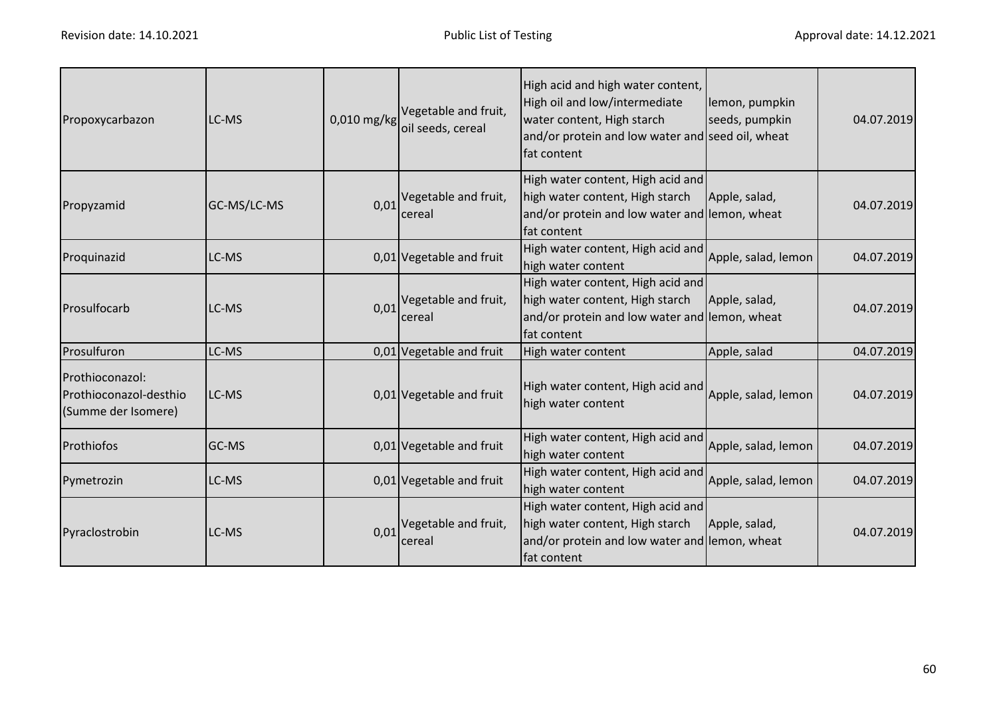| Propoxycarbazon                                                  | LC-MS       | 0,010 mg/kg | Vegetable and fruit,<br>oil seeds, cereal | High acid and high water content,<br>High oil and low/intermediate<br>water content, High starch<br>and/or protein and low water and seed oil, wheat<br>fat content | lemon, pumpkin<br>seeds, pumpkin | 04.07.2019 |
|------------------------------------------------------------------|-------------|-------------|-------------------------------------------|---------------------------------------------------------------------------------------------------------------------------------------------------------------------|----------------------------------|------------|
| Propyzamid                                                       | GC-MS/LC-MS | 0,01        | Vegetable and fruit,<br>cereal            | High water content, High acid and<br>high water content, High starch<br>and/or protein and low water and lemon, wheat<br>fat content                                | Apple, salad,                    | 04.07.2019 |
| Proquinazid                                                      | LC-MS       |             | 0,01 Vegetable and fruit                  | High water content, High acid and<br>high water content                                                                                                             | Apple, salad, lemon              | 04.07.2019 |
| Prosulfocarb                                                     | LC-MS       | 0,01        | Vegetable and fruit,<br>cereal            | High water content, High acid and<br>high water content, High starch<br>and/or protein and low water and lemon, wheat<br>fat content                                | Apple, salad,                    | 04.07.2019 |
| Prosulfuron                                                      | LC-MS       |             | 0,01 Vegetable and fruit                  | High water content                                                                                                                                                  | Apple, salad                     | 04.07.2019 |
| Prothioconazol:<br>Prothioconazol-desthio<br>(Summe der Isomere) | LC-MS       |             | 0,01 Vegetable and fruit                  | High water content, High acid and<br>high water content                                                                                                             | Apple, salad, lemon              | 04.07.2019 |
| Prothiofos                                                       | GC-MS       |             | 0,01 Vegetable and fruit                  | High water content, High acid and<br>high water content                                                                                                             | Apple, salad, lemon              | 04.07.2019 |
| Pymetrozin                                                       | LC-MS       |             | 0,01 Vegetable and fruit                  | High water content, High acid and<br>high water content                                                                                                             | Apple, salad, lemon              | 04.07.2019 |
| Pyraclostrobin                                                   | LC-MS       | 0,01        | Vegetable and fruit,<br>cereal            | High water content, High acid and<br>high water content, High starch<br>and/or protein and low water and lemon, wheat<br>fat content                                | Apple, salad,                    | 04.07.2019 |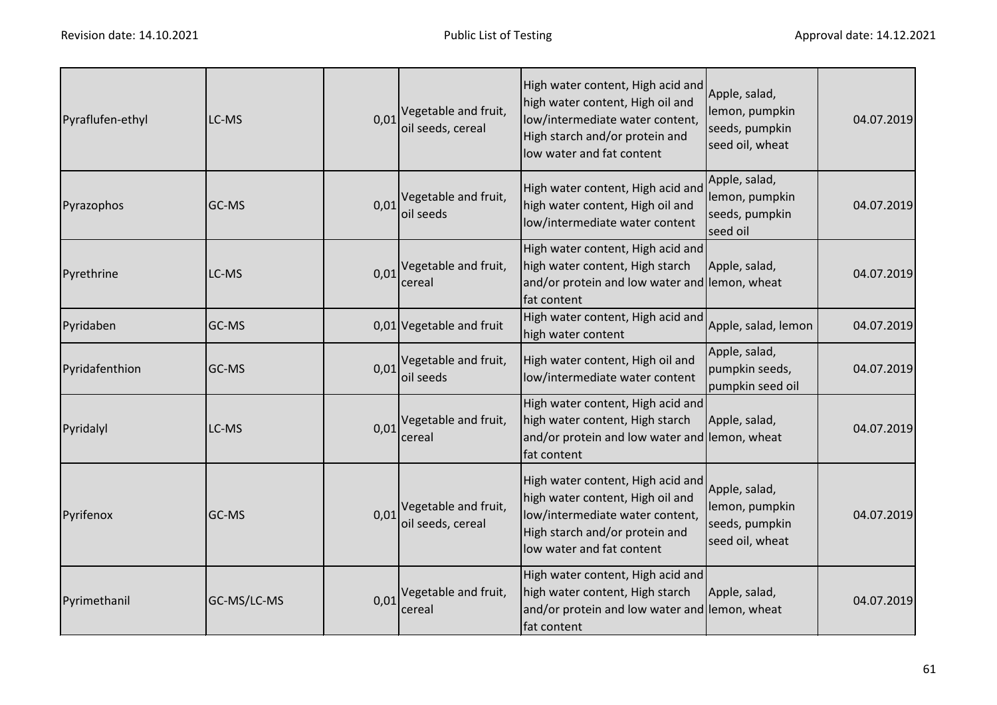| Pyraflufen-ethyl | LC-MS       | 0,01 | Vegetable and fruit,<br>oil seeds, cereal | High water content, High acid and<br>high water content, High oil and<br>low/intermediate water content,<br>High starch and/or protein and<br>low water and fat content | Apple, salad,<br>lemon, pumpkin<br>seeds, pumpkin<br>seed oil, wheat | 04.07.2019 |
|------------------|-------------|------|-------------------------------------------|-------------------------------------------------------------------------------------------------------------------------------------------------------------------------|----------------------------------------------------------------------|------------|
| Pyrazophos       | GC-MS       | 0,01 | Vegetable and fruit,<br>oil seeds         | High water content, High acid and<br>high water content, High oil and<br>low/intermediate water content                                                                 | Apple, salad,<br>lemon, pumpkin<br>seeds, pumpkin<br>seed oil        | 04.07.2019 |
| Pyrethrine       | LC-MS       | 0,01 | Vegetable and fruit,<br>cereal            | High water content, High acid and<br>high water content, High starch<br>and/or protein and low water and lemon, wheat<br>fat content                                    | Apple, salad,                                                        | 04.07.2019 |
| Pyridaben        | GC-MS       |      | 0,01 Vegetable and fruit                  | High water content, High acid and<br>high water content                                                                                                                 | Apple, salad, lemon                                                  | 04.07.2019 |
| Pyridafenthion   | GC-MS       | 0,01 | Vegetable and fruit,<br>oil seeds         | High water content, High oil and<br>low/intermediate water content                                                                                                      | Apple, salad,<br>pumpkin seeds,<br>pumpkin seed oil                  | 04.07.2019 |
| Pyridalyl        | LC-MS       | 0,01 | Vegetable and fruit,<br>cereal            | High water content, High acid and<br>high water content, High starch<br>and/or protein and low water and lemon, wheat<br>fat content                                    | Apple, salad,                                                        | 04.07.2019 |
| Pyrifenox        | GC-MS       | 0,01 | Vegetable and fruit,<br>oil seeds, cereal | High water content, High acid and<br>high water content, High oil and<br>low/intermediate water content,<br>High starch and/or protein and<br>low water and fat content | Apple, salad,<br>lemon, pumpkin<br>seeds, pumpkin<br>seed oil, wheat | 04.07.2019 |
| Pyrimethanil     | GC-MS/LC-MS | 0,01 | Vegetable and fruit,<br>cereal            | High water content, High acid and<br>high water content, High starch<br>and/or protein and low water and lemon, wheat<br>fat content                                    | Apple, salad,                                                        | 04.07.2019 |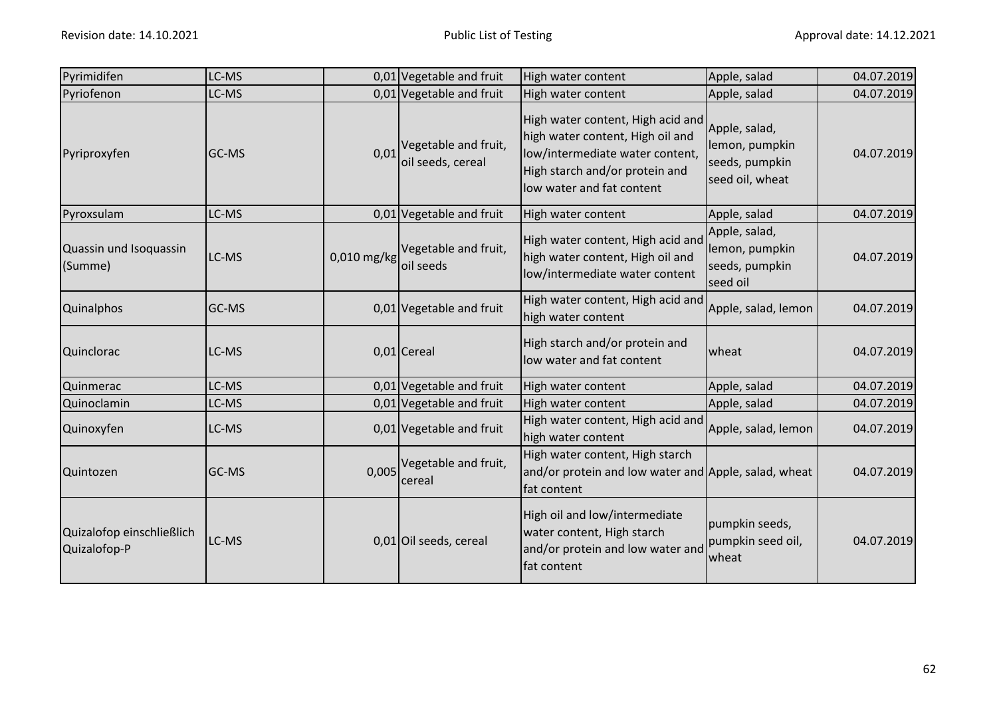| Pyrimidifen                               | LC-MS |             | 0,01 Vegetable and fruit                  | High water content                                                                                                                                                      | Apple, salad                                                         | 04.07.2019 |
|-------------------------------------------|-------|-------------|-------------------------------------------|-------------------------------------------------------------------------------------------------------------------------------------------------------------------------|----------------------------------------------------------------------|------------|
| Pyriofenon                                | LC-MS |             | 0,01 Vegetable and fruit                  | High water content                                                                                                                                                      | Apple, salad                                                         | 04.07.2019 |
| Pyriproxyfen                              | GC-MS | 0,01        | Vegetable and fruit,<br>oil seeds, cereal | High water content, High acid and<br>high water content, High oil and<br>low/intermediate water content,<br>High starch and/or protein and<br>low water and fat content | Apple, salad,<br>lemon, pumpkin<br>seeds, pumpkin<br>seed oil, wheat | 04.07.2019 |
| Pyroxsulam                                | LC-MS |             | 0,01 Vegetable and fruit                  | High water content                                                                                                                                                      | Apple, salad                                                         | 04.07.2019 |
| Quassin und Isoquassin<br>(Summe)         | LC-MS | 0,010 mg/kg | Vegetable and fruit,<br>oil seeds         | High water content, High acid and<br>high water content, High oil and<br>low/intermediate water content                                                                 | Apple, salad,<br>lemon, pumpkin<br>seeds, pumpkin<br>seed oil        | 04.07.2019 |
| <b>Quinalphos</b>                         | GC-MS |             | 0,01 Vegetable and fruit                  | High water content, High acid and<br>high water content                                                                                                                 | Apple, salad, lemon                                                  | 04.07.2019 |
| Quinclorac                                | LC-MS |             | 0,01 Cereal                               | High starch and/or protein and<br>low water and fat content                                                                                                             | wheat                                                                | 04.07.2019 |
| Quinmerac                                 | LC-MS |             | $0.01$ Vegetable and fruit                | High water content                                                                                                                                                      | Apple, salad                                                         | 04.07.2019 |
| Quinoclamin                               | LC-MS |             | 0,01 Vegetable and fruit                  | High water content                                                                                                                                                      | Apple, salad                                                         | 04.07.2019 |
| Quinoxyfen                                | LC-MS |             | 0,01 Vegetable and fruit                  | High water content, High acid and<br>high water content                                                                                                                 | Apple, salad, lemon                                                  | 04.07.2019 |
| Quintozen                                 | GC-MS | 0,005       | Vegetable and fruit,<br>cereal            | High water content, High starch<br>and/or protein and low water and Apple, salad, wheat<br>fat content                                                                  |                                                                      | 04.07.2019 |
| Quizalofop einschließlich<br>Quizalofop-P | LC-MS |             | 0,01 Oil seeds, cereal                    | High oil and low/intermediate<br>water content, High starch<br>and/or protein and low water and<br>fat content                                                          | pumpkin seeds,<br>pumpkin seed oil,<br>wheat                         | 04.07.2019 |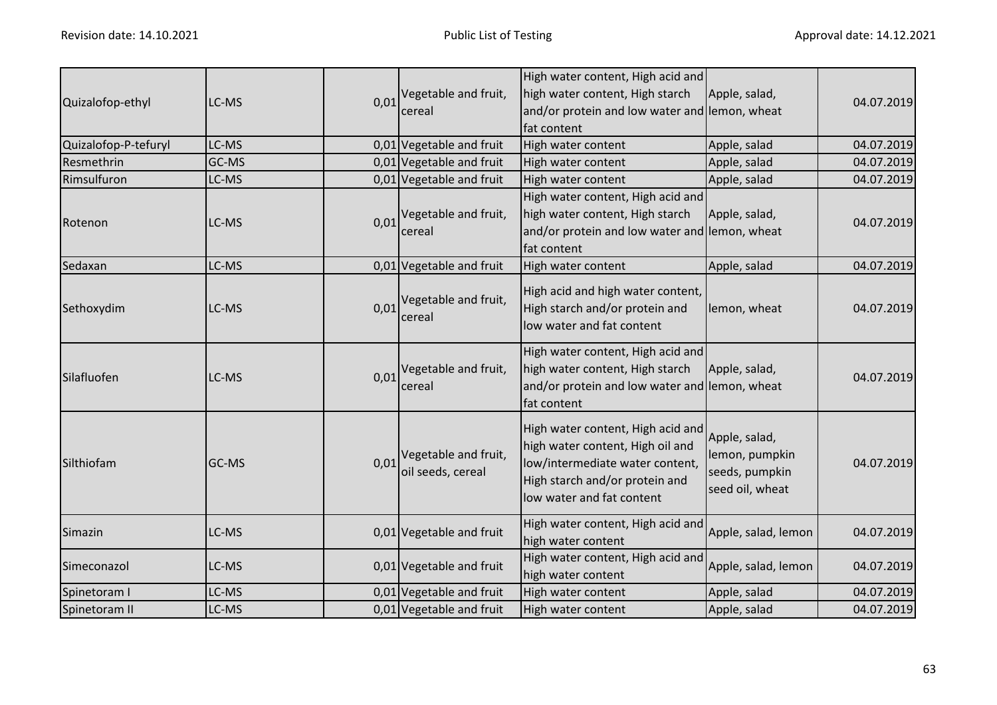| Quizalofop-ethyl     | LC-MS | 0,01 | Vegetable and fruit,<br>cereal                 | High water content, High acid and<br>high water content, High starch<br>and/or protein and low water and lemon, wheat<br>fat content                                    | Apple, salad,                                                        | 04.07.2019 |
|----------------------|-------|------|------------------------------------------------|-------------------------------------------------------------------------------------------------------------------------------------------------------------------------|----------------------------------------------------------------------|------------|
| Quizalofop-P-tefuryl | LC-MS |      | 0,01 Vegetable and fruit                       | High water content                                                                                                                                                      | Apple, salad                                                         | 04.07.2019 |
| Resmethrin           | GC-MS |      | 0,01 Vegetable and fruit                       | High water content                                                                                                                                                      | Apple, salad                                                         | 04.07.2019 |
| Rimsulfuron          | LC-MS |      | 0,01 Vegetable and fruit                       | High water content                                                                                                                                                      | Apple, salad                                                         | 04.07.2019 |
| Rotenon              | LC-MS | 0,01 | Vegetable and fruit,<br>cereal                 | High water content, High acid and<br>high water content, High starch<br>and/or protein and low water and lemon, wheat<br>fat content                                    | Apple, salad,                                                        | 04.07.2019 |
| Sedaxan              | LC-MS |      | 0,01 Vegetable and fruit                       | High water content                                                                                                                                                      | Apple, salad                                                         | 04.07.2019 |
| Sethoxydim           | LC-MS | 0,01 | Vegetable and fruit,<br>cereal                 | High acid and high water content,<br>High starch and/or protein and<br>low water and fat content                                                                        | lemon, wheat                                                         | 04.07.2019 |
| Silafluofen          | LC-MS | 0,01 | Vegetable and fruit,<br>cereal                 | High water content, High acid and<br>high water content, High starch<br>and/or protein and low water and lemon, wheat<br>fat content                                    | Apple, salad,                                                        | 04.07.2019 |
| Silthiofam           | GC-MS |      | 0,01 Vegetable and fruit,<br>oil seeds, cereal | High water content, High acid and<br>high water content, High oil and<br>low/intermediate water content,<br>High starch and/or protein and<br>low water and fat content | Apple, salad,<br>lemon, pumpkin<br>seeds, pumpkin<br>seed oil, wheat | 04.07.2019 |
| Simazin              | LC-MS |      | 0,01 Vegetable and fruit                       | High water content, High acid and<br>high water content                                                                                                                 | Apple, salad, lemon                                                  | 04.07.2019 |
| Simeconazol          | LC-MS |      | 0,01 Vegetable and fruit                       | High water content, High acid and<br>high water content                                                                                                                 | Apple, salad, lemon                                                  | 04.07.2019 |
| Spinetoram I         | LC-MS |      | 0,01 Vegetable and fruit                       | High water content                                                                                                                                                      | Apple, salad                                                         | 04.07.2019 |
| Spinetoram II        | LC-MS |      | 0,01 Vegetable and fruit                       | High water content                                                                                                                                                      | Apple, salad                                                         | 04.07.2019 |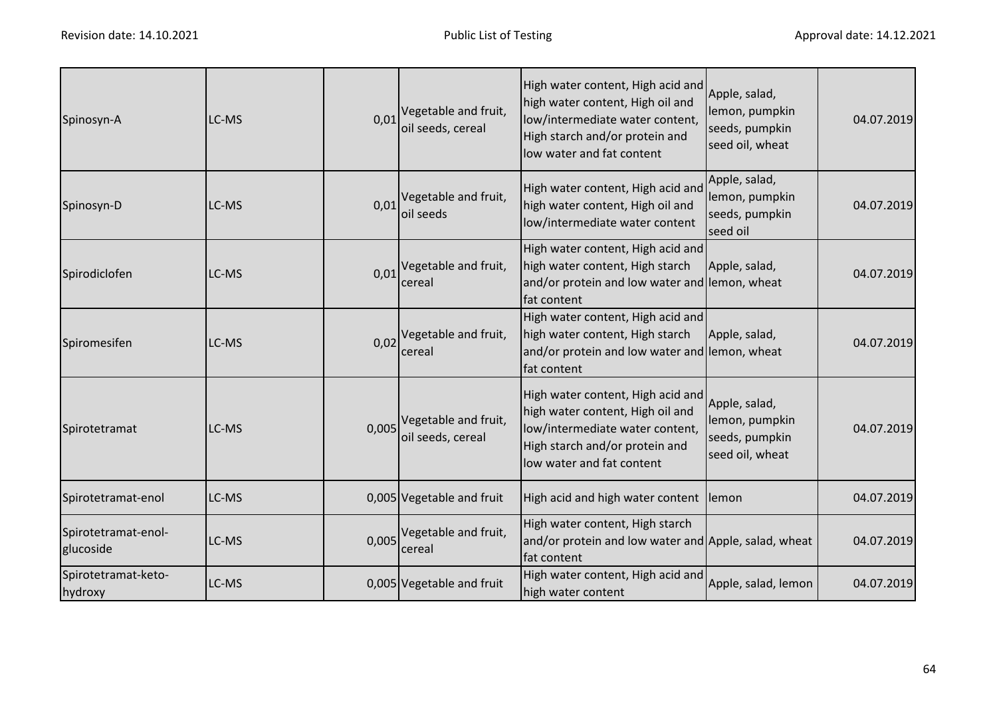| Spinosyn-A                       | LC-MS | 0,01  | Vegetable and fruit,<br>oil seeds, cereal         | High water content, High acid and<br>high water content, High oil and<br>low/intermediate water content,<br>High starch and/or protein and<br>low water and fat content | Apple, salad,<br>lemon, pumpkin<br>seeds, pumpkin<br>seed oil, wheat | 04.07.2019 |
|----------------------------------|-------|-------|---------------------------------------------------|-------------------------------------------------------------------------------------------------------------------------------------------------------------------------|----------------------------------------------------------------------|------------|
| Spinosyn-D                       | LC-MS | 0,01  | Vegetable and fruit,<br>oil seeds                 | High water content, High acid and<br>high water content, High oil and<br>low/intermediate water content                                                                 | Apple, salad,<br>lemon, pumpkin<br>seeds, pumpkin<br>seed oil        | 04.07.2019 |
| Spirodiclofen                    | LC-MS | 0,01  | Vegetable and fruit,<br>cereal                    | High water content, High acid and<br>high water content, High starch<br>and/or protein and low water and lemon, wheat<br>fat content                                    | Apple, salad,                                                        | 04.07.2019 |
| Spiromesifen                     | LC-MS | 0,02  | Vegetable and fruit,<br>cereal                    | High water content, High acid and<br>high water content, High starch<br>and/or protein and low water and lemon, wheat<br>fat content                                    | Apple, salad,                                                        | 04.07.2019 |
| Spirotetramat                    | LC-MS |       | $0,005$ Vegetable and fruit,<br>oil seeds, cereal | High water content, High acid and<br>high water content, High oil and<br>low/intermediate water content,<br>High starch and/or protein and<br>low water and fat content | Apple, salad,<br>lemon, pumpkin<br>seeds, pumpkin<br>seed oil, wheat | 04.07.2019 |
| Spirotetramat-enol               | LC-MS |       | 0,005 Vegetable and fruit                         | High acid and high water content lemon                                                                                                                                  |                                                                      | 04.07.2019 |
| Spirotetramat-enol-<br>glucoside | LC-MS | 0,005 | Vegetable and fruit,<br>cereal                    | High water content, High starch<br>and/or protein and low water and Apple, salad, wheat<br>fat content                                                                  |                                                                      | 04.07.2019 |
| Spirotetramat-keto-<br>hydroxy   | LC-MS |       | 0,005 Vegetable and fruit                         | High water content, High acid and<br>high water content                                                                                                                 | Apple, salad, lemon                                                  | 04.07.2019 |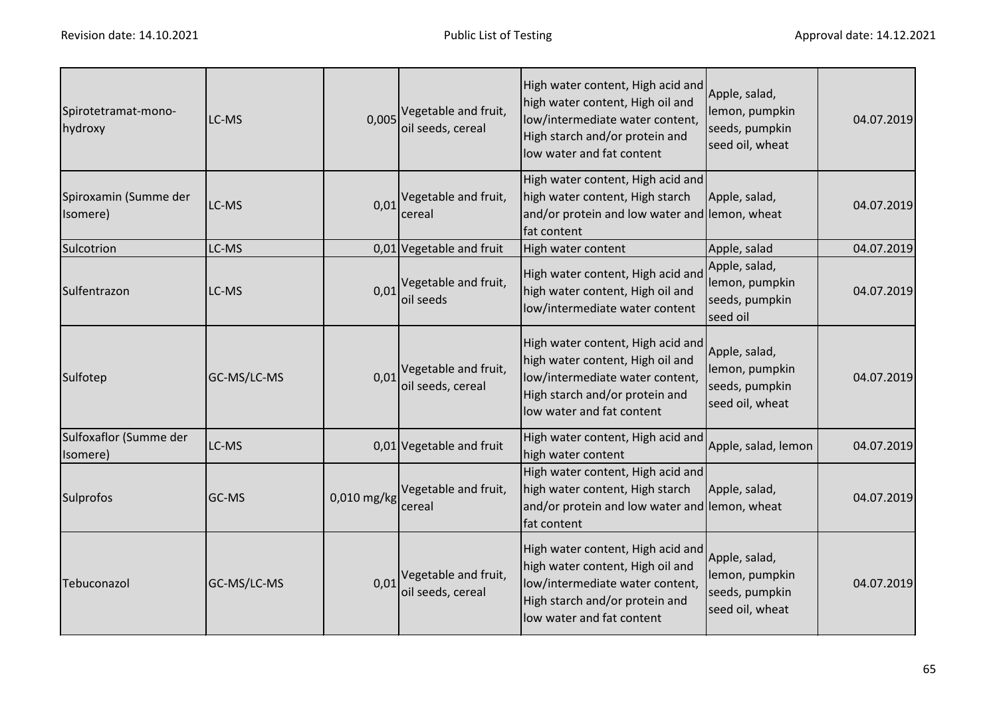| Spirotetramat-mono-<br>hydroxy     | LC-MS       | 0,005       | Vegetable and fruit,<br>oil seeds, cereal           | High water content, High acid and<br>high water content, High oil and<br>low/intermediate water content,<br>High starch and/or protein and<br>low water and fat content | Apple, salad,<br>lemon, pumpkin<br>seeds, pumpkin<br>seed oil, wheat | 04.07.2019 |
|------------------------------------|-------------|-------------|-----------------------------------------------------|-------------------------------------------------------------------------------------------------------------------------------------------------------------------------|----------------------------------------------------------------------|------------|
| Spiroxamin (Summe der<br>Isomere)  | LC-MS       | 0,01        | Vegetable and fruit,<br>cereal                      | High water content, High acid and<br>high water content, High starch<br>and/or protein and low water and lemon, wheat<br>fat content                                    | Apple, salad,                                                        | 04.07.2019 |
| Sulcotrion                         | LC-MS       |             | 0,01 Vegetable and fruit                            | High water content                                                                                                                                                      | Apple, salad                                                         | 04.07.2019 |
| Sulfentrazon                       | LC-MS       |             | $0.01$ <sup>Vegetable and fruit,</sup><br>oil seeds | High water content, High acid and<br>high water content, High oil and<br>low/intermediate water content                                                                 | Apple, salad,<br>lemon, pumpkin<br>seeds, pumpkin<br>seed oil        | 04.07.2019 |
| Sulfotep                           | GC-MS/LC-MS | 0,01        | Vegetable and fruit,<br>oil seeds, cereal           | High water content, High acid and<br>high water content, High oil and<br>low/intermediate water content,<br>High starch and/or protein and<br>low water and fat content | Apple, salad,<br>lemon, pumpkin<br>seeds, pumpkin<br>seed oil, wheat | 04.07.2019 |
| Sulfoxaflor (Summe der<br>(Isomere | LC-MS       |             | 0,01 Vegetable and fruit                            | High water content, High acid and<br>high water content                                                                                                                 | Apple, salad, lemon                                                  | 04.07.2019 |
| Sulprofos                          | GC-MS       | 0,010 mg/kg | Vegetable and fruit,<br>cereal                      | High water content, High acid and<br>high water content, High starch<br>and/or protein and low water and lemon, wheat<br>fat content                                    | Apple, salad,                                                        | 04.07.2019 |
| Tebuconazol                        | GC-MS/LC-MS | 0,01        | Vegetable and fruit,<br>oil seeds, cereal           | High water content, High acid and<br>high water content, High oil and<br>low/intermediate water content,<br>High starch and/or protein and<br>low water and fat content | Apple, salad,<br>lemon, pumpkin<br>seeds, pumpkin<br>seed oil, wheat | 04.07.2019 |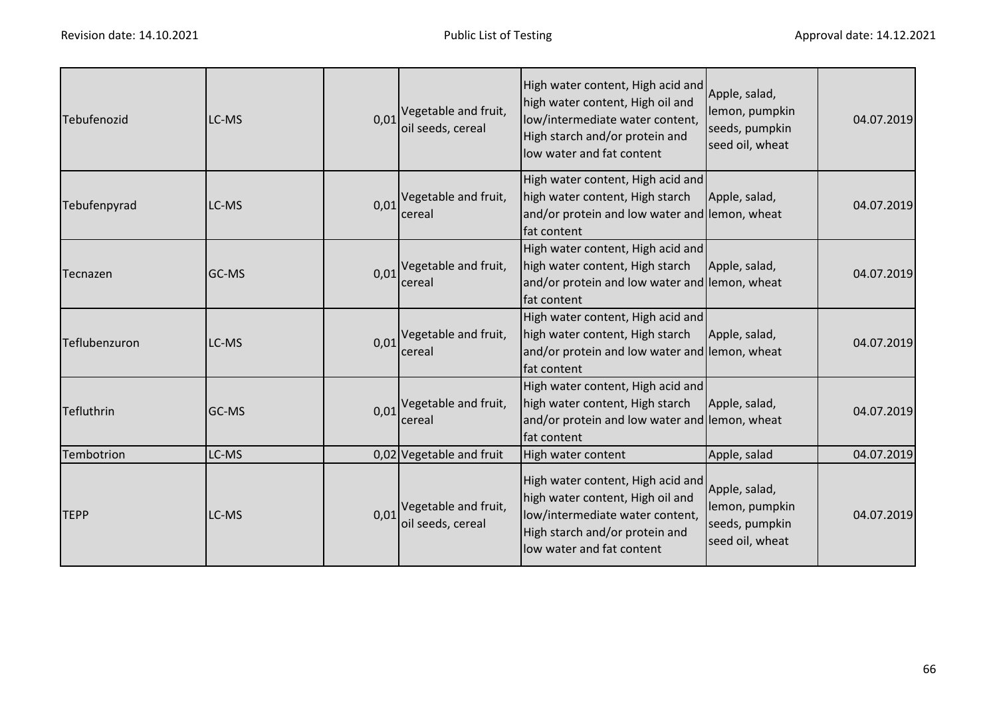| Tebufenozid       | LC-MS        | 0,01 | Vegetable and fruit,<br>oil seeds, cereal | High water content, High acid and<br>high water content, High oil and<br>low/intermediate water content,<br>High starch and/or protein and<br>low water and fat content | Apple, salad,<br>lemon, pumpkin<br>seeds, pumpkin<br>seed oil, wheat | 04.07.2019 |
|-------------------|--------------|------|-------------------------------------------|-------------------------------------------------------------------------------------------------------------------------------------------------------------------------|----------------------------------------------------------------------|------------|
| Tebufenpyrad      | LC-MS        | 0,01 | Vegetable and fruit,<br>cereal            | High water content, High acid and<br>high water content, High starch<br>and/or protein and low water and lemon, wheat<br>fat content                                    | Apple, salad,                                                        | 04.07.2019 |
| <b>Tecnazen</b>   | <b>GC-MS</b> | 0,01 | Vegetable and fruit,<br>cereal            | High water content, High acid and<br>high water content, High starch<br>and/or protein and low water and lemon, wheat<br>fat content                                    | Apple, salad,                                                        | 04.07.2019 |
| Teflubenzuron     | LC-MS        | 0.01 | Vegetable and fruit,<br>cereal            | High water content, High acid and<br>high water content, High starch<br>and/or protein and low water and lemon, wheat<br>fat content                                    | Apple, salad,                                                        | 04.07.2019 |
| <b>Tefluthrin</b> | IGC-MS       | 0,01 | Vegetable and fruit,<br>cereal            | High water content, High acid and<br>high water content, High starch<br>and/or protein and low water and lemon, wheat<br>fat content                                    | Apple, salad,                                                        | 04.07.2019 |
| Tembotrion        | LC-MS        |      | 0,02 Vegetable and fruit                  | High water content                                                                                                                                                      | Apple, salad                                                         | 04.07.2019 |
| <b>TEPP</b>       | LC-MS        | 0,01 | Vegetable and fruit,<br>oil seeds, cereal | High water content, High acid and<br>high water content, High oil and<br>low/intermediate water content,<br>High starch and/or protein and<br>low water and fat content | Apple, salad,<br>lemon, pumpkin<br>seeds, pumpkin<br>seed oil, wheat | 04.07.2019 |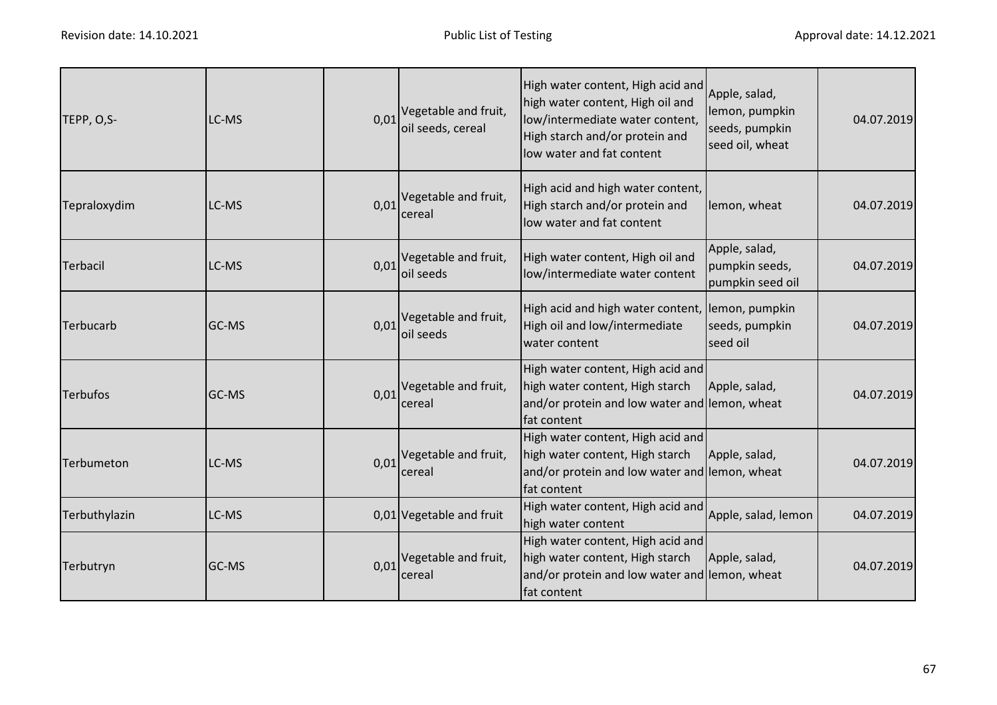| TEPP, O,S-      | LC-MS        | 0,01 | Vegetable and fruit,<br>oil seeds, cereal        | High water content, High acid and<br>high water content, High oil and<br>low/intermediate water content,<br>High starch and/or protein and<br>low water and fat content | Apple, salad,<br>lemon, pumpkin<br>seeds, pumpkin<br>seed oil, wheat | 04.07.2019 |
|-----------------|--------------|------|--------------------------------------------------|-------------------------------------------------------------------------------------------------------------------------------------------------------------------------|----------------------------------------------------------------------|------------|
| Tepraloxydim    | LC-MS        | 0,01 | Vegetable and fruit,<br>cereal                   | High acid and high water content,<br>High starch and/or protein and<br>low water and fat content                                                                        | lemon, wheat                                                         | 04.07.2019 |
| Terbacil        | LC-MS        | 0,01 | Vegetable and fruit,<br>oil seeds                | High water content, High oil and<br>low/intermediate water content                                                                                                      | Apple, salad,<br>pumpkin seeds,<br>pumpkin seed oil                  | 04.07.2019 |
| Terbucarb       | GC-MS        | 0,01 | Vegetable and fruit,<br>oil seeds                | High acid and high water content, lemon, pumpkin<br>High oil and low/intermediate<br>water content                                                                      | seeds, pumpkin<br>seed oil                                           | 04.07.2019 |
| <b>Terbufos</b> | <b>GC-MS</b> |      | $0.01$ <sup>Vegetable and fruit,</sup><br>cereal | High water content, High acid and<br>high water content, High starch<br>and/or protein and low water and lemon, wheat<br>fat content                                    | Apple, salad,                                                        | 04.07.2019 |
| Terbumeton      | LC-MS        | 0,01 | Vegetable and fruit,<br>cereal                   | High water content, High acid and<br>high water content, High starch<br>and/or protein and low water and lemon, wheat<br>fat content                                    | Apple, salad,                                                        | 04.07.2019 |
| Terbuthylazin   | LC-MS        |      | 0,01 Vegetable and fruit                         | High water content, High acid and<br>high water content                                                                                                                 | Apple, salad, lemon                                                  | 04.07.2019 |
| Terbutryn       | GC-MS        | 0,01 | Vegetable and fruit,<br>cereal                   | High water content, High acid and<br>high water content, High starch<br>and/or protein and low water and lemon, wheat<br>fat content                                    | Apple, salad,                                                        | 04.07.2019 |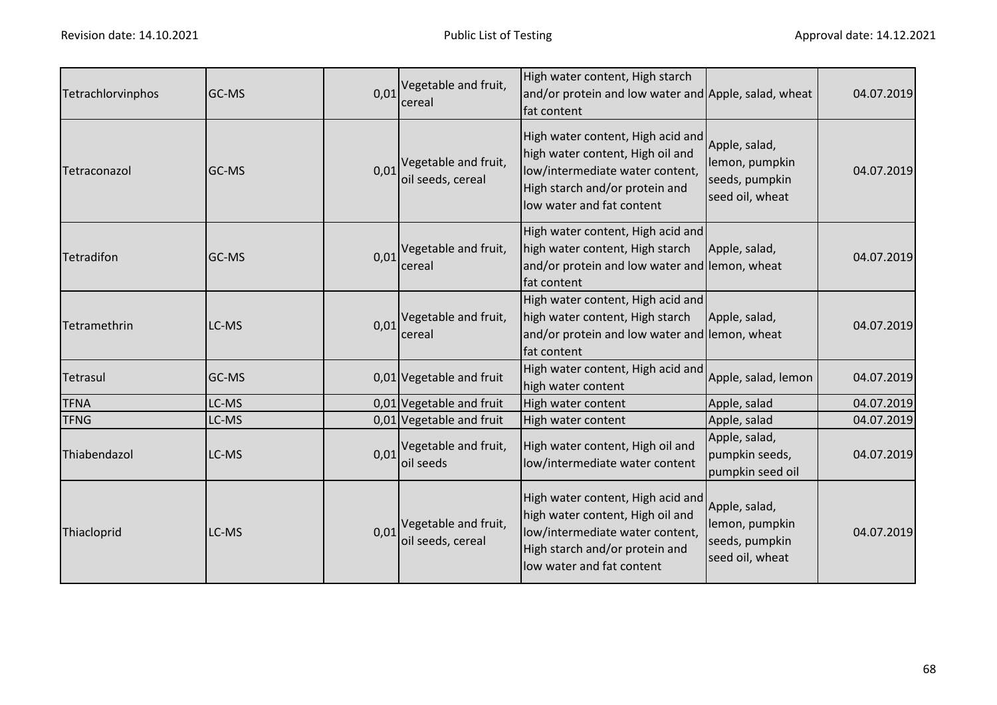| Tetrachlorvinphos | GC-MS | 0,01 | Vegetable and fruit,<br>cereal            | High water content, High starch<br>and/or protein and low water and Apple, salad, wheat<br>fat content                                                                  |                                                                      | 04.07.2019 |
|-------------------|-------|------|-------------------------------------------|-------------------------------------------------------------------------------------------------------------------------------------------------------------------------|----------------------------------------------------------------------|------------|
| Tetraconazol      | GC-MS | 0,01 | Vegetable and fruit,<br>oil seeds, cereal | High water content, High acid and<br>high water content, High oil and<br>low/intermediate water content,<br>High starch and/or protein and<br>low water and fat content | Apple, salad,<br>lemon, pumpkin<br>seeds, pumpkin<br>seed oil, wheat | 04.07.2019 |
| Tetradifon        | GC-MS | 0,01 | Vegetable and fruit,<br>cereal            | High water content, High acid and<br>high water content, High starch<br>and/or protein and low water and lemon, wheat<br>fat content                                    | Apple, salad,                                                        | 04.07.2019 |
| Tetramethrin      | LC-MS | 0,01 | Vegetable and fruit,<br>cereal            | High water content, High acid and<br>high water content, High starch<br>and/or protein and low water and lemon, wheat<br>fat content                                    | Apple, salad,                                                        | 04.07.2019 |
| Tetrasul          | GC-MS |      | 0,01 Vegetable and fruit                  | High water content, High acid and<br>high water content                                                                                                                 | Apple, salad, lemon                                                  | 04.07.2019 |
| <b>TFNA</b>       | LC-MS |      | 0,01 Vegetable and fruit                  | High water content                                                                                                                                                      | Apple, salad                                                         | 04.07.2019 |
| <b>TFNG</b>       | LC-MS |      | 0,01 Vegetable and fruit                  | High water content                                                                                                                                                      | Apple, salad                                                         | 04.07.2019 |
| Thiabendazol      | LC-MS | 0,01 | Vegetable and fruit,<br>oil seeds         | High water content, High oil and<br>low/intermediate water content                                                                                                      | Apple, salad,<br>pumpkin seeds,<br>pumpkin seed oil                  | 04.07.2019 |
| Thiacloprid       | LC-MS | 0,01 | Vegetable and fruit,<br>oil seeds, cereal | High water content, High acid and<br>high water content, High oil and<br>low/intermediate water content,<br>High starch and/or protein and<br>low water and fat content | Apple, salad,<br>lemon, pumpkin<br>seeds, pumpkin<br>seed oil, wheat | 04.07.2019 |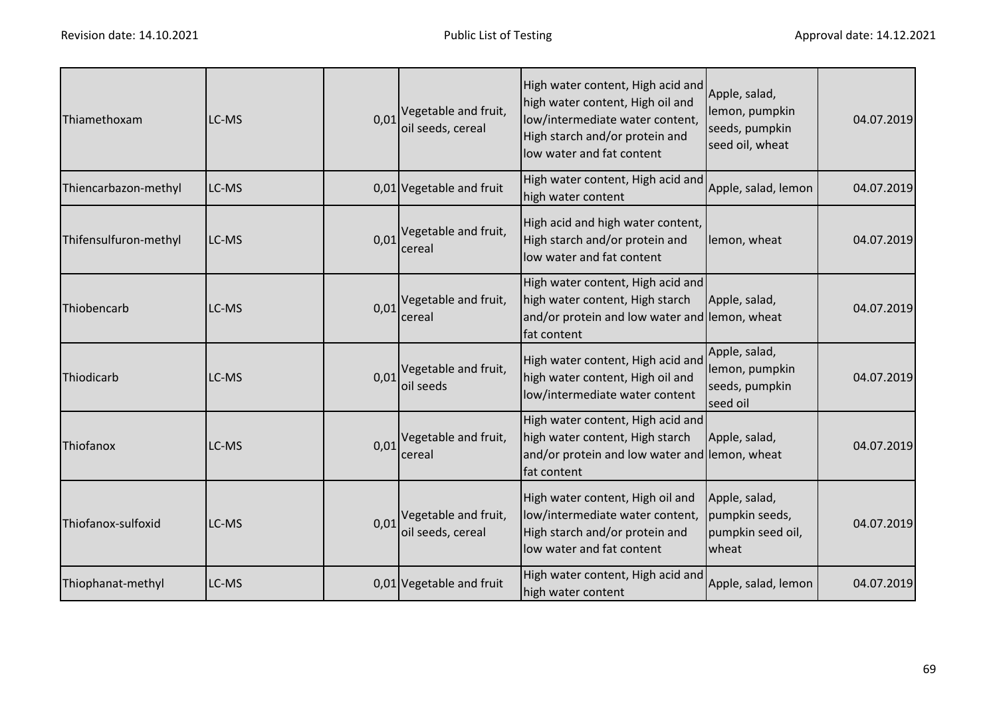| Thiamethoxam          | LC-MS | 0,01 | Vegetable and fruit,<br>oil seeds, cereal | High water content, High acid and<br>high water content, High oil and<br>low/intermediate water content,<br>High starch and/or protein and<br>low water and fat content | Apple, salad,<br>lemon, pumpkin<br>seeds, pumpkin<br>seed oil, wheat | 04.07.2019 |
|-----------------------|-------|------|-------------------------------------------|-------------------------------------------------------------------------------------------------------------------------------------------------------------------------|----------------------------------------------------------------------|------------|
| Thiencarbazon-methyl  | LC-MS |      | 0,01 Vegetable and fruit                  | High water content, High acid and<br>high water content                                                                                                                 | Apple, salad, lemon                                                  | 04.07.2019 |
| Thifensulfuron-methyl | LC-MS | 0,01 | Vegetable and fruit,<br>cereal            | High acid and high water content,<br>High starch and/or protein and<br>low water and fat content                                                                        | lemon, wheat                                                         | 04.07.2019 |
| Thiobencarb           | LC-MS | 0,01 | Vegetable and fruit,<br>cereal            | High water content, High acid and<br>high water content, High starch<br>and/or protein and low water and lemon, wheat<br>fat content                                    | Apple, salad,                                                        | 04.07.2019 |
| Thiodicarb            | LC-MS | 0.01 | Vegetable and fruit,<br>oil seeds         | High water content, High acid and<br>high water content, High oil and<br>low/intermediate water content                                                                 | Apple, salad,<br>lemon, pumpkin<br>seeds, pumpkin<br>seed oil        | 04.07.2019 |
| Thiofanox             | LC-MS | 0,01 | Vegetable and fruit,<br>cereal            | High water content, High acid and<br>high water content, High starch<br>and/or protein and low water and lemon, wheat<br>fat content                                    | Apple, salad,                                                        | 04.07.2019 |
| Thiofanox-sulfoxid    | LC-MS | 0,01 | Vegetable and fruit,<br>oil seeds, cereal | High water content, High oil and<br>low/intermediate water content,<br>High starch and/or protein and<br>low water and fat content                                      | Apple, salad,<br>pumpkin seeds,<br>pumpkin seed oil,<br>wheat        | 04.07.2019 |
| Thiophanat-methyl     | LC-MS |      | 0,01 Vegetable and fruit                  | High water content, High acid and<br>high water content                                                                                                                 | Apple, salad, lemon                                                  | 04.07.2019 |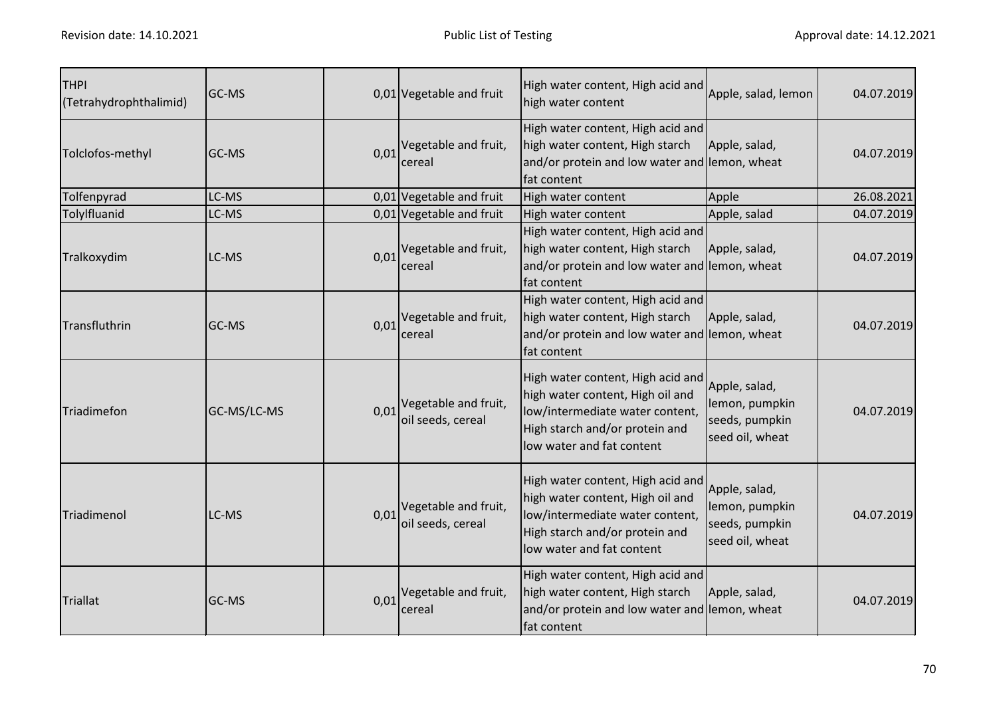| <b>THPI</b><br>(Tetrahydrophthalimid) | GC-MS       |      | 0,01 Vegetable and fruit                  | High water content, High acid and<br>high water content                                                                                                                 | Apple, salad, lemon                                                  | 04.07.2019 |
|---------------------------------------|-------------|------|-------------------------------------------|-------------------------------------------------------------------------------------------------------------------------------------------------------------------------|----------------------------------------------------------------------|------------|
| Tolclofos-methyl                      | GC-MS       | 0,01 | Vegetable and fruit,<br>cereal            | High water content, High acid and<br>high water content, High starch<br>and/or protein and low water and lemon, wheat<br>fat content                                    | Apple, salad,                                                        | 04.07.2019 |
| Tolfenpyrad                           | LC-MS       |      | 0,01 Vegetable and fruit                  | High water content                                                                                                                                                      | Apple                                                                | 26.08.2021 |
| Tolylfluanid                          | LC-MS       |      | 0,01 Vegetable and fruit                  | High water content                                                                                                                                                      | Apple, salad                                                         | 04.07.2019 |
| Tralkoxydim                           | LC-MS       | 0,01 | Vegetable and fruit,<br>cereal            | High water content, High acid and<br>high water content, High starch<br>and/or protein and low water and lemon, wheat<br>fat content                                    | Apple, salad,                                                        | 04.07.2019 |
| Transfluthrin                         | GC-MS       | 0.01 | Vegetable and fruit,<br>cereal            | High water content, High acid and<br>high water content, High starch<br>and/or protein and low water and lemon, wheat<br>fat content                                    | Apple, salad,                                                        | 04.07.2019 |
| Triadimefon                           | GC-MS/LC-MS | 0,01 | Vegetable and fruit,<br>oil seeds, cereal | High water content, High acid and<br>high water content, High oil and<br>low/intermediate water content,<br>High starch and/or protein and<br>low water and fat content | Apple, salad,<br>lemon, pumpkin<br>seeds, pumpkin<br>seed oil, wheat | 04.07.2019 |
| Triadimenol                           | LC-MS       | 0,01 | Vegetable and fruit,<br>oil seeds, cereal | High water content, High acid and<br>high water content, High oil and<br>low/intermediate water content,<br>High starch and/or protein and<br>low water and fat content | Apple, salad,<br>lemon, pumpkin<br>seeds, pumpkin<br>seed oil, wheat | 04.07.2019 |
| <b>Triallat</b>                       | GC-MS       | 0.01 | Vegetable and fruit,<br>cereal            | High water content, High acid and<br>high water content, High starch<br>and/or protein and low water and lemon, wheat<br>fat content                                    | Apple, salad,                                                        | 04.07.2019 |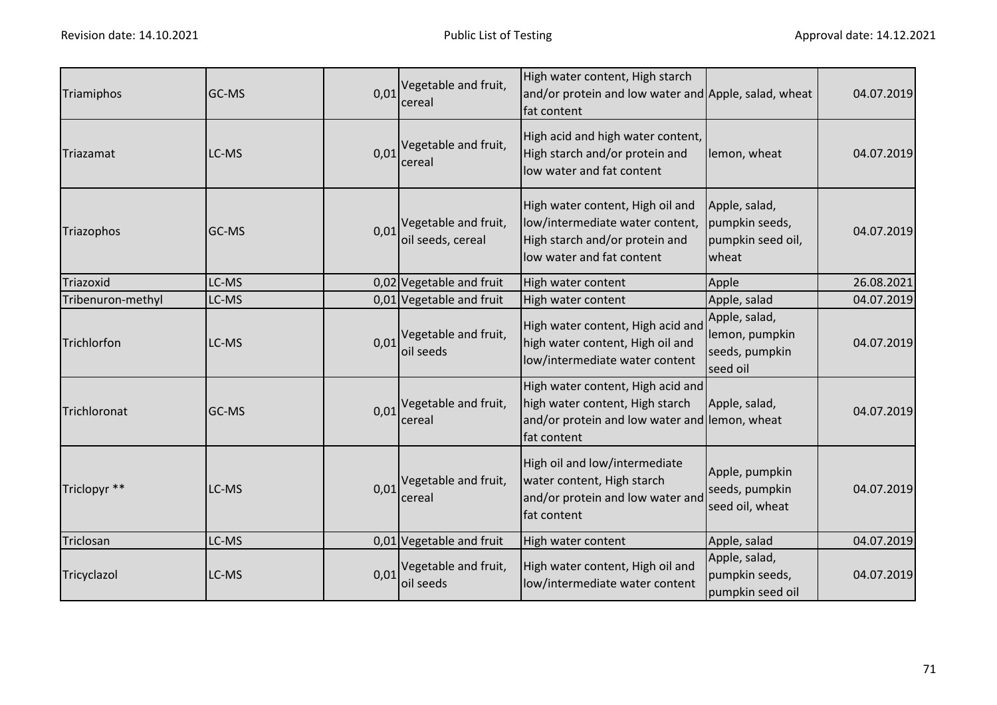| Triamiphos        | GC-MS | 0,01 | Vegetable and fruit,<br>cereal                      | High water content, High starch<br>and/or protein and low water and Apple, salad, wheat<br>fat content                               |                                                               | 04.07.2019 |
|-------------------|-------|------|-----------------------------------------------------|--------------------------------------------------------------------------------------------------------------------------------------|---------------------------------------------------------------|------------|
| Triazamat         | LC-MS |      | $0.01$ <sup>Vegetable and fruit,</sup><br>cereal    | High acid and high water content,<br>High starch and/or protein and<br>low water and fat content                                     | lemon, wheat                                                  | 04.07.2019 |
| Triazophos        | GC-MS | 0,01 | Vegetable and fruit,<br>oil seeds, cereal           | High water content, High oil and<br>low/intermediate water content,<br>High starch and/or protein and<br>low water and fat content   | Apple, salad,<br>pumpkin seeds,<br>pumpkin seed oil,<br>wheat | 04.07.2019 |
| Triazoxid         | LC-MS |      | 0,02 Vegetable and fruit                            | High water content                                                                                                                   | Apple                                                         | 26.08.2021 |
| Tribenuron-methyl | LC-MS |      | 0,01 Vegetable and fruit                            | High water content                                                                                                                   | Apple, salad                                                  | 04.07.2019 |
| Trichlorfon       | LC-MS |      | $0.01$ <sup>Vegetable and fruit,</sup><br>oil seeds | High water content, High acid and<br>high water content, High oil and<br>low/intermediate water content                              | Apple, salad,<br>lemon, pumpkin<br>seeds, pumpkin<br>seed oil | 04.07.2019 |
| Trichloronat      | GC-MS |      | $0.01$ <sup>Vegetable and fruit,</sup><br>cereal    | High water content, High acid and<br>high water content, High starch<br>and/or protein and low water and lemon, wheat<br>fat content | Apple, salad,                                                 | 04.07.2019 |
| Triclopyr **      | LC-MS | 0,01 | Vegetable and fruit,<br>cereal                      | High oil and low/intermediate<br>water content, High starch<br>and/or protein and low water and<br>fat content                       | Apple, pumpkin<br>seeds, pumpkin<br>seed oil, wheat           | 04.07.2019 |
| Triclosan         | LC-MS |      | 0,01 Vegetable and fruit                            | High water content                                                                                                                   | Apple, salad                                                  | 04.07.2019 |
| Tricyclazol       | LC-MS | 0,01 | Vegetable and fruit,<br>loil seeds                  | High water content, High oil and<br>low/intermediate water content                                                                   | Apple, salad,<br>pumpkin seeds,<br>pumpkin seed oil           | 04.07.2019 |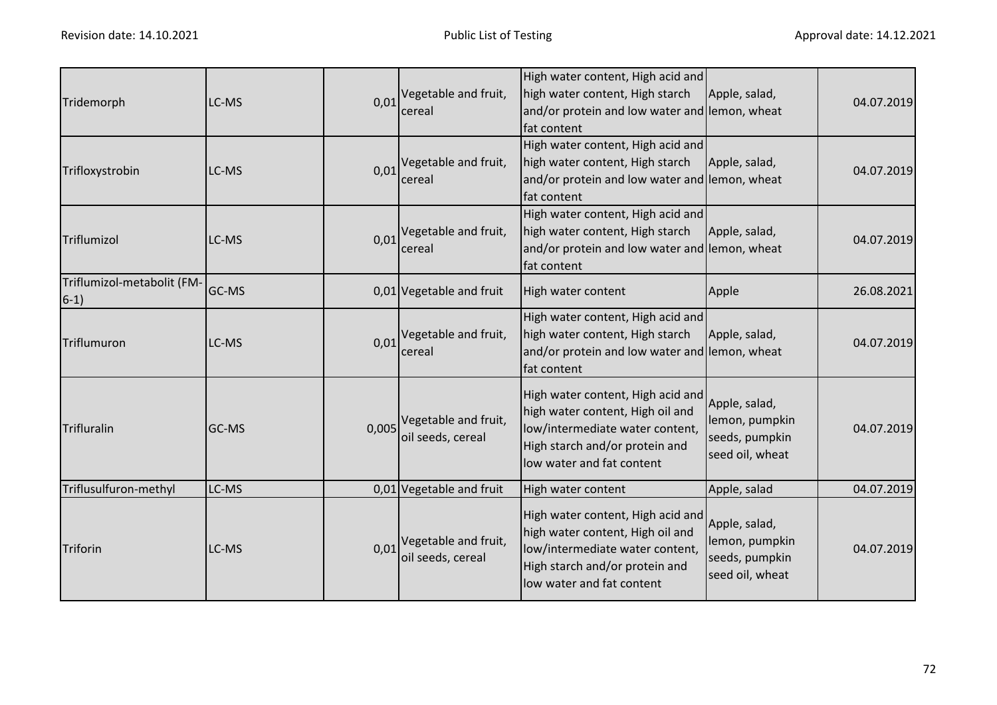| Tridemorph                           | LC-MS |      | $0.01$ <sup>Vegetable and fruit,</sup><br>cereal            | High water content, High acid and<br>high water content, High starch<br>and/or protein and low water and lemon, wheat<br>fat content                                    | Apple, salad,                                                        | 04.07.2019 |
|--------------------------------------|-------|------|-------------------------------------------------------------|-------------------------------------------------------------------------------------------------------------------------------------------------------------------------|----------------------------------------------------------------------|------------|
| Trifloxystrobin                      | LC-MS | 0,01 | Vegetable and fruit,<br>cereal                              | High water content, High acid and<br>high water content, High starch<br>and/or protein and low water and lemon, wheat<br>fat content                                    | Apple, salad,                                                        | 04.07.2019 |
| Triflumizol                          | LC-MS |      | $0.01$ <sup>Vegetable and fruit,</sup><br>cereal            | High water content, High acid and<br>high water content, High starch<br>and/or protein and low water and lemon, wheat<br>fat content                                    | Apple, salad,                                                        | 04.07.2019 |
| Triflumizol-metabolit (FM-<br>$6-1)$ | GC-MS |      | 0,01 Vegetable and fruit                                    | High water content                                                                                                                                                      | Apple                                                                | 26.08.2021 |
| Triflumuron                          | LC-MS | 0,01 | Vegetable and fruit,<br>cereal                              | High water content, High acid and<br>high water content, High starch<br>and/or protein and low water and lemon, wheat<br>fat content                                    | Apple, salad,                                                        | 04.07.2019 |
| Trifluralin                          | GC-MS |      | 0,005 Vegetable and fruit,<br>oil seeds, cereal             | High water content, High acid and<br>high water content, High oil and<br>low/intermediate water content,<br>High starch and/or protein and<br>low water and fat content | Apple, salad,<br>lemon, pumpkin<br>seeds, pumpkin<br>seed oil, wheat | 04.07.2019 |
| Triflusulfuron-methyl                | LC-MS |      | 0,01 Vegetable and fruit                                    | High water content                                                                                                                                                      | Apple, salad                                                         | 04.07.2019 |
| Triforin                             | LC-MS |      | $0.01$ <sup>Vegetable and fruit,</sup><br>oil seeds, cereal | High water content, High acid and<br>high water content, High oil and<br>low/intermediate water content,<br>High starch and/or protein and<br>low water and fat content | Apple, salad,<br>lemon, pumpkin<br>seeds, pumpkin<br>seed oil, wheat | 04.07.2019 |